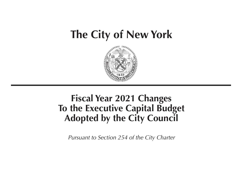# **The City of New York**



# **Fiscal Year 2021 Changes To the Executive Capital Budget Adopted by the City Council**

*Pursuant to Section 254 of the City Charter*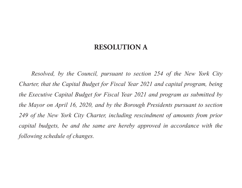## **RESOLUTION A**

*Resolved, by the Council, pursuant to section 254 of the New York City Charter, that the Capital Budget for Fiscal Year 2021 and capital program, being the Executive Capital Budget for Fiscal Year 2021 and program as submitted by the Mayor on April 16, 2020, and by the Borough Presidents pursuant to section*  249 of the New York City Charter, including rescindment of amounts from prior *capital budgets, be and the same are hereby approved in accordance with the following schedule of changes.*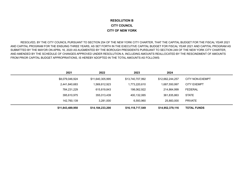#### **RESOLUTION BCITY COUNCILCITY OF NEW YORK**

 RESOLVED, BY THE CITY COUNCIL PURSUANT TO SECTION 254 OF THE NEW YORK CITY CHARTER, THAT THE CAPITAL BUDGET FOR THE FISCAL YEAR 2021 AND CAPITAL PROGRAM FOR THE ENSUING THREE YEARS, AS SET FORTH IN THE EXECUTIVE CAPITAL BUDGET FOR FISCAL YEAR 2021 AND CAPITAL PROGRAM AS SUBMITTED BY THE MAYOR ON APRIL 16, 2020 AS AUGMENTED BY THE BOROUGH PRESIDENTS PURSUANT TO SECTION 249 OF THE NEW YORK CITY CHARTER, AND AMENDED BY THE SCHEDULE OF CHANGES APPROVED UNDER RESOLUTION A, INCLUDING AMOUNTS REALLOCATED BY THE RESCINDMENT OF AMOUNTS FROM PRIOR CAPITAL BUDGET APPROPRIATIONS, IS HEREBY ADOPTED IN THE TOTAL AMOUNTS AS FOLLOWS:

| 2021             | 2022             | 2023             | 2024             |                    |
|------------------|------------------|------------------|------------------|--------------------|
| \$8,079,046,924  | \$11,640,305,995 | \$13,740,707,992 | \$12,662,244,257 | CITY NON-EXEMPT    |
| 2,441,840,683    | 1,569,812,923    | 1,773,220,610    | 1,687,550,997    | <b>CITY EXEMPT</b> |
| 784,231,229      | 615,819,843      | 198,062,922      | 214,864,999      | <b>FEDERAL</b>     |
| 395,610,975      | 355,013,439      | 400,132,065      | 361,835,863      | <b>STATE</b>       |
| 142,760,139      | 3,281,000        | 6,593,960        | 25,883,000       | <b>PRIVATE</b>     |
| \$11,843,489,950 | \$14,184,233,200 | \$16,118,717,549 | \$14,952,379,116 | <b>TOTAL FUNDS</b> |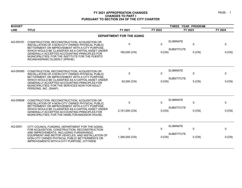#### PAGE: 1

| <b>BUDGET</b>   |                                                                                                                                                                                                                                                                                                                                                 |                                |                          | THREE YEAR PROGRAM                                   |                                    |
|-----------------|-------------------------------------------------------------------------------------------------------------------------------------------------------------------------------------------------------------------------------------------------------------------------------------------------------------------------------------------------|--------------------------------|--------------------------|------------------------------------------------------|------------------------------------|
| <b>LINE</b>     | <b>TITLE</b>                                                                                                                                                                                                                                                                                                                                    | FY 2021                        | FY 2022                  | FY 2023                                              | FY 2024                            |
|                 |                                                                                                                                                                                                                                                                                                                                                 | DEPARTMENT FOR THE AGING       |                          |                                                      |                                    |
| AG-DN191        | CONSTRUCTION, RECONSTRUCTION, ACQUISITION OR<br>INSTALLATION OF A NON-CITY OWNED PHYSICAL PUBLIC<br>BETTERMENT OR IMPROVEMENT WITH A CITY PURPOSE,<br>WHICH WOULD BE CLASSIFIED AS A CAPITAL ASSET UNDER<br>GENERALLY ACCEPTED ACCOUNTING PRINCIPLES FOR<br>MUNICIPALITIES; FOR THE INSTITUTE FOR THE PUERTO<br>RICAN/HISPANIC ELDERLY (IPR/HE) | $\mathbf{0}$<br>180,000 (CN)   | 0<br>$0$ (CN)            | <b>ELIMINATE</b><br>$\mathbf 0$<br><b>SUBSTITUTE</b> | $\mathbf{0}$<br>$0$ (CN)<br>0 (CN) |
| <b>AG-DN380</b> | CONSTRUCTION, RECONSTRUCTION, ACQUISITION OR<br>INSTALLATION OF A NON-CITY OWNED PHYSICAL PUBLIC<br>BETTERMENT OR IMPROVEMENT WITH A CITY PURPOSE,<br>WHICH WOULD BE CLASSIFIED AS A CAPITAL ASSET UNDER<br><b>GENERALLY ACCEPTED ACCOUNTING PRINCIPLES FOR</b><br>MUNICIPALITIES; FOR THE SERVICES NOW FOR ADULT<br>PERSONS, INC. (SNAP).      | $\mathbf{0}$<br>62,000 (CN)    | $\mathbf{0}$<br>$0$ (CN) | <b>ELIMINATE</b><br>$\mathbf 0$<br><b>SUBSTITUTE</b> | $\Omega$<br>$0$ (CN)<br>0 (CN)     |
| AG-DN658        | CONSTRUCTION, RECONSTRUCTION, ACQUISITION OR<br>INSTALLATION OF A NON-CITY OWNED PHYSICAL PUBLIC<br>BETTERMENT OR IMPROVEMENT WITH A CITY PURPOSE.<br>WHICH WOULD BE CLASSIFIED AS A CAPITAL ASSET UNDER<br>GENERALLY ACCEPTED ACCOUNTING PRINCIPLES FOR<br>MUNICIPALITIES; FOR THE HAMILTON-MADISON HOUSE.                                     | $\mathbf 0$<br>2,151,000 (CN)  | 0<br>$0$ (CN)            | <b>ELIMINATE</b><br>$\mathbf 0$<br><b>SUBSTITUTE</b> | 0<br>0 (CN)<br>$0$ (CN)            |
| AG-D001         | CITY COUNCIL FUNDING, DEPARTMENT FOR THE AGING,<br>FOR ACQUISITION, CONSTRUCTION, RECONSTRUCTION<br>AND IMPROVEMENTS, INCLUDING FURNISHINGS,<br>EQUIPMENT AND MOTOR VEHICLES, AND INSTALLATION OF<br>NON-CITY OWNED PHYSICAL PUBLIC BETTERMENTS OR<br>IMPROVEMENTS WITH A CITY PURPOSE, CITYWIDE                                                | $\mathbf{0}$<br>1,384,000 (CN) | $\mathbf{0}$<br>0 (CN)   | <b>ELIMINATE</b><br>$\mathbf 0$<br><b>SUBSTITUTE</b> | $\Omega$<br>$0$ (CN)<br>0 (CN)     |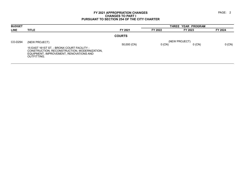| <b>BUDGET</b> |                                                                                                                                                                              |               |          | THREE YEAR PROGRAM        |          |
|---------------|------------------------------------------------------------------------------------------------------------------------------------------------------------------------------|---------------|----------|---------------------------|----------|
| <b>LINE</b>   | <b>TITLE</b>                                                                                                                                                                 | FY 2021       | FY 2022  | FY 2023                   | FY 2024  |
|               |                                                                                                                                                                              | <b>COURTS</b> |          |                           |          |
| CO-D294       | (NEW PROJECT)<br>15 EAST 161ST ST. - BRONX COURT FACILITY -<br>CONSTRUCTION, RECONSTRUCTION, MODERNIZATION,<br>EQUIPMENT, IMPROVEMENT, RENOVATIONS AND<br><b>OUTFITTING.</b> | 50,000 (CN)   | $0$ (CN) | (NEW PROJECT)<br>$0$ (CN) | $0$ (CN) |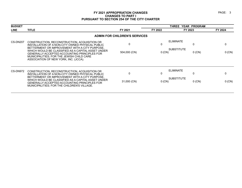#### PAGE: 3

| <b>BUDGET</b> |                                                                                                                                                                                                                                                                                                                                                       |                                      |             | THREE YEAR PROGRAM                                |               |  |
|---------------|-------------------------------------------------------------------------------------------------------------------------------------------------------------------------------------------------------------------------------------------------------------------------------------------------------------------------------------------------------|--------------------------------------|-------------|---------------------------------------------------|---------------|--|
| <b>LINE</b>   | <b>TITLE</b>                                                                                                                                                                                                                                                                                                                                          | FY 2021                              | FY 2022     | FY 2023                                           | FY 2024       |  |
|               |                                                                                                                                                                                                                                                                                                                                                       | <b>ADMIN FOR CHILDREN'S SERVICES</b> |             |                                                   |               |  |
| CS-DN207      | CONSTRUCTION, RECONSTRUCTION, ACQUISITION OR<br>INSTALLATION OF A NON-CITY OWNED PHYSICAL PUBLIC<br>BETTERMENT OR IMPROVEMENT WITH A CITY PURPOSE,<br>WHICH WOULD BE CLASSIFIED AS A CAPITAL ASSET UNDER<br><b>GENERALLY ACCEPTED ACCOUNTING PRINCIPLES FOR</b><br>MUNICIPALITIES; FOR THE JEWISH CHILD CARE<br>ASSOCIATION OF NEW YORK, INC. (JCCA). | $\Omega$<br>504,000 (CN)             | 0<br>0 (CN) | <b>ELIMINATE</b><br><b>SUBSTITUTE</b><br>$0$ (CN) | 0<br>$0$ (CN) |  |
| CS-DN972      | CONSTRUCTION, RECONSTRUCTION, ACQUISITION OR<br>INSTALLATION OF A NON-CITY OWNED PHYSICAL PUBLIC<br>BETTERMENT OR IMPROVEMENT WITH A CITY PURPOSE,<br>WHICH WOULD BE CLASSIFIED AS A CAPITAL ASSET UNDER<br>GENERALLY ACCEPTED ACCOUNTING PRINCIPLES FOR<br>MUNICIPALITIES; FOR THE CHILDREN'S VILLAGE.                                               | $\mathbf{0}$<br>31,000 (CN)          | 0<br>0(CN)  | <b>ELIMINATE</b><br><b>SUBSTITUTE</b><br>$0$ (CN) | 0<br>0 (CN)   |  |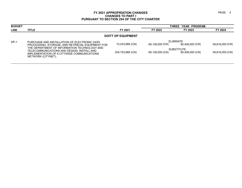| <b>TITLE</b>                                                      | FY 2021                                                                                    | FY 2022                   | FY 2023         | FY 2024                                                     |
|-------------------------------------------------------------------|--------------------------------------------------------------------------------------------|---------------------------|-----------------|-------------------------------------------------------------|
|                                                                   |                                                                                            |                           |                 |                                                             |
|                                                                   |                                                                                            |                           |                 |                                                             |
| PROCESSING, STORAGE, AND RETRIEVAL EQUIPMENT FOR                  | 72,033,868 (CN)                                                                            | 69,128,000 (CN)           | 80,408,000 (CN) | 59,818,000 (CN)                                             |
| THE DEPARTMENT OF INFORMATION TECHNOLOGY AND                      |                                                                                            |                           |                 |                                                             |
| IMPLEMENTATION OF A CITYWIDE COMMUNICATIONS<br>NETWORK (CITYNET). | 254,753,868 (CN)                                                                           | 69,128,000 (CN)           | 80,408,000 (CN) | 59,818,000 (CN)                                             |
|                                                                   | PURCHASE AND INSTALLATION OF ELECTRONIC DATA<br>TELECOMMUNICATIONS AND DESIGN, INSTALL AND | <b>DOITT DP EQUIPMENT</b> |                 | THREE YEAR PROGRAM<br><b>ELIMINATE</b><br><b>SUBSTITUTE</b> |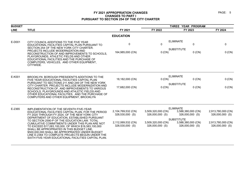| <b>BUDGET</b> |                                                                                                                                                                                                                                                                                                                                                                 |                                       | THREE YEAR PROGRAM                    |                                                            |                                       |  |
|---------------|-----------------------------------------------------------------------------------------------------------------------------------------------------------------------------------------------------------------------------------------------------------------------------------------------------------------------------------------------------------------|---------------------------------------|---------------------------------------|------------------------------------------------------------|---------------------------------------|--|
| <b>LINE</b>   | <b>TITLE</b>                                                                                                                                                                                                                                                                                                                                                    | FY 2021                               | FY 2022                               | FY 2023                                                    | FY 2024                               |  |
|               |                                                                                                                                                                                                                                                                                                                                                                 | <b>EDUCATION</b>                      |                                       |                                                            |                                       |  |
| E-D001        | CITY COUNCIL ADDITIONS TO THE FIVE YEAR<br>EDUCATIONAL FACILITIES CAPITAL PLAN PURSUANT TO<br>SECTION 254 OF THE NEW YORK CITY CHARTER.<br>PROJECTS INCLUDE MODERNIZATION AND<br>RECONSTRUCTION OF AND IMPROVEMENTS TO SCHOOLS.                                                                                                                                 | 0<br>164,985,000 (CN)                 | $\mathbf 0$<br>$0$ (CN)               | <b>ELIMINATE</b><br>0<br><b>SUBSTITUTE</b><br>$0$ (CN)     | $\mathbf 0$<br>0 (CN)                 |  |
|               | PLAYGROUNDS, ATHLETIC FIELDS AND OTHER<br>EDUCATIONAL FACILITIES AND THE PURCHASE OF<br>COMPUTERS, VEHICLES, AND OTHER EQUIPMENT,<br>CITYWIDE.                                                                                                                                                                                                                  |                                       |                                       |                                                            |                                       |  |
| E-K001        | BROOKLYN BOROUGH PRESIDENT'S ADDITIONS TO THE<br>FIVE YEAR EDUCATIONAL FACILITIES CAPITAL PLAN                                                                                                                                                                                                                                                                  | 18,182,000 (CN)                       | 0 (CN)                                | <b>ELIMINATE</b><br>$0$ (CN)                               | 0 (CN)                                |  |
|               | PURSUANT TO SECTIONS 211 AND 249 OF THE NEW YORK<br>CITY CHARTER, PROJECTS INCLUDE MODERNIZATION AND<br>RECONSTRUCTION OF, AND IMPROVEMENTS TO VARIOUS<br>SCHOOLS, PLAYGROUNDS AND ATHLETIC FIELDS AND<br>OTHER EDUCATIONAL FACILITIES, AND THE PURCHASE OF<br>COMPUTERS AND OTHER EQUIPMENT, BROOKLYN                                                          | 17,682,000 (CN)                       | $0$ (CN)                              | <b>SUBSTITUTE</b><br>$0$ (CN)                              | 0 (CN)                                |  |
| E-2365        | IMPLEMENTATION OF THE SEVENTH FIVE-YEAR                                                                                                                                                                                                                                                                                                                         |                                       |                                       | <b>ELIMINATE</b>                                           |                                       |  |
|               | EDUCATIONAL FACILITIES CAPITAL PLAN, FOR THE PERIOD<br>FY 2020 THROUGH FY 2024, OF THE NEW YORK CITY                                                                                                                                                                                                                                                            | 2,104,769,532 (CN)<br>328,530,000 (S) | 3,509,320,000 (CN)<br>326,000,000 (S) | 3,588,380,000 (CN)<br>326,000,000 (S)                      | 2,913,780,000 (CN)<br>326,000,000 (S) |  |
|               | DEPARTMENT OF EDUCATION, ESTABLISHED PURSUANT<br>TO SECTION 2590-P OF THE EDUCATION LAW. TOTAL<br>CUMULATIVE COMMITMENTS UNDER THIS PLAN ARE NOT<br>TO EXCEED \$17,083,100,000, OF WHICH \$16,583,100,000<br>SHALL BE APPROPRIATED IN THIS BUDGET LINE.<br>\$500,000,000 SHALL BE APPROPRIATED UNDER BUDGET<br>LINE E-2364 TO COMPLETE PROJECTS BEGUN UNDER THE | 2,112,069,532 (CN)<br>328,530,000 (S) | 3,509,320,000 (CN)<br>326,000,000 (S) | <b>SUBSTITUTE</b><br>3,588,380,000 (CN)<br>326,000,000 (S) | 2,913,780,000 (CN)<br>326,000,000 (S) |  |
|               | SIXTH FIVE-YEAR EDUCATIONAL FACILITIES CAPITAL PLAN.                                                                                                                                                                                                                                                                                                            |                                       |                                       |                                                            |                                       |  |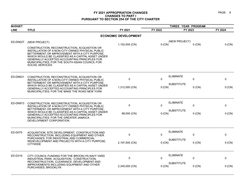| <b>BUDGET</b>   |                                                                                                                                                                                                                                                                                                                                 |                             |          |                               |          |
|-----------------|---------------------------------------------------------------------------------------------------------------------------------------------------------------------------------------------------------------------------------------------------------------------------------------------------------------------------------|-----------------------------|----------|-------------------------------|----------|
| <b>LINE</b>     | <b>TITLE</b>                                                                                                                                                                                                                                                                                                                    | FY 2021                     | FY 2022  | FY 2023                       | FY 2024  |
|                 |                                                                                                                                                                                                                                                                                                                                 | <b>ECONOMIC DEVELOPMENT</b> |          |                               |          |
| ED-DN02T        | (NEW PROJECT)                                                                                                                                                                                                                                                                                                                   | 1,152,000 (CN)              | $0$ (CN) | (NEW PROJECT)<br>$0$ (CN)     | 0 (CN)   |
|                 | CONSTRUCTION, RECONSTRUCTION, ACQUISITION OR<br>INSTALLATION OF A NON-CITY OWNED PHYSICAL PUBLIC<br>BETTERMENT OR IMPROVEMENT WITH A CITY PURPOSE.<br>WHICH WOULD BE CLASSIFIED AS A CAPITAL ASSET UNDER<br>GENERALLY ACCEPTED ACCOUNTING PRINCIPLES FOR<br>MUNICIPALITIES; FOR THE SOUTH ASIAN COUNCIL FOR<br>SOCIAL SERVICES. |                             |          |                               |          |
| <b>ED-DN631</b> | CONSTRUCTION, RECONSTRUCTION, ACQUISITION OR<br>INSTALLATION OF A NON-CITY OWNED PHYSICAL PUBLIC<br>BETTERMENT OR IMPROVEMENT WITH A CITY PURPOSE.                                                                                                                                                                              | 0                           | 0        | <b>ELIMINATE</b><br>$\pmb{0}$ | 0        |
|                 | WHICH WOULD BE CLASSIFIED AS A CAPITAL ASSET UNDER<br>GENERALLY ACCEPTED ACCOUNTING PRINCIPLES FOR<br>MUNICIPALITIES; FOR THE MAKE THE ROAD NEW YORK                                                                                                                                                                            | 1,312,000 (CN)              | 0 (CN)   | <b>SUBSTITUTE</b><br>$0$ (CN) | 0 (CN)   |
| ED-DN973        | CONSTRUCTION, RECONSTRUCTION, ACQUISITION OR<br>INSTALLATION OF A NON-CITY OWNED PHYSICAL PUBLIC                                                                                                                                                                                                                                | 0                           | 0        | <b>ELIMINATE</b><br>0         | 0        |
|                 | BETTERMENT OR IMPROVEMENT WITH A CITY PURPOSE<br>WHICH WOULD BE CLASSIFIED AS A CAPITAL ASSET UNDER<br>GENERALLY ACCEPTED ACCOUNTING PRINCIPLES FOR<br>MUNICIPALITIES; FOR THE GREATER JAMAICA<br>DEVELOPMENT CORPORATION.                                                                                                      | 89,000 (CN)                 | 0(CN)    | <b>SUBSTITUTE</b><br>$0$ (CN) | 0 (CN)   |
| ED-D075         | ACQUISITION, SITE DEVELOPMENT, CONSTRUCTION AND<br>RECONSTRUCTION, INCLUDING EQUIPMENT AND OTHER                                                                                                                                                                                                                                | 0                           | $\Omega$ | <b>ELIMINATE</b><br>0         | 0        |
|                 | PURCHASES, FOR INDUSTRIAL AND COMMERCIAL<br>REDEVELOPMENT AND PROJECTS WITH A CITY PURPOSE,<br><b>CITYWIDE</b>                                                                                                                                                                                                                  | 2,197,000 (CN)              | 0(CN)    | <b>SUBSTITUTE</b><br>$0$ (CN) | $0$ (CN) |
| ED-D319         | CITY COUNCIL FUNDING FOR THE BROOKLYN NAVY YARD<br>INDUSTRIAL PARK, ACQUISITION, CONSTRUCTION,<br>RECONSTRUCTION, CLEARANCE, DEVELOPMENT AND                                                                                                                                                                                    | 0                           | 0        | <b>ELIMINATE</b><br>$\pmb{0}$ | 0        |
|                 | IMPROVEMENTS INCLUDING EQUIPMENT AND OTHER<br>PURCHASES, BROOKLYN                                                                                                                                                                                                                                                               | 2,345,000 (CN)              | $0$ (CN) | <b>SUBSTITUTE</b><br>$0$ (CN) | $0$ (CN) |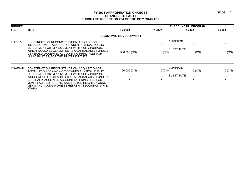| <b>BUDGET</b> |                                                                                                                                                                                                                                                                                                                            |                             |             | THREE YEAR PROGRAM                                     |         |  |
|---------------|----------------------------------------------------------------------------------------------------------------------------------------------------------------------------------------------------------------------------------------------------------------------------------------------------------------------------|-----------------------------|-------------|--------------------------------------------------------|---------|--|
| <b>LINE</b>   | <b>TITLE</b>                                                                                                                                                                                                                                                                                                               | FY 2021                     | FY 2022     | FY 2023                                                | FY 2024 |  |
|               |                                                                                                                                                                                                                                                                                                                            | <b>ECONOMIC DEVELOPMENT</b> |             |                                                        |         |  |
| ED-KN776      | CONSTRUCTION, RECONSTRUCTION, ACQUISITION OR<br>INSTALLATION OF A NON-CITY OWNED PHYSICAL PUBLIC<br>BETTERMENT OR IMPROVEMENT WITH A CITY PURPOSE,<br>WHICH WOULD BE CLASSIFIED AS A CAPITAL ASSET UNDER<br>GENERALLY ACCEPTED ACCOUNTING PRINCIPLES FOR                                                                   | 0<br>500,000 (CN)           | 0<br>0 (CN) | <b>ELIMINATE</b><br>0<br><b>SUBSTITUTE</b><br>$0$ (CN) | 0 (CN)  |  |
| ED-MN447      | MUNICIPALITIES; FOR THE PRATT INSTITUTE.<br>CONSTRUCTION, RECONSTRUCTION, ACQUISITION OR                                                                                                                                                                                                                                   | 100,000 (CN)                | 0(CN)       | <b>ELIMINATE</b><br>$0$ (CN)                           | 0(CN)   |  |
|               | INSTALLATION OF A NON-CITY OWNED PHYSICAL PUBLIC<br>BETTERMENT OR IMPROVEMENT WITH A CITY PURPOSE,<br>WHICH WOULD BE CLASSIFIED AS A CAPITAL ASSET UNDER<br>GENERALLY ACCEPTED ACCOUNTING PRINCIPLES FOR<br>MUNICIPALITIES; FOR THE WASHINGTON HEIGHTS YOUNG<br>MEN'S AND YOUNG WOMEN'S HEBREW ASSOCIATION (YM &<br>YWHA). | $\mathbf{0}$                | 0           | <b>SUBSTITUTE</b><br>0                                 | 0       |  |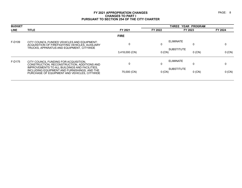| <b>BUDGET</b> |                                                                                                                                               |                |                       | THREE YEAR PROGRAM            |          |
|---------------|-----------------------------------------------------------------------------------------------------------------------------------------------|----------------|-----------------------|-------------------------------|----------|
| <b>LINE</b>   | <b>TITLE</b>                                                                                                                                  | FY 2021        | FY 2022               | FY 2023                       | FY 2024  |
|               |                                                                                                                                               | <b>FIRE</b>    |                       |                               |          |
| F-D109        | CITY COUNCIL FUNDED VEHICLES AND EQUIPMENT:<br>ACQUISITION OF FIREFIGHTING VEHICLES, AUXILIARY<br>TRUCKS, APPARATUS AND EQUIPMENT, CITYWIDE   |                | <b>ELIMINATE</b><br>0 | 0                             |          |
|               |                                                                                                                                               | 3,418,000 (CN) | $0$ (CN)              | <b>SUBSTITUTE</b><br>$0$ (CN) | $0$ (CN) |
| F-D175        | CITY COUNCIL FUNDING FOR ACQUISITION.<br>CONSTRUCTION, RECONSTRUCTION, ADDITIONS AND                                                          |                | <b>ELIMINATE</b><br>0 | 0                             |          |
|               | IMPROVEMENTS TO ALL BUILDINGS AND FACILITIES,<br>INCLUDING EQUIPMENT AND FURNISHINGS, AND THE<br>PURCHASE OF EQUIPMENT AND VEHICLES, CITYWIDE | 75,000 (CN)    | $0$ (CN)              | <b>SUBSTITUTE</b><br>$0$ (CN) | 0 (CN)   |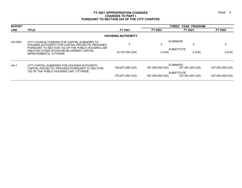| <b>BUDGET</b>  |                                                                                                                                                        |                          |                  | THREE YEAR PROGRAM                    |                  |
|----------------|--------------------------------------------------------------------------------------------------------------------------------------------------------|--------------------------|------------------|---------------------------------------|------------------|
| <b>LINE</b>    | <b>TITLE</b>                                                                                                                                           | FY 2021                  | FY 2022          | FY 2023                               | FY 2024          |
|                |                                                                                                                                                        | <b>HOUSING AUTHORITY</b> |                  |                                       |                  |
| <b>HA-D001</b> | CITY COUNCIL FUNDING FOR CAPITAL SUBSIDIES TO<br>HOUSING AUTHORITY FOR CAPITAL PROJECTS. PROVIDED<br>PURSUANT TO SECTION 102 OF THE PUBLIC HOUSING LAW | $\mathbf 0$              | 0                | <b>ELIMINATE</b>                      | 0                |
|                | AND FOR OTHER NYCHA DEVELOPMENT CAPITAL<br>IMPROVEMENTS, CITYWIDE                                                                                      | 16,107,000 (CN)          | $0$ (CN)         | <b>SUBSTITUTE</b><br>$0$ (CN)         | $0$ (CN)         |
| $HA-1$         | CITY CAPITAL SUBSIDIES FOR HOUSING AUTHORITY<br>CAPITAL PROJECTS, PROVIDED PURSUANT TO SECTION                                                         | 348,873,380 (CN)         | 391,900,000 (CN) | <b>ELIMINATE</b><br>337,481,000 (CN)  | 337,500,000 (CN) |
|                | 102 OF THE PUBLIC HOUSING LAW, CITYWIDE.                                                                                                               | 370,873,380 (CN)         | 391,900,000 (CN) | <b>SUBSTITUTE</b><br>337,481,000 (CN) | 337,500,000 (CN) |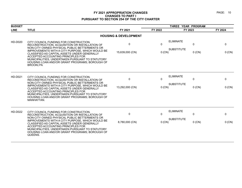| <b>BUDGET</b>  |                                                                                                                                                                                                                                                                                                                                                                                                               |                                  | THREE YEAR PROGRAM       |                                                                  |                        |  |
|----------------|---------------------------------------------------------------------------------------------------------------------------------------------------------------------------------------------------------------------------------------------------------------------------------------------------------------------------------------------------------------------------------------------------------------|----------------------------------|--------------------------|------------------------------------------------------------------|------------------------|--|
| <b>LINE</b>    | <b>TITLE</b>                                                                                                                                                                                                                                                                                                                                                                                                  | FY 2021                          | FY 2022                  | FY 2023                                                          | FY 2024                |  |
|                |                                                                                                                                                                                                                                                                                                                                                                                                               | <b>HOUSING &amp; DEVELOPMENT</b> |                          |                                                                  |                        |  |
| HD-D020        | CITY COUNCIL FUNDING FOR CONSTRUCTION,<br>RECONSTRUCTION, ACQUISITION OR INSTALLATION OF<br>NON-CITY OWNED PHYSICAL PUBLIC BETTERMENTS OR<br>IMPROVEMENTS WITH A CITY PURPOSE, WHICH WOULD BE<br>CLASSIFIED AS CAPITAL ASSETS UNDER GENERALLY<br>ACCEPTED ACCOUNTING PRINCIPLES FOR<br>MUNICIPALITIES, UNDERTAKEN PURSUANT TO STATUTORY<br>HOUSING LOAN AND/OR GRANT PROGRAMS; BOROUGH OF<br><b>BROOKLYN.</b> | $\mathbf 0$<br>15,639,000 (CN)   | $\mathbf 0$<br>0(CN)     | <b>ELIMINATE</b><br>$\mathbf 0$<br><b>SUBSTITUTE</b><br>$0$ (CN) | $\mathbf 0$<br>0 (CN)  |  |
| <b>HD-D021</b> | CITY COUNCIL FUNDING FOR CONSTRUCTION.<br>RECONSTRUCTION, ACQUISITION OR INSTALLATION OF<br>NON-CITY OWNED PHYSICAL PUBLIC BETTERMENTS OR<br>IMPROVEMENTS WITH A CITY PURPOSE, WHICH WOULD BE<br>CLASSIFIED AS CAPITAL ASSETS UNDER GENERALLY<br>ACCEPTED ACCOUNTING PRINCIPLES FOR<br>MUNICIPALITIES, UNDERTAKEN PURSUANT TO STATUTORY<br>HOUSING LOAN AND/OR GRANT PROGRAMS; BOROUGH OF<br>MANHATTAN.       | $\mathbf 0$<br>13,292,000 (CN)   | 0<br>$0$ (CN)            | <b>ELIMINATE</b><br>0<br><b>SUBSTITUTE</b><br>$0$ (CN)           | $\mathbf 0$<br>0 (CN)  |  |
| HD-D022        | CITY COUNCIL FUNDING FOR CONSTRUCTION,<br>RECONSTRUCTION, ACQUISITION OR INSTALLATION OF<br>NON-CITY OWNED PHYSICAL PUBLIC BETTERMENTS OR<br>IMPROVEMENTS WITH A CITY PURPOSE, WHICH WOULD BE<br>CLASSIFIED AS CAPITAL ASSETS UNDER GENERALLY<br>ACCEPTED ACCOUNTING PRINCIPLES FOR<br>MUNICIPALITIES, UNDERTAKEN PURSUANT TO STATUTORY<br>HOUSING LOAN AND/OR GRANT PROGRAMS; BOROUGH OF<br>QUEENS.          | 0<br>8,780,000 (CN)              | $\mathbf{0}$<br>$0$ (CN) | <b>ELIMINATE</b><br>$\Omega$<br><b>SUBSTITUTE</b><br>$0$ (CN)    | $\mathbf{0}$<br>0 (CN) |  |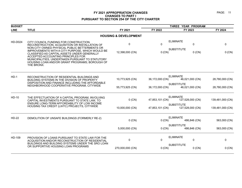| <b>BUDGET</b>  |                                                                                                                                                                                                                                                                                                             |                                  |                 | THREE YEAR PROGRAM                    |                  |  |  |
|----------------|-------------------------------------------------------------------------------------------------------------------------------------------------------------------------------------------------------------------------------------------------------------------------------------------------------------|----------------------------------|-----------------|---------------------------------------|------------------|--|--|
| <b>LINE</b>    | <b>TITLE</b>                                                                                                                                                                                                                                                                                                | FY 2021                          | FY 2022         | FY 2023                               | FY 2024          |  |  |
|                |                                                                                                                                                                                                                                                                                                             | <b>HOUSING &amp; DEVELOPMENT</b> |                 |                                       |                  |  |  |
| <b>HD-D024</b> | CITY COUNCIL FUNDING FOR CONSTRUCTION,<br>RECONSTRUCTION, ACQUISITION OR INSTALLATION OF                                                                                                                                                                                                                    | $\mathbf 0$                      | $\Omega$        | <b>ELIMINATE</b><br>$\mathbf 0$       | 0                |  |  |
|                | NON-CITY OWNED PHYSICAL PUBLIC BETTERMENTS OR<br>IMPROVEMENTS WITH A CITY PURPOSE, WHICH WOULD BE<br>CLASSIFIED AS CAPITAL ASSETS UNDER GENERALLY<br>ACCEPTED ACCOUNTING PRINCIPLES FOR<br>MUNICIPALITIES, UNDERTAKEN PURSUANT TO STATUTORY<br>HOUSING LOAN AND/OR GRANT PROGRAMS; BOROUGH OF<br>THE BRONX. | 12,398,000 (CN)                  | $0$ (CN)        | <b>SUBSTITUTE</b><br>$0$ (CN)         | 0 (CN)           |  |  |
| $HD-1$         | RECONSTRUCTION OF RESIDENTIAL BUILDINGS AND<br>BUILDING SYSTEMS IN THE DIVISION OF PROPERTY<br>DISPOSITION AND FINANCE INCLUDING THE AFFORDABLE                                                                                                                                                             | 10,773,925 (CN)                  | 36,172,000 (CN) | <b>ELIMINATE</b><br>46,021,000 (CN)   | 28,780,000 (CN)  |  |  |
|                | NEIGHBORHOOD COOPERATIVE PROGRAM, CITYWIDE                                                                                                                                                                                                                                                                  | 55,773,925 (CN)                  | 36,172,000 (CN) | <b>SUBSTITUTE</b><br>46,021,000 (CN)  | 28,780,000 (CN)  |  |  |
| HD-10          | THE EFFECTUATION OF A CAPITAL PROGRAM, INVOLVING<br>CAPITAL INVESTMENTS PURSUANT TO STATE LAW, TO                                                                                                                                                                                                           | $0$ (CN)                         | 47,853,101 (CN) | <b>ELIMINATE</b><br>127,528,000 (CN)  | 139,481,000 (CN) |  |  |
|                | ENSURE LONG-TERM AFFORDABILITY OF LOW INCOME<br>HOUSING TAX CREDIT (LIHTC) PROJECTS, CITYWIDE                                                                                                                                                                                                               | 10,000,000 (CN)                  | 47,853,101 (CN) | <b>SUBSTITUTE</b><br>127,528,000 (CN) | 139,481,000 (CN) |  |  |
| <b>HD-22</b>   | DEMOLITION OF UNSAFE BUILDINGS (FORMERLY RE-2)                                                                                                                                                                                                                                                              | $0$ (CN)                         | 0 (CN)          | <b>ELIMINATE</b><br>486,846 (CN)      | 563,000 (CN)     |  |  |
|                |                                                                                                                                                                                                                                                                                                             | 5,000,000 (CN)                   | 0 (CN)          | <b>SUBSTITUTE</b><br>486,846 (CN)     | 563,000 (CN)     |  |  |
| HD-109         | PROVISION OF LOANS PURSUANT TO STATE LAW FOR THE<br>ACQUISITION AND/OR RECONSTRUCTION OF RESIDENTIAL                                                                                                                                                                                                        | $\mathbf 0$                      | 0               | <b>ELIMINATE</b><br>$\mathbf 0$       | 0                |  |  |
|                | BUILDINGS AND BUILDING SYSTEMS UNDER THE SRO LOAN<br>OR SUPPORTIVE HOUSING LOAN PROGRAMS                                                                                                                                                                                                                    | 270,000,000 (CN)                 | $0$ (CN)        | <b>SUBSTITUTE</b><br>$0$ (CN)         | 0 (CN)           |  |  |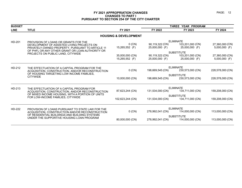| <b>BUDGET</b> |                                                                                                                  |                                  |                                   | THREE YEAR PROGRAM                 |                                    |
|---------------|------------------------------------------------------------------------------------------------------------------|----------------------------------|-----------------------------------|------------------------------------|------------------------------------|
| <b>LINE</b>   | <b>TITLE</b>                                                                                                     | FY 2021                          | FY 2022                           | FY 2023                            | FY 2024                            |
|               |                                                                                                                  | <b>HOUSING &amp; DEVELOPMENT</b> |                                   |                                    |                                    |
| HD-201        | PROVISION OF LOANS OR GRANTS FOR THE                                                                             |                                  |                                   | <b>ELIMINATE</b>                   |                                    |
|               | DEVELOPMENT OF ASSISTED LIVING PROJECTS ON<br>PRIVATELY-OWNED PROPERTY, PURSUANT TO ARTICLE 11                   | $0$ (CN)<br>15,265,552 (F)       | 90,119,322 (CN)<br>25,000,000 (F) | 103,201,000 (CN)<br>25,000,000 (F) | 27,360,000 (CN)<br>$5,000,000$ (F) |
|               | OF PHFL OR ANY OTHER GRANT OR LOAN AUTHORITY OR                                                                  |                                  |                                   | <b>SUBSTITUTE</b>                  |                                    |
|               | PROJECTS ON PUBLIC LAND, CITYWIDE                                                                                | 35,000,000 (CN)                  | 90,119,322 (CN)                   | 103,201,000 (CN)                   | 27,360,000 (CN)                    |
|               |                                                                                                                  | 15,265,552 (F)                   | 25,000,000 (F)                    | 25,000,000 (F)                     | $5,000,000$ (F)                    |
| HD-212        | THE EFFECTUATION OF A CAPITAL PROGRAM FOR THE                                                                    |                                  |                                   | <b>ELIMINATE</b>                   |                                    |
|               | ACQUISITION, CONSTRUCTION, AND/OR RECONSTRUCTION<br>OF HOUSING TARGETING LOW INCOME FAMILIES.<br><b>CITYWIDE</b> | $0$ (CN)                         | 198,669,545 (CN)                  | 230,573,000 (CN)                   | 228,578,000 (CN)                   |
|               |                                                                                                                  | <b>SUBSTITUTE</b>                |                                   |                                    |                                    |
|               |                                                                                                                  | 10,000,000 (CN)                  | 198,669,545 (CN)                  | 230,573,000 (CN)                   | 228,578,000 (CN)                   |
| HD-213        | THE EFFECTUATION OF A CAPITAL PROGRAM FOR                                                                        |                                  |                                   | <b>ELIMINATE</b>                   |                                    |
|               | ACQUISITION, CONSTRUCTION, AND/OR RECONSTRUCTION                                                                 | 87,623,244 (CN)                  | 131,534,000 (CN)                  | 134,711,000 (CN)                   | 159,208,000 (CN)                   |
|               | OF MIXED INCOME HOUSING, WITH A PORTION OF UNITS                                                                 |                                  |                                   | <b>SUBSTITUTE</b>                  |                                    |
|               | FOR LOW-INCOME FAMILIES, CITYWIDE                                                                                | 102,623,244 (CN)                 | 131,534,000 (CN)                  | 134,711,000 (CN)                   | 159,208,000 (CN)                   |
| HD-222        | PROVISION OF LOANS PURSUANT TO STATE LAW FOR THE                                                                 |                                  |                                   | <b>ELIMINATE</b>                   |                                    |
|               | ACQUISITION, CONSTRUCTION AND/OR RECONSTRUCTION                                                                  | $0$ (CN)                         | 278,992,041 (CN)                  | 114,000,000 (CN)                   | 113,000,000 (CN)                   |
|               | OF RESIDENTIAL BUILDINGS AND BUILDING SYSTEMS                                                                    |                                  |                                   | <b>SUBSTITUTE</b>                  |                                    |
|               | UNDER THE SUPPORTIVE HOUSING LOAN PROGRAM                                                                        | 80,000,000 (CN)                  | 278,992,041 (CN)                  | 114,000,000 (CN)                   | 113,000,000 (CN)                   |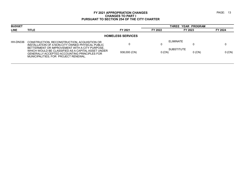| FY 2023                       | FY 2024 |
|-------------------------------|---------|
|                               |         |
|                               |         |
| <b>SUBSTITUTE</b><br>$0$ (CN) | 0 (CN)  |
|                               |         |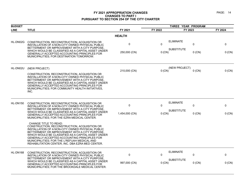| <b>BUDGET</b> |                                                                                                                                                                                                                                                                                                                                                                                              |                | THREE YEAR PROGRAM |                               |         |
|---------------|----------------------------------------------------------------------------------------------------------------------------------------------------------------------------------------------------------------------------------------------------------------------------------------------------------------------------------------------------------------------------------------------|----------------|--------------------|-------------------------------|---------|
| <b>LINE</b>   | <b>TITLE</b>                                                                                                                                                                                                                                                                                                                                                                                 | FY 2021        | FY 2022            | FY 2023                       | FY 2024 |
|               |                                                                                                                                                                                                                                                                                                                                                                                              | <b>HEALTH</b>  |                    |                               |         |
| HL-DN02G      | CONSTRUCTION, RECONSTRUCTION, ACQUISITION OR<br>INSTALLATION OF A NON-CITY OWNED PHYSICAL PUBLIC<br>BETTERMENT OR IMPROVEMENT WITH A CITY PURPOSE.                                                                                                                                                                                                                                           | $\mathbf 0$    | $\Omega$           | <b>ELIMINATE</b><br>0         | 0       |
|               | WHICH WOULD BE CLASSIFIED AS A CAPITAL ASSET UNDER<br>GENERALLY ACCEPTED ACCOUNTING PRINCIPLES FOR<br>MUNICIPALITIES; FOR DESTINATION TOMORROW.                                                                                                                                                                                                                                              | 250,000 (CN)   | 0 (CN)             | <b>SUBSTITUTE</b><br>$0$ (CN) | 0 (CN)  |
| HL-DN02U      | (NEW PROJECT)                                                                                                                                                                                                                                                                                                                                                                                | 210,000 (CN)   | $0$ (CN)           | (NEW PROJECT)<br>$0$ (CN)     | 0 (CN)  |
|               | CONSTRUCTION, RECONSTRUCTION, ACQUISITION OR<br>INSTALLATION OF A NON-CITY OWNED PHYSICAL PUBLIC<br>BETTERMENT OR IMPROVEMENT WITH A CITY PURPOSE,<br>WHICH WOULD BE CLASSIFIED AS A CAPITAL ASSET UNDER<br>GENERALLY ACCEPTED ACCOUNTING PRINCIPLES FOR<br>MUNICIPALITIES; FOR COMMUNITY HEALTH INITIATIVES,<br>INC.                                                                        |                |                    |                               |         |
| HL-DN150      | CONSTRUCTION, RECONSTRUCTION, ACQUISITION OR<br>INSTALLATION OF A NON-CITY OWNED PHYSICAL PUBLIC                                                                                                                                                                                                                                                                                             | $\mathbf 0$    | $\Omega$           | <b>ELIMINATE</b><br>0         | 0       |
|               | BETTERMENT OR IMPROVEMENT WITH A CITY PURPOSE,<br>WHICH WOULD BE CLASSIFIED AS A CAPITAL ASSET UNDER<br>GENERALLY ACCEPTED ACCOUNTING PRINCIPLES FOR<br>MUNICIPALITIES; FOR THE EZRA MEDICAL CENTER.                                                                                                                                                                                         | 1,454,000 (CN) | 0 (CN)             | <b>SUBSTITUTE</b><br>$0$ (CN) | 0 (CN)  |
|               | <b>CHANGE TITLE TO READ:</b><br>CONSTRUCTION, RECONSTRUCTION, ACQUISITION OR<br>INSTALLATION OF A NON-CITY OWNED PHYSICAL PUBLIC<br>BETTERMENT OR IMPROVEMENT WITH A CITY PURPOSE,<br>WHICH WOULD BE CLASSIFIED AS A CAPITAL ASSET UNDER<br>GENERALLY ACCEPTED ACCOUNTING PRINCIPLES FOR<br>MUNICIPALITIES; FOR THE L'REFUAH MEDICAL AND<br>REHABILITATION CENTER, INC. DBA EZRA MED CENTER. |                |                    |                               |         |
| HL-DN168      | CONSTRUCTION, RECONSTRUCTION, ACQUISITION OR<br>INSTALLATION OF A NON-CITY OWNED PHYSICAL PUBLIC                                                                                                                                                                                                                                                                                             | 0              | 0                  | <b>ELIMINATE</b><br>0         | 0       |
|               | BETTERMENT OR IMPROVEMENT WITH A CITY PURPOSE,<br>WHICH WOULD BE CLASSIFIED AS A CAPITAL ASSET UNDER<br>GENERALLY ACCEPTED ACCOUNTING PRINCIPLES FOR<br>MUNICIPALITIES; FOR THE BROOKDALE MEDICAL CENTER.                                                                                                                                                                                    | 997,000 (CN)   | 0 (CN)             | <b>SUBSTITUTE</b><br>$0$ (CN) | 0 (CN)  |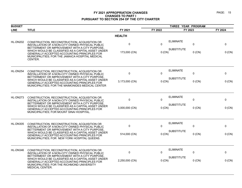| <b>BUDGET</b>   |                                                                                                                                                                                                                        |                |          | THREE YEAR PROGRAM                         |                      |
|-----------------|------------------------------------------------------------------------------------------------------------------------------------------------------------------------------------------------------------------------|----------------|----------|--------------------------------------------|----------------------|
| <b>LINE</b>     | <b>TITLE</b>                                                                                                                                                                                                           | FY 2021        | FY 2022  | FY 2023                                    | FY 2024              |
|                 |                                                                                                                                                                                                                        | <b>HEALTH</b>  |          |                                            |                      |
| <b>HL-DN202</b> | CONSTRUCTION, RECONSTRUCTION, ACQUISITION OR<br>INSTALLATION OF A NON-CITY OWNED PHYSICAL PUBLIC<br>BETTERMENT OR IMPROVEMENT WITH A CITY PURPOSE.                                                                     | $\mathbf 0$    | $\Omega$ | <b>ELIMINATE</b><br>0                      | 0                    |
|                 | WHICH WOULD BE CLASSIFIED AS A CAPITAL ASSET UNDER<br>GENERALLY ACCEPTED ACCOUNTING PRINCIPLES FOR<br>MUNICIPALITIES; FOR THE JAMAICA HOSPITAL MEDICAL<br>CENTER.                                                      | 173,000 (CN)   | $0$ (CN) | <b>SUBSTITUTE</b>                          | $0$ (CN)<br>0 (CN)   |
| HL-DN254        | CONSTRUCTION, RECONSTRUCTION, ACQUISITION OR<br>INSTALLATION OF A NON-CITY OWNED PHYSICAL PUBLIC<br>BETTERMENT OR IMPROVEMENT WITH A CITY PURPOSE                                                                      | $\mathbf 0$    | $\Omega$ | <b>ELIMINATE</b><br>0<br><b>SUBSTITUTE</b> | 0                    |
|                 | WHICH WOULD BE CLASSIFIED AS A CAPITAL ASSET UNDER<br>GENERALLY ACCEPTED ACCOUNTING PRINCIPLES FOR<br>MUNICIPALITIES; FOR THE MAIMONIDES MEDICAL CENTER                                                                | 3,173,000 (CN) | 0 (CN)   |                                            | $0$ (CN)<br>0 (CN)   |
| HL-DN273        | CONSTRUCTION, RECONSTRUCTION, ACQUISITION OR<br>INSTALLATION OF A NON-CITY OWNED PHYSICAL PUBLIC                                                                                                                       | 0              | $\Omega$ | <b>ELIMINATE</b><br>0                      | 0                    |
|                 | BETTERMENT OR IMPROVEMENT WITH A CITY PURPOSE,<br>WHICH WOULD BE CLASSIFIED AS A CAPITAL ASSET UNDER<br>GENERALLY ACCEPTED ACCOUNTING PRINCIPLES FOR<br>MUNICIPALITIES; FOR MOUNT SINAI HOSPITAL.                      | 3,000,000 (CN) | 0(CN)    | <b>SUBSTITUTE</b>                          | 0 (CN)<br>$0$ (CN)   |
| <b>HL-DN305</b> | CONSTRUCTION, RECONSTRUCTION, ACQUISITION OR<br>INSTALLATION OF A NON-CITY OWNED PHYSICAL PUBLIC                                                                                                                       | $\mathbf{0}$   | $\Omega$ | <b>ELIMINATE</b><br>$\Omega$               | 0                    |
|                 | BETTERMENT OR IMPROVEMENT WITH A CITY PURPOSE,<br>WHICH WOULD BE CLASSIFIED AS A CAPITAL ASSET UNDER<br>GENERALLY ACCEPTED ACCOUNTING PRINCIPLES FOR<br>MUNICIPALITIES; FOR NEW YORK HOSPITAL QUEENS.                  | 514,000 (CN)   | $0$ (CN) | <b>SUBSTITUTE</b>                          | $0$ (CN)<br>$0$ (CN) |
| HL-DN346        | CONSTRUCTION, RECONSTRUCTION, ACQUISITION OR<br>INSTALLATION OF A NON-CITY OWNED PHYSICAL PUBLIC                                                                                                                       | 0              | $\Omega$ | <b>ELIMINATE</b><br>0                      | 0                    |
|                 | BETTERMENT OR IMPROVEMENT WITH A CITY PURPOSE,<br>WHICH WOULD BE CLASSIFIED AS A CAPITAL ASSET UNDER<br>GENERALLY ACCEPTED ACCOUNTING PRINCIPLES FOR<br>MUNICIPALITIES; FOR THE RICHMOND UNIVERSITY<br>MEDICAL CENTER. | 2,250,000 (CN) | $0$ (CN) | <b>SUBSTITUTE</b>                          | $0$ (CN)<br>0 (CN)   |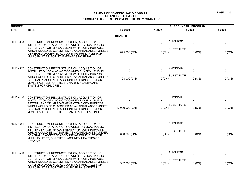| <b>BUDGET</b>   |                                                                                                                                                                                                                                                                                                             |                 | THREE YEAR PROGRAM          |                   |             |          |
|-----------------|-------------------------------------------------------------------------------------------------------------------------------------------------------------------------------------------------------------------------------------------------------------------------------------------------------------|-----------------|-----------------------------|-------------------|-------------|----------|
| <b>LINE</b>     | <b>TITLE</b>                                                                                                                                                                                                                                                                                                | FY 2021         | FY 2022                     | FY 2023           |             | FY 2024  |
|                 |                                                                                                                                                                                                                                                                                                             | <b>HEALTH</b>   |                             |                   |             |          |
| HL-DN363        | CONSTRUCTION, RECONSTRUCTION, ACQUISITION OR<br>INSTALLATION OF A NON-CITY OWNED PHYSICAL PUBLIC<br>BETTERMENT OR IMPROVEMENT WITH A CITY PURPOSE,                                                                                                                                                          | $\mathbf 0$     | $\Omega$                    | <b>ELIMINATE</b>  | 0           | 0        |
|                 | WHICH WOULD BE CLASSIFIED AS A CAPITAL ASSET UNDER<br>GENERALLY ACCEPTED ACCOUNTING PRINCIPLES FOR<br>MUNICIPALITIES; FOR ST. BARNABAS HOSPITAL.                                                                                                                                                            | 875,000 (CN)    | 0 (CN)                      | <b>SUBSTITUTE</b> | $0$ (CN)    | 0 (CN)   |
| HL-DN367        | CONSTRUCTION, RECONSTRUCTION, ACQUISITION OR<br>INSTALLATION OF A NON-CITY OWNED PHYSICAL PUBLIC<br>BETTERMENT OR IMPROVEMENT WITH A CITY PURPOSE,                                                                                                                                                          | 0               | 0                           | <b>ELIMINATE</b>  | $\mathbf 0$ | 0        |
|                 | WHICH WOULD BE CLASSIFIED AS A CAPITAL ASSET UNDER<br>GENERALLY ACCEPTED ACCOUNTING PRINCIPLES FOR<br>MUNICIPALITIES; FOR THE ST. MARY'S HEALTHCARE<br>SYSTEM FOR CHILDREN.                                                                                                                                 | 308,000 (CN)    | <b>SUBSTITUTE</b><br>0 (CN) |                   | $0$ (CN)    | 0 (CN)   |
| <b>HL-DN440</b> | CONSTRUCTION, RECONSTRUCTION, ACQUISITION OR<br>INSTALLATION OF A NON-CITY OWNED PHYSICAL PUBLIC<br>BETTERMENT OR IMPROVEMENT WITH A CITY PURPOSE,<br>WHICH WOULD BE CLASSIFIED AS A CAPITAL ASSET UNDER<br>GENERALLY ACCEPTED ACCOUNTING PRINCIPLES FOR<br>MUNICIPALITIES; FOR THE URBAN HEALTH PLAN, INC. | $\mathbf 0$     | 0                           | <b>ELIMINATE</b>  | 0           | 0        |
|                 |                                                                                                                                                                                                                                                                                                             | 10,000,000 (CN) | 0 (CN)                      | <b>SUBSTITUTE</b> | $0$ (CN)    | 0 (CN)   |
| HL-DN561        | CONSTRUCTION, RECONSTRUCTION, ACQUISITION OR<br>INSTALLATION OF A NON-CITY OWNED PHYSICAL PUBLIC                                                                                                                                                                                                            | $\mathbf 0$     | 0                           | <b>ELIMINATE</b>  | $\Omega$    | $\Omega$ |
|                 | BETTERMENT OR IMPROVEMENT WITH A CITY PURPOSE,<br>WHICH WOULD BE CLASSIFIED AS A CAPITAL ASSET UNDER<br>GENERALLY ACCEPTED ACCOUNTING PRINCIPLES FOR<br>MUNICIPALITIES; FOR THE COMMUNITY HEALTHCARE<br>NETWORK.                                                                                            | 650,000 (CN)    | $0$ (CN)                    | <b>SUBSTITUTE</b> | $0$ (CN)    | 0 (CN)   |
| HL-DN563        | CONSTRUCTION, RECONSTRUCTION, ACQUISITION OR<br>INSTALLATION OF A NON-CITY OWNED PHYSICAL PUBLIC                                                                                                                                                                                                            | 0               | $\Omega$                    | <b>ELIMINATE</b>  | $\Omega$    | 0        |
|                 | BETTERMENT OR IMPROVEMENT WITH A CITY PURPOSE,<br>WHICH WOULD BE CLASSIFIED AS A CAPITAL ASSET UNDER<br>GENERALLY ACCEPTED ACCOUNTING PRINCIPLES FOR<br>MUNICIPALITIES; FOR THE NYU HOSPITALS CENTER.                                                                                                       | 937,000 (CN)    | 0(CN)                       | <b>SUBSTITUTE</b> | $0$ (CN)    | $0$ (CN) |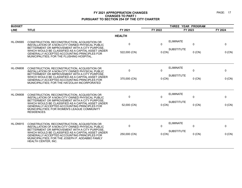| <b>BUDGET</b>   |                                                                                                                                                                                                                                |               | THREE YEAR PROGRAM |                                 |             |  |
|-----------------|--------------------------------------------------------------------------------------------------------------------------------------------------------------------------------------------------------------------------------|---------------|--------------------|---------------------------------|-------------|--|
| <b>LINE</b>     | <b>TITLE</b>                                                                                                                                                                                                                   | FY 2021       | FY 2022            | FY 2023                         | FY 2024     |  |
|                 |                                                                                                                                                                                                                                | <b>HEALTH</b> |                    |                                 |             |  |
| HL-DN565        | CONSTRUCTION, RECONSTRUCTION, ACQUISITION OR<br>INSTALLATION OF A NON-CITY OWNED PHYSICAL PUBLIC<br>BETTERMENT OR IMPROVEMENT WITH A CITY PURPOSE,                                                                             | 0             | $\mathbf{0}$       | <b>ELIMINATE</b><br>$\mathbf 0$ | $\mathbf 0$ |  |
|                 | WHICH WOULD BE CLASSIFIED AS A CAPITAL ASSET UNDER<br>GENERALLY ACCEPTED ACCOUNTING PRINCIPLES FOR<br>MUNICIPALITIES: FOR THE FLUSHING HOSPITAL.                                                                               | 522,000 (CN)  | $0$ (CN)           | <b>SUBSTITUTE</b><br>$0$ (CN)   | 0 (CN)      |  |
| HL-DN808        | CONSTRUCTION, RECONSTRUCTION, ACQUISITION OR<br>INSTALLATION OF A NON-CITY OWNED PHYSICAL PUBLIC<br>BETTERMENT OR IMPROVEMENT WITH A CITY PURPOSE.                                                                             | $\mathbf 0$   | $\mathbf{0}$       | <b>ELIMINATE</b><br>$\Omega$    | 0           |  |
|                 | WHICH WOULD BE CLASSIFIED AS A CAPITAL ASSET UNDER<br><b>GENERALLY ACCEPTED ACCOUNTING PRINCIPLES FOR</b><br>MUNICIPALITIES; FOR THE HATZOLAH INCORPORATED                                                                     | 370,000 (CN)  | $0$ (CN)           | <b>SUBSTITUTE</b><br>$0$ (CN)   | 0 (CN)      |  |
| HL-DN908        | CONSTRUCTION, RECONSTRUCTION, ACQUISITION OR<br>INSTALLATION OF A NON-CITY OWNED PHYSICAL PUBLIC                                                                                                                               | 0             | $\mathbf{0}$       | <b>ELIMINATE</b><br>$\mathbf 0$ | $\mathbf 0$ |  |
|                 | BETTERMENT OR IMPROVEMENT WITH A CITY PURPOSE.<br>WHICH WOULD BE CLASSIFIED AS A CAPITAL ASSET UNDER<br>GENERALLY ACCEPTED ACCOUNTING PRINCIPLES FOR<br>MUNICIPALITIES; FOR WOMEN'S LEAGUE COMMUNITY<br><b>RESIDENCES.</b>     | 52,000 (CN)   | 0 (CN)             | <b>SUBSTITUTE</b><br>$0$ (CN)   | $0$ (CN)    |  |
| <b>HL-DN915</b> | CONSTRUCTION, RECONSTRUCTION, ACQUISITION OR<br>INSTALLATION OF A NON-CITY OWNED PHYSICAL PUBLIC                                                                                                                               | 0             | $\mathbf{0}$       | <b>ELIMINATE</b><br>0           | $\mathbf 0$ |  |
|                 | BETTERMENT OR IMPROVEMENT WITH A CITY PURPOSE<br>WHICH WOULD BE CLASSIFIED AS A CAPITAL ASSET UNDER<br>GENERALLY ACCEPTED ACCOUNTING PRINCIPLES FOR<br>MUNICIPALITIES; FOR THE JOSEPH P. ADDABBO FAMILY<br>HEALTH CENTER, INC. | 250,000 (CN)  | $0$ (CN)           | <b>SUBSTITUTE</b><br>$0$ (CN)   | 0 (CN)      |  |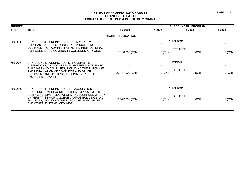| <b>BUDGET</b>  |                                                                                                                                                                                                                                    |                             |             | THREE YEAR PROGRAM                                            |             |
|----------------|------------------------------------------------------------------------------------------------------------------------------------------------------------------------------------------------------------------------------------|-----------------------------|-------------|---------------------------------------------------------------|-------------|
| <b>LINE</b>    | <b>TITLE</b>                                                                                                                                                                                                                       | FY 2021                     | FY 2022     | FY 2023                                                       | FY 2024     |
|                |                                                                                                                                                                                                                                    | <b>HIGHER EDUCATION</b>     |             |                                                               |             |
| HN-D003        | CITY COUNCIL FUNDING FOR CITY UNIVERSITY<br>PURCHASES OF ELECTRONIC DATA PROCESSING<br>EQUIPMENT FOR ADMINISTRATIVE AND INSTRUCTIONAL                                                                                              | $\Omega$                    | $\Omega$    | <b>ELIMINATE</b><br>$\mathbf{0}$                              | 0           |
|                | PURPOSES IN THE COMMUNITY COLLEGES, CITYWIDE                                                                                                                                                                                       | $3,100,000$ (CN)            | 0 (CN)      | <b>SUBSTITUTE</b><br>$0$ (CN)                                 | 0(CN)       |
| <b>HN-D004</b> | CITY COUNCIL FUNDING FOR IMPROVEMENTS.<br>ALTERATIONS, AND COMPREHENSIVE RENOVATIONS TO<br>BUILDINGS AND CAMPUSES, INCLUDING THE PURCHASE<br>AND INSTALLATION OF COMPUTER AND OTHER<br>EQUIPMENT AND SYSTEMS, AT COMMUNITY COLLEGE | $\Omega$<br>20,731,000 (CN) | 0<br>0 (CN) | <b>ELIMINATE</b><br>$\Omega$<br><b>SUBSTITUTE</b><br>$0$ (CN) | 0<br>0 (CN) |
| HN-D300        | CAMPUSES CITYWIDE.<br>CITY COUNCIL FUNDING FOR SITE ACQUISITION.<br>CONSTRUCTION, RECONSTRUCTION, IMPROVEMENTS,<br>COMPREHENSIVE RENOVATIONS AND ADDITIONS OF CITY                                                                 | $\Omega$                    | 0           | <b>ELIMINATE</b><br>$\Omega$                                  | 0           |
|                | UNIVERSITY SENIOR COLLEGE CAMPUS BUILDINGS AND<br>FACILITIES, INCLUDING THE PURCHASE OF EQUIPMENT<br>AND OTHER SYSTEMS, CITYWIDE.                                                                                                  | 16,972,000 (CN)             | 0 (CN)      | <b>SUBSTITUTE</b><br>$0$ (CN)                                 | 0(CN)       |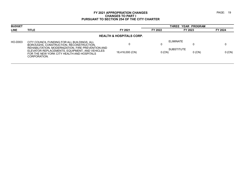| <b>BUDGET</b> |                                                                                                                                                                    |                                     |          | <b>THREE YEAR PROGRAM</b>     |          |
|---------------|--------------------------------------------------------------------------------------------------------------------------------------------------------------------|-------------------------------------|----------|-------------------------------|----------|
| <b>LINE</b>   | <b>TITLE</b>                                                                                                                                                       | FY 2021                             | FY 2022  | FY 2023                       | FY 2024  |
|               |                                                                                                                                                                    | <b>HEALTH &amp; HOSPITALS CORP.</b> |          |                               |          |
| HO-D003       | CITY COUNCIL FUNDING FOR ALL BUILDINGS, ALL<br>BOROUGHS, CONSTRUCTION, RECONSTRUCTION,                                                                             |                                     | O        | ELIMINATE                     |          |
|               | REHABILITATION, MODERNIZATION, FIRE PREVENTION AND<br>ELEVATOR REPLACEMENTS, EQUIPMENT, AND VEHICLES<br>FOR THE NEW YORK CITY HEALTH AND HOSPITALS<br>CORPORATION. | 18,416,000 (CN)                     | $0$ (CN) | <b>SUBSTITUTE</b><br>$0$ (CN) | $0$ (CN) |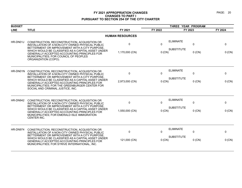| <b>BUDGET</b> |                                                                                                                                                                                                                                                                                                                                                 |                        |                       | THREE YEAR PROGRAM                                                |             |
|---------------|-------------------------------------------------------------------------------------------------------------------------------------------------------------------------------------------------------------------------------------------------------------------------------------------------------------------------------------------------|------------------------|-----------------------|-------------------------------------------------------------------|-------------|
| <b>LINE</b>   | <b>TITLE</b>                                                                                                                                                                                                                                                                                                                                    | FY 2021                | FY 2022               | FY 2023                                                           | FY 2024     |
|               |                                                                                                                                                                                                                                                                                                                                                 | <b>HUMAN RESOURCES</b> |                       |                                                                   |             |
| HR-DN01J      | CONSTRUCTION, RECONSTRUCTION, ACQUISITION OR<br>INSTALLATION OF A NON-CITY OWNED PHYSICAL PUBLIC<br>BETTERMENT OR IMPROVEMENT WITH A CITY PURPOSE.<br>WHICH WOULD BE CLASSIFIED AS A CAPITAL ASSET UNDER<br>GENERALLY ACCEPTED ACCOUNTING PRINCIPLES FOR<br>MUNICIPALITIES; FOR COUNCIL OF PEOPLES<br>ORGANIZATION (COPO).                      | 0<br>1,170,000 (CN)    | $\mathbf 0$<br>0 (CN) | <b>ELIMINATE</b><br>$\mathbf 0$<br><b>SUBSTITUTE</b><br>$0$ (CN)  | 0<br>0 (CN) |
| HR-DN01N      | CONSTRUCTION, RECONSTRUCTION, ACQUISITION OR<br>INSTALLATION OF A NON-CITY OWNED PHYSICAL PUBLIC<br>BETTERMENT OR IMPROVEMENT WITH A CITY PURPOSE.<br>WHICH WOULD BE CLASSIFIED AS A CAPITAL ASSET UNDER<br>GENERALLY ACCEPTED ACCOUNTING PRINCIPLES FOR<br>MUNICIPALITIES: FOR THE GREENBURGER CENTER FOR<br>SOCIAL AND CRIMINAL JUSTICE, INC. | 0<br>2,973,000 (CN)    | $\Omega$<br>$0$ (CN)  | <b>ELIMINATE</b><br>$\mathbf 0$<br><b>SUBSTITUTE</b><br>$0$ (CN)  | 0<br>0 (CN) |
| HR-DN942      | CONSTRUCTION, RECONSTRUCTION, ACQUISITION OR<br>INSTALLATION OF A NON-CITY OWNED PHYSICAL PUBLIC<br>BETTERMENT OR IMPROVEMENT WITH A CITY PURPOSE.<br>WHICH WOULD BE CLASSIFIED AS A CAPITAL ASSET UNDER<br>GENERALLY ACCEPTED ACCOUNTING PRINCIPLES FOR<br>MUNICIPALITIES; FOR EMERALD ISLE IMMIGRATION<br>CENTER INC.                         | 0<br>1,550,000 (CN)    | $\Omega$<br>$0$ (CN)  | <b>ELIMINATE</b><br>$\mathbf 0$<br><b>SUBSTITUTE</b><br>$0$ (CN)  | 0<br>0 (CN) |
| HR-DN974      | CONSTRUCTION, RECONSTRUCTION, ACQUISITION OR<br>INSTALLATION OF A NON-CITY OWNED PHYSICAL PUBLIC<br>BETTERMENT OR IMPROVEMENT WITH A CITY PURPOSE.<br>WHICH WOULD BE CLASSIFIED AS A CAPITAL ASSET UNDER<br>GENERALLY ACCEPTED ACCOUNTING PRINCIPLES FOR<br>MUNICIPALITIES; FOR STRIVE INTERNATIONAL, INC.                                      | 0<br>121,000 (CN)      | $\Omega$<br>0 (CN)    | <b>ELIMINATE</b><br>$\mathbf{0}$<br><b>SUBSTITUTE</b><br>$0$ (CN) | 0<br>0 (CN) |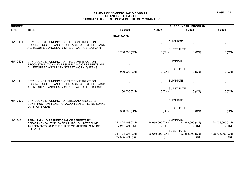| <b>BUDGET</b>  |                                                                                                                                              |                                    |                             | THREE YEAR PROGRAM                               |                             |
|----------------|----------------------------------------------------------------------------------------------------------------------------------------------|------------------------------------|-----------------------------|--------------------------------------------------|-----------------------------|
| <b>LINE</b>    | <b>TITLE</b>                                                                                                                                 | FY 2021                            | FY 2022                     | FY 2023                                          | FY 2024                     |
|                |                                                                                                                                              | <b>HIGHWAYS</b>                    |                             |                                                  |                             |
| <b>HW-D101</b> | CITY COUNCIL FUNDING FOR THE CONSTRUCTION.<br>RECONSTRUCTION AND RESURFACING OF STREETS AND<br>ALL REQUIRED ANCILLARY STREET WORK, BROOKLYN. | $\Omega$                           | $\mathbf{0}$                | <b>ELIMINATE</b><br>$\mathbf 0$                  | $\mathbf 0$                 |
|                |                                                                                                                                              | 1,200,000 (CN)                     | $0$ (CN)                    | <b>SUBSTITUTE</b><br>$0$ (CN)                    | 0 (CN)                      |
| HW-D103        | CITY COUNCIL FUNDING FOR THE CONSTRUCTION,<br>RECONSTRUCTION AND RESURFACING OF STREETS AND                                                  | $\Omega$                           | $\mathbf{0}$                | <b>ELIMINATE</b><br>$\mathbf 0$                  | $\mathbf 0$                 |
|                | ALL REQUIRED ANCILLARY STREET WORK, QUEENS                                                                                                   | 1,900,000 (CN)                     | $0$ (CN)                    | <b>SUBSTITUTE</b><br>$0$ (CN)                    | 0 (CN)                      |
| <b>HW-D105</b> | CITY COUNCIL FUNDING FOR THE CONSTRUCTION,<br>RECONSTRUCTION AND RESURFACING OF STREETS AND                                                  | 0                                  | $\mathbf 0$                 | <b>ELIMINATE</b><br>$\pmb{0}$                    | $\mathbf 0$                 |
|                | ALL REQUIRED ANCILLARY STREET WORK, THE BRONX                                                                                                | 250,000 (CN)                       | 0 (CN)                      | <b>SUBSTITUTE</b><br>$0$ (CN)                    | 0 (CN)                      |
| <b>HW-D200</b> | CITY COUNCIL FUNDING FOR SIDEWALK AND CURB<br>CONSTRUCTION, FENCING VACANT LOTS, FILLING SUNKEN                                              | $\Omega$                           | $\mathbf{0}$                | <b>ELIMINATE</b><br>$\mathbf 0$                  | $\mathbf 0$                 |
|                | LOTS, CITYWIDE.                                                                                                                              | 300,000 (CN)                       | 0(CN)                       | <b>SUBSTITUTE</b><br>$0$ (CN)                    | 0 (CN)                      |
| HW-349         | REPAVING AND RESURFACING OF STREETS BY<br>DEPARTMENTAL EMPLOYEES THROUGH INTERFUND<br>AGREEMENTS, AND PURCHASE OF MATERIALS TO BE            | 241,424,993 (CN)<br>7,981,991 (S)  | 129,650,000 (CN)<br>$0($ S) | <b>ELIMINATE</b><br>123,358,000 (CN)<br>$0($ S)  | 128,736,000 (CN)<br>$0($ S) |
|                | <b>UTILIZED</b>                                                                                                                              | 241,424,993 (CN)<br>27,605,991 (S) | 129,650,000 (CN)<br>$0($ S) | <b>SUBSTITUTE</b><br>123,358,000 (CN)<br>$0$ (S) | 128,736,000 (CN)<br>$0$ (S) |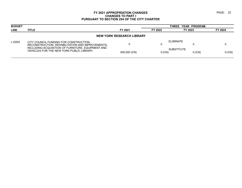| <b>BUDGET</b> |                                                                                                |                                  | THREE YEAR PROGRAM |                   |          |          |
|---------------|------------------------------------------------------------------------------------------------|----------------------------------|--------------------|-------------------|----------|----------|
| <b>LINE</b>   | <b>TITLE</b>                                                                                   | FY 2021                          | FY 2022            | FY 2023           |          | FY 2024  |
|               |                                                                                                | <b>NEW YORK RESEARCH LIBRARY</b> |                    |                   |          |          |
| L-D002        | CITY COUNCIL FUNDING FOR CONSTRUCTION.<br>RECONSTRUCTION, REHABILITATION AND IMPROVEMENTS,     |                                  | υ                  | ELIMINATE         |          |          |
|               | INCLUDING ACQUISITION OF FURNITURE, EQUIPMENT AND<br>VEHICLES FOR THE NEW YORK PUBLIC LIBRARY. | 450,000 (CN)                     | $0$ (CN)           | <b>SUBSTITUTE</b> | $0$ (CN) | $0$ (CN) |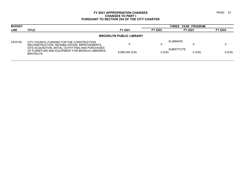| <b>BUDGET</b> |                                                                                                                           |                                | THREE YEAR PROGRAM |                               |          |  |
|---------------|---------------------------------------------------------------------------------------------------------------------------|--------------------------------|--------------------|-------------------------------|----------|--|
| <b>LINE</b>   | <b>TITLE</b>                                                                                                              | FY 2021                        | FY 2022            | FY 2023                       | FY 2024  |  |
|               |                                                                                                                           | <b>BROOKLYN PUBLIC LIBRARY</b> |                    |                               |          |  |
| LB-D104       | CITY COUNCIL FUNDING FOR THE CONSTRUCTION.<br>RECONSTRUCTION, REHABILITATION, IMPROVEMENTS,                               |                                | O                  | ELIMINATE                     |          |  |
|               | SITE ACQUISITION, INITIAL OUTFITTING AND PURCHASES<br>OF FURNITURE AND EQUIPMENT FOR BRANCH LIBRARIES.<br><b>BROOKLYN</b> | 9,956,000 (CN)                 | $0$ (CN)           | <b>SUBSTITUTE</b><br>$0$ (CN) | $0$ (CN) |  |
|               |                                                                                                                           |                                |                    |                               |          |  |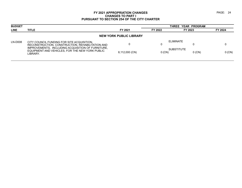| <b>BUDGET</b> |                                                                                                                  |                |                    | THREE YEAR PROGRAM            |          |  |  |  |
|---------------|------------------------------------------------------------------------------------------------------------------|----------------|--------------------|-------------------------------|----------|--|--|--|
| <b>LINE</b>   | <b>TITLE</b>                                                                                                     | FY 2021        | FY 2022<br>FY 2023 |                               | FY 2024  |  |  |  |
|               | <b>NEW YORK PUBLIC LIBRARY</b>                                                                                   |                |                    |                               |          |  |  |  |
| LN-D008       | CITY COUNCIL FUNDING FOR SITE ACQUISITION.<br>RECONSTRUCTION, CONSTRUCTION, REHABILITATION AND                   |                | O                  | <b>ELIMINATE</b>              |          |  |  |  |
|               | IMPROVEMENTS, INCLUDING ACQUISITION OF FURNITURE,<br>EQUIPMENT AND VEHICLES, FOR THE NEW YORK PUBLIC<br>LIBRARY. | 8,112,000 (CN) | $0$ (CN)           | <b>SUBSTITUTE</b><br>$0$ (CN) | $0$ (CN) |  |  |  |
|               |                                                                                                                  |                |                    |                               |          |  |  |  |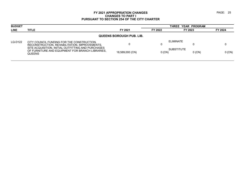| <b>BUDGET</b>                   |                                                                                                                         |                 | THREE YEAR PROGRAM |                               |          |  |  |
|---------------------------------|-------------------------------------------------------------------------------------------------------------------------|-----------------|--------------------|-------------------------------|----------|--|--|
| <b>LINE</b>                     | <b>TITLE</b>                                                                                                            | FY 2021         | FY 2022<br>FY 2023 |                               | FY 2024  |  |  |
| <b>QUEENS BOROUGH PUB. LIB.</b> |                                                                                                                         |                 |                    |                               |          |  |  |
| LQ-D122                         | CITY COUNCIL FUNDING FOR THE CONSTRUCTION.<br>RECONSTRUCTION, REHABILITATION, IMPROVEMENTS,                             |                 |                    | <b>ELIMINATE</b>              |          |  |  |
|                                 | SITE ACQUISITION, INITIAL OUTFITTING AND PURCHASES<br>OF FURNITURE AND EQUIPMENT FOR BRANCH LIBRARIES.<br><b>QUEENS</b> | 18,589,000 (CN) | $0$ (CN)           | <b>SUBSTITUTE</b><br>$0$ (CN) | $0$ (CN) |  |  |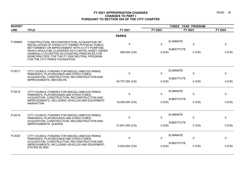| <b>BUDGET</b>  |                                                                                                                                                                                         | THREE YEAR PROGRAM |              |                                       |             |          |
|----------------|-----------------------------------------------------------------------------------------------------------------------------------------------------------------------------------------|--------------------|--------------|---------------------------------------|-------------|----------|
| <b>LINE</b>    | <b>TITLE</b>                                                                                                                                                                            | FY 2021            | FY 2022      | FY 2023                               |             | FY 2024  |
|                |                                                                                                                                                                                         | <b>PARKS</b>       |              |                                       |             |          |
| <b>P-DN665</b> | CONSTRUCTION, RECONSTRUCTION, ACQUISITION OR<br>INSTALLATION OF A NON-CITY OWNED PHYSICAL PUBLIC<br>BETTERMENT OR IMPROVEMENT WITH A CITY PURPOSE,                                      | $\Omega$           | $\mathbf{0}$ | <b>ELIMINATE</b><br><b>SUBSTITUTE</b> | $\mathbf 0$ | 0        |
|                | WHICH WOULD BE CLASSIFIED AS A CAPITAL ASSET UNDER<br>GENERALLY ACCEPTED ACCOUNTING PRINCIPLES FOR<br>MUNICIPALITIES; FOR THE FY 2005 NEUTRAL PROGRAM<br>FOR THE CITY PARKS FOUNDATION. | 565,000 (CN)       | $0$ (CN)     |                                       | $0$ (CN)    | $0$ (CN) |
| P-D017         | CITY COUNCIL FUNDING FOR MISCELLANEOUS PARKS,<br>PARKWAYS, PLAYGROUNDS AND STRUCTURES:<br>ACQUISITION, CONSTRUCTION, RECONSTRUCTION AND<br>IMPROVEMENTS, BROOKLYN.                      | $\mathbf{0}$       | $\mathbf{0}$ | <b>ELIMINATE</b>                      | $\mathbf 0$ | 0        |
|                |                                                                                                                                                                                         | 40,757,000 (CN)    | $0$ (CN)     | <b>SUBSTITUTE</b>                     | $0$ (CN)    | 0 (CN)   |
| P-D018         | CITY COUNCIL FUNDING FOR MISCELLANEOUS PARKS,<br><b>PARKWAYS, PLAYGROUNDS AND STRUCTURES:</b>                                                                                           | $\mathbf{0}$       | $\mathbf{0}$ | <b>ELIMINATE</b>                      | $\mathbf 0$ | 0        |
|                | ACQUISITION, CONSTRUCTION, RECONSTRUCTION AND<br>IMPROVEMENTS, INCLUDING VEHICLES AND EQUIPMENT,<br><b>MANHATTAN</b>                                                                    | 19,095,000 (CN)    | $0$ (CN)     | <b>SUBSTITUTE</b>                     | $0$ (CN)    | 0 (CN)   |
| P-D019         | CITY COUNCIL FUNDING FOR MISCELLANEOUS PARKS,<br><b>PARKWAYS, PLAYGROUNDS AND STRUCTURES:</b><br>ACQUISITION, CONSTRUCTION, RECONSTRUCTION AND                                          | $\mathbf 0$        | 0            | <b>ELIMINATE</b>                      | $\mathbf 0$ | 0        |
|                | <b>IMPROVEMENTS, QUEENS</b>                                                                                                                                                             | 51,601,000 (CN)    | $0$ (CN)     | <b>SUBSTITUTE</b>                     | $0$ (CN)    | 0 (CN)   |
| P-D020         | CITY COUNCIL FUNDING FOR MISCELLANEOUS PARKS,<br>PARKWAYS, PLAYGROUNDS AND STRUCTURES:                                                                                                  | 0                  | 0            | <b>ELIMINATE</b>                      | $\pmb{0}$   | 0        |
|                | ACQUISITION, CONSTRUCTION, RECONSTRUCTION AND<br>IMPROVEMENTS, INCLUDING VEHICLES AND EQUIPMENT,<br><b>STATEN ISLAND</b>                                                                | 5,830,000 (CN)     | $0$ (CN)     | <b>SUBSTITUTE</b>                     | $0$ (CN)    | 0 (CN)   |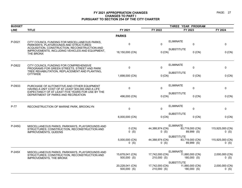| <b>BUDGET</b> |                                                                                                                                                      |                                  |                                | THREE YEAR PROGRAM                                  |                                |
|---------------|------------------------------------------------------------------------------------------------------------------------------------------------------|----------------------------------|--------------------------------|-----------------------------------------------------|--------------------------------|
| <b>LINE</b>   | <b>TITLE</b>                                                                                                                                         | FY 2021                          | FY 2022                        | FY 2023                                             | FY 2024                        |
|               |                                                                                                                                                      | <b>PARKS</b>                     |                                |                                                     |                                |
| P-D021        | CITY COUNCIL FUNDING FOR MISCELLANEOUS PARKS.<br>PARKWAYS, PLAYGROUNDS AND STRUCTURES:<br>ACQUISITION, CONSTRUCTION, RECONSTRUCTION AND              | $\mathbf 0$                      | $\Omega$                       | <b>ELIMINATE</b><br>$\mathbf 0$                     | 0                              |
|               | IMPROVEMENTS, INCLUDING VEHICLES AND EQUIPMENT,<br>THE BRONX                                                                                         | 18,150,000 (CN)                  | 0 (CN)                         | <b>SUBSTITUTE</b><br>$0$ (CN)                       | 0 (CN)                         |
| P-D822        | CITY COUNCIL FUNDING FOR COMPREHENSIVE<br>PROGRAMS FOR GREEN STREETS, STREET AND PARK                                                                | 0                                | $\Omega$                       | <b>ELIMINATE</b><br>$\pmb{0}$                       | 0                              |
|               | TREE REHABILITATION, REPLACEMENT AND PLANTING,<br><b>CITYWIDE</b>                                                                                    | 1,698,000 (CN)                   | 0 (CN)                         | <b>SUBSTITUTE</b><br>$0$ (CN)                       | 0 (CN)                         |
| P-D933        | PURCHASE OF AUTOMOTIVE AND OTHER EQUIPMENT<br>HAVING A UNIT COST OF AT LEAST \$35,000 AND A LIFE<br>EXPECTANCY OF AT LEAST FIVE YEARS FOR USE BY THE | $\mathbf 0$                      | 0                              | <b>ELIMINATE</b><br>0                               | 0                              |
|               | DEPARTMENT OF PARKS AND RECREATION                                                                                                                   | 496,000 (CN)                     | 0 (CN)                         | <b>SUBSTITUTE</b><br>$0$ (CN)                       | $0$ (CN)                       |
| P-77          | RECONSTRUCTION OF MARINE PARK, BROOKLYN                                                                                                              | $\mathbf 0$                      | $\Omega$                       | <b>ELIMINATE</b><br>0                               | 0                              |
|               |                                                                                                                                                      | 6,000,000 (CN)                   | 0(CN)                          | <b>SUBSTITUTE</b><br>$0$ (CN)                       | 0 (CN)                         |
| P-245Q        | MISCELLANEOUS PARKS, PARKWAYS, PLAYGROUNDS AND<br>STRUCTURES: CONSTRUCTION, RECONSTRUCTION AND<br><b>IMPROVEMENTS, QUEENS</b>                        | $0$ (CN)<br>$0($ S)              | 44,388,974 (CN)<br>$0($ S)     | <b>ELIMINATE</b><br>83,719,000 (CN)<br>89,999 (S)   | 115,925,000 (CN)<br>$0($ S $)$ |
|               |                                                                                                                                                      | 5,000,000 (CN)<br>$0$ (S)        | 44,388,974 (CN)<br>$0$ (S)     | <b>SUBSTITUTE</b><br>83,719,000 (CN)<br>89,999 (S)  | 115,925,000 (CN)<br>$0($ S $)$ |
| P-245X        | MISCELLANEOUS PARKS, PARKWAYS, PLAYGROUNDS AND<br>STRUCTURES: CONSTRUCTION, RECONSTRUCTION AND<br><b>IMPROVEMENTS, THE BRONX</b>                     | 15,678,041 (CN)<br>$500,000$ (S) | 17,742,000 (CN)<br>210,000 (S) | <b>ELIMINATE</b><br>11,880,000 (CN)<br>180,000 (S)  | 2,000,000 (CN)<br>$0($ S)      |
|               |                                                                                                                                                      | 20,228,041 (CN)<br>$500,000$ (S) | 17,742,000 (CN)<br>210,000 (S) | <b>SUBSTITUTE</b><br>11,880,000 (CN)<br>180,000 (S) | 2,000,000 (CN)<br>$0($ S $)$   |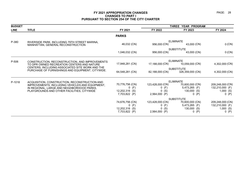| <b>BUDGET</b> |                                                                                                                                             |                                                                | THREE YEAR PROGRAM                                       |                                                                              |                                                             |  |
|---------------|---------------------------------------------------------------------------------------------------------------------------------------------|----------------------------------------------------------------|----------------------------------------------------------|------------------------------------------------------------------------------|-------------------------------------------------------------|--|
| <b>LINE</b>   | <b>TITLE</b>                                                                                                                                | FY 2021                                                        | FY 2022                                                  | FY 2023                                                                      | FY 2024                                                     |  |
|               |                                                                                                                                             | <b>PARKS</b>                                                   |                                                          |                                                                              |                                                             |  |
| P-380         | RIVERSIDE PARK, INCLUDING 79TH STREET MARINA,<br>MANHATTAN, GENERAL RECONSTRUCTION                                                          | 46,032 (CN)                                                    | 956,000 (CN)                                             | <b>ELIMINATE</b><br>43,000 (CN)                                              | 0 (CN)                                                      |  |
|               |                                                                                                                                             | 1,046,032 (CN)                                                 | 956,000 (CN)                                             | <b>SUBSTITUTE</b><br>43,000 (CN)                                             | 0 (CN)                                                      |  |
| P-506         | CONSTRUCTION, RECONSTRUCTION, AND IMPROVEMENTS<br>TO DPR OWNED RECREATION CENTERS AND NATURE                                                | 17,948,281 (CN)                                                | 17,188,000 (CN)                                          | <b>ELIMINATE</b><br>10,059,000 (CN)                                          | 4,302,000 (CN)                                              |  |
|               | CENTERS, INCLUDING ASSOCIATED SITE WORK AND THE<br>PURCHASE OF FURNISHINGS AND EQUIPMENT, CITYWIDE.                                         | 64,548,281 (CN)                                                | 82,188,000 (CN)                                          | <b>SUBSTITUTE</b><br>326,359,000 (CN)                                        | 4,302,000 (CN)                                              |  |
| P-1018        | ACQUISITION, CONSTRUCTION, RECONSTRUCTION AND                                                                                               |                                                                |                                                          | <b>ELIMINATE</b>                                                             |                                                             |  |
|               | IMPROVEMENTS, INCLUDING VEHICLES AND EQUIPMENT,<br>IN REGIONAL, LARGE AND NEIGHBORHOOD PARKS,<br>PLAYGROUNDS AND OTHER FACILITIES, CITYWIDE | 70,776,756 (CN)<br>(F)<br>0<br>12,202,316 (S)<br>7,703,822 (P) | 123,428,000 (CN)<br>$0$ (F)<br>(S)<br>0<br>2,564,000 (P) | 70,600,000 (CN)<br>5,473,265 (F)<br>$130,000$ (S)<br>0(P)                    | 209,248,000 (CN)<br>132,210,000 (F)<br>$1,000$ (S)<br>0(P)  |  |
|               |                                                                                                                                             | 74,676,756 (CN)<br>(F)<br>0<br>12,202,316 (S)<br>7,703,822 (P) | 123,428,000 (CN)<br>$0$ (F)<br>(S)<br>0<br>2,564,000 (P) | <b>SUBSTITUTE</b><br>70,600,000 (CN)<br>5,473,265 (F)<br>130,000 (S)<br>0(P) | 209,248,000 (CN)<br>132,210,000 (F)<br>1,000(S)<br>(P)<br>0 |  |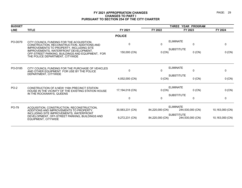| <b>BUDGET</b> |                                                                                                                              |                 | THREE YEAR PROGRAM |                                       |                 |
|---------------|------------------------------------------------------------------------------------------------------------------------------|-----------------|--------------------|---------------------------------------|-----------------|
| <b>LINE</b>   | <b>TITLE</b>                                                                                                                 | FY 2021         | FY 2022            | FY 2023                               | FY 2024         |
|               |                                                                                                                              | <b>POLICE</b>   |                    |                                       |                 |
| PO-D079       | CITY COUNCIL FUNDING FOR THE ACQUISITION,                                                                                    | 0               | $\Omega$           | <b>ELIMINATE</b><br>$\mathbf{0}$      | 0               |
|               | CONSTRUCTION, RECONSTRUCTION, ADDITIONS AND<br><b>IMPROVEMENTS TO PROPERTY. INCLUDING SITE</b>                               |                 |                    | <b>SUBSTITUTE</b>                     |                 |
|               | IMPROVEMENTS, WATERFRONT DEVELOPMENT,<br>OFF-STREET PARKING, BUILDINGS AND EQUIPMENT, FOR<br>THE POLICE DEPARTMENT, CITYWIDE | 150,000 (CN)    | 0 (CN)             | $0$ (CN)                              | 0 (CN)          |
| PO-D185       | CITY COUNCIL FUNDING FOR THE PURCHASE OF VEHICLES                                                                            |                 |                    | <b>ELIMINATE</b>                      |                 |
|               | AND OTHER EQUIPMENT FOR USE BY THE POLICE<br>DEPARTMENT, CITYWIDE                                                            | $\Omega$        | $\Omega$           | $\mathbf{0}$                          | 0               |
|               |                                                                                                                              | 4,052,000 (CN)  | 0 (CN)             | <b>SUBSTITUTE</b><br>$0$ (CN)         | 0 (CN)          |
| <b>PO-2</b>   | CONSTRUCTION OF A NEW 116th PRECINCT STATION                                                                                 |                 |                    | <b>ELIMINATE</b>                      |                 |
|               | HOUSE IN THE VICINITY OF THE EXISTING STATION HOUSE                                                                          | 17,194,018 (CN) | 0 (CN)             | $0$ (CN)                              | 0 (CN)          |
|               | IN THE ROCKAWAYS, QUEENS                                                                                                     | $\Omega$        | $\Omega$           | <b>SUBSTITUTE</b><br>$\mathbf{0}$     | $\mathbf{0}$    |
| PO-79         | ACQUISITION, CONSTRUCTION, RECONSTRUCTION,                                                                                   |                 | <b>ELIMINATE</b>   |                                       |                 |
|               | ADDITIONS AND IMPROVEMENTS TO PROPERTY,                                                                                      | 30,583,231 (CN) | 84,220,000 (CN)    | 244,530,000 (CN)                      | 10,163,000 (CN) |
|               | INCLUDING SITE IMPROVEMENTS, WATERFRONT<br>DEVELOPMENT, OFF-STREET PARKING, BUILDINGS AND<br><b>EQUIPMENT, CITYWIDE</b>      | 9,272,231 (CN)  | 84,220,000 (CN)    | <b>SUBSTITUTE</b><br>244,530,000 (CN) | 10,163,000 (CN) |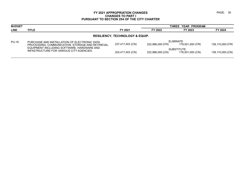| <b>BUDGET</b>                              |                                                                                                  |                  |                  | THREE YEAR PROGRAM                    |                               |                  |  |
|--------------------------------------------|--------------------------------------------------------------------------------------------------|------------------|------------------|---------------------------------------|-------------------------------|------------------|--|
| <b>LINE</b>                                | TITLE                                                                                            |                  | FY 2021          | FY 2022                               | FY 2023                       | FY 2024          |  |
| <b>RESILIENCY, TECHNOLOGY &amp; EQUIP.</b> |                                                                                                  |                  |                  |                                       |                               |                  |  |
| <b>PU-16</b>                               | PURCHASE AND INSTALLATION OF ELECTRONIC DATA<br>PROCESSING, COMMUNICATION, STORAGE AND RETRIEVAL |                  | 237,417,403 (CN) | 222,986,000 (CN)                      | ELIMINATE<br>178,501,000 (CN) | 138,110,000 (CN) |  |
|                                            | EQUIPMENT INCLUDING SOFTWARE, HARDWARE AND<br>INFASTRUCTURE FOR VARIOUS CITY AGENCIES.           | 324,417,403 (CN) | 222,986,000 (CN) | <b>SUBSTITUTE</b><br>178,501,000 (CN) | 138,110,000 (CN)              |                  |  |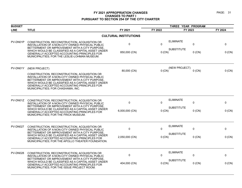| <b>BUDGET</b>   |                                                                                                                                                                                                                                                                                                   |                              | THREE YEAR PROGRAM |                   |          |         |
|-----------------|---------------------------------------------------------------------------------------------------------------------------------------------------------------------------------------------------------------------------------------------------------------------------------------------------|------------------------------|--------------------|-------------------|----------|---------|
| <b>LINE</b>     | <b>TITLE</b>                                                                                                                                                                                                                                                                                      | FY 2021                      | FY 2022            | FY 2023           |          | FY 2024 |
|                 |                                                                                                                                                                                                                                                                                                   | <b>CULTURAL INSTITUTIONS</b> |                    |                   |          |         |
| PV-DN01P        | CONSTRUCTION, RECONSTRUCTION, ACQUISITION OR<br>INSTALLATION OF A NON-CITY OWNED PHYSICAL PUBLIC<br>BETTERMENT OR IMPROVEMENT WITH A CITY PURPOSE,                                                                                                                                                | $\pmb{0}$                    | $\Omega$           | <b>ELIMINATE</b>  | 0        | 0       |
|                 | WHICH WOULD BE CLASSIFIED AS A CAPITAL ASSET UNDER<br>GENERALLY ACCEPTED ACCOUNTING PRINCIPLES FOR<br>MUNICIPALITIES; FOR THE LESLIE-LOHMAN MUSEUM.                                                                                                                                               | 850,000 (CN)                 | $0$ (CN)           | <b>SUBSTITUTE</b> | $0$ (CN) | 0 (CN)  |
| PV-DN01Y        | (NEW PROJECT)                                                                                                                                                                                                                                                                                     | 80,000 (CN)                  | $0$ (CN)           | (NEW PROJECT)     | $0$ (CN) | 0 (CN)  |
|                 | CONSTRUCTION, RECONSTRUCTION, ACQUISITION OR<br>INSTALLATION OF A NON-CITY OWNED PHYSICAL PUBLIC<br>BETTERMENT OR IMPROVEMENT WITH A CITY PURPOSE.<br>WHICH WOULD BE CLASSIFIED AS A CAPITAL ASSET UNDER<br>GENERALLY ACCEPTED ACCOUNTING PRINCIPLES FOR<br>MUNICIPALITIES; FOR CHASHAMA, INC.    |                              |                    |                   |          |         |
| PV-DN01Z        | CONSTRUCTION, RECONSTRUCTION, ACQUISITION OR<br>INSTALLATION OF A NON-CITY OWNED PHYSICAL PUBLIC<br>BETTERMENT OR IMPROVEMENT WITH A CITY PURPOSE.<br>WHICH WOULD BE CLASSIFIED AS A CAPITAL ASSET UNDER<br>GENERALLY ACCEPTED ACCOUNTING PRINCIPLES FOR<br>MUNICIPALITIES; FOR THE FRICK MUSEUM. | $\pmb{0}$                    | $\Omega$           | <b>ELIMINATE</b>  | 0        | 0       |
|                 |                                                                                                                                                                                                                                                                                                   | 6,000,000 (CN)               | $0$ (CN)           | <b>SUBSTITUTE</b> | $0$ (CN) | 0 (CN)  |
| PV-DN027        | CONSTRUCTION, RECONSTRUCTION, ACQUISITION OR<br>INSTALLATION OF A NON-CITY OWNED PHYSICAL PUBLIC                                                                                                                                                                                                  | $\mathbf 0$                  | $\Omega$           | <b>ELIMINATE</b>  | 0        | 0       |
|                 | BETTERMENT OR IMPROVEMENT WITH A CITY PURPOSE<br>WHICH WOULD BE CLASSIFIED AS A CAPITAL ASSET UNDER<br>GENERALLY ACCEPTED ACCOUNTING PRINCIPLES FOR<br>MUNICIPALITIES; FOR THE APOLLO THEATER FOUNDATION.                                                                                         | 2,050,000 (CN)               | $0$ (CN)           | <b>SUBSTITUTE</b> | $0$ (CN) | 0 (CN)  |
| <b>PV-DN028</b> | CONSTRUCTION, RECONSTRUCTION, ACQUISITION OR<br>INSTALLATION OF A NON-CITY OWNED PHYSICAL PUBLIC                                                                                                                                                                                                  | 0                            | $\Omega$           | <b>ELIMINATE</b>  | 0        | 0       |
|                 | BETTERMENT OR IMPROVEMENT WITH A CITY PURPOSE.<br>WHICH WOULD BE CLASSIFIED AS A CAPITAL ASSET UNDER<br>GENERALLY ACCEPTED ACCOUNTING PRINCIPLES FOR<br>MUNICIPALITIES; FOR THE ISSUE PROJECT ROOM.                                                                                               | 404,000 (CN)                 | $0$ (CN)           | <b>SUBSTITUTE</b> | $0$ (CN) | 0 (CN)  |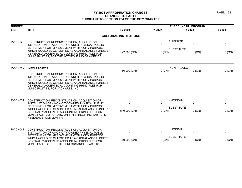| <b>BUDGET</b> |                                                                                                                                                                                                                                                                                                                                            |                              | THREE YEAR PROGRAM |                               |         |
|---------------|--------------------------------------------------------------------------------------------------------------------------------------------------------------------------------------------------------------------------------------------------------------------------------------------------------------------------------------------|------------------------------|--------------------|-------------------------------|---------|
| <b>LINE</b>   | <b>TITLE</b>                                                                                                                                                                                                                                                                                                                               | FY 2021                      | FY 2022            | FY 2023                       | FY 2024 |
|               |                                                                                                                                                                                                                                                                                                                                            | <b>CULTURAL INSTITUTIONS</b> |                    |                               |         |
| PV-DN02L      | CONSTRUCTION, RECONSTRUCTION, ACQUISITION OR<br>INSTALLATION OF A NON-CITY OWNED PHYSICAL PUBLIC                                                                                                                                                                                                                                           | 0                            | $\mathbf{0}$       | <b>ELIMINATE</b><br>0         | 0       |
|               | BETTERMENT OR IMPROVEMENT WITH A CITY PURPOSE.<br>WHICH WOULD BE CLASSIFIED AS A CAPITAL ASSET UNDER<br>GENERALLY ACCEPTED ACCOUNTING PRINCIPLES FOR<br>MUNICIPALITIES; FOR THE ACTORS' FUND OF AMERICA.                                                                                                                                   | 122,000 (CN)                 | $0$ (CN)           | <b>SUBSTITUTE</b><br>$0$ (CN) | 0 (CN)  |
| PV-DN02Y      | (NEW PROJECT)                                                                                                                                                                                                                                                                                                                              |                              |                    | (NEW PROJECT)                 |         |
|               | CONSTRUCTION, RECONSTRUCTION, ACQUISITION OR<br>INSTALLATION OF A NON-CITY OWNED PHYSICAL PUBLIC<br>BETTERMENT OR IMPROVEMENT WITH A CITY PURPOSE.<br>WHICH WOULD BE CLASSIFIED AS A CAPITAL ASSET UNDER<br>GENERALLY ACCEPTED ACCOUNTING PRINCIPLES FOR<br>MUNICIPALITIES; FOR JACK ARTS, INC.                                            | 66,000 (CN)                  | 0 (CN)             | $0$ (CN)                      | 0 (CN)  |
| PV-DN031      | CONSTRUCTION, RECONSTRUCTION, ACQUISITION OR<br>INSTALLATION OF A NON-CITY OWNED PHYSICAL PUBLIC<br>BETTERMENT OR IMPROVEMENT WITH A CITY PURPOSE.<br>WHICH WOULD BE CLASSIFIED AS A CAPITAL ASSET UNDER<br>GENERALLY ACCEPTED ACCOUNTING PRINCIPLES FOR<br>MUNICIPALITIES; FOR ARC ON 4TH STREET, INC. (ARTISTS,<br>RESIDENCE, COMMUNITY) | $\Omega$                     | $\Omega$           | <b>ELIMINATE</b><br>0         | 0       |
|               |                                                                                                                                                                                                                                                                                                                                            | 540,000 (CN)                 | $0$ (CN)           | <b>SUBSTITUTE</b><br>$0$ (CN) | 0 (CN)  |
| PV-DN044      | CONSTRUCTION, RECONSTRUCTION, ACQUISITION OR<br>INSTALLATION OF A NON-CITY OWNED PHYSICAL PUBLIC                                                                                                                                                                                                                                           | $\mathbf{0}$                 | $\Omega$           | <b>ELIMINATE</b><br>0         | 0       |
|               | BETTERMENT OR IMPROVEMENT WITH A CITY PURPOSE.<br>WHICH WOULD BE CLASSIFIED AS A CAPITAL ASSET UNDER<br><b>GENERALLY ACCEPTED ACCOUNTING PRINCIPLES FOR</b><br>MUNICIPALITIES; FOR THE PERFORMANCE SPACE 122.                                                                                                                              | 70,000 (CN)                  | 0 (CN)             | <b>SUBSTITUTE</b><br>$0$ (CN) | 0 (CN)  |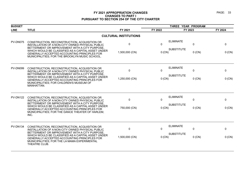| <b>BUDGET</b>   | THREE YEAR PROGRAM                                                                                                                                                                                                                                                                                                        |                               |                      |                                       |                         |                    |
|-----------------|---------------------------------------------------------------------------------------------------------------------------------------------------------------------------------------------------------------------------------------------------------------------------------------------------------------------------|-------------------------------|----------------------|---------------------------------------|-------------------------|--------------------|
| <b>LINE</b>     | <b>TITLE</b>                                                                                                                                                                                                                                                                                                              | FY 2021                       | FY 2022              | FY 2023                               |                         | FY 2024            |
|                 |                                                                                                                                                                                                                                                                                                                           | <b>CULTURAL INSTITUTIONS</b>  |                      |                                       |                         |                    |
| PV-DN075        | CONSTRUCTION, RECONSTRUCTION, ACQUISITION OR<br>INSTALLATION OF A NON-CITY OWNED PHYSICAL PUBLIC<br>BETTERMENT OR IMPROVEMENT WITH A CITY PURPOSE,<br>WHICH WOULD BE CLASSIFIED AS A CAPITAL ASSET UNDER<br>GENERALLY ACCEPTED ACCOUNTING PRINCIPLES FOR<br>MUNICIPALITIES; FOR THE BROOKLYN MUSIC SCHOOL.                | $\mathbf 0$<br>1,500,000 (CN) | $\Omega$<br>0 (CN)   | <b>ELIMINATE</b><br><b>SUBSTITUTE</b> | $\mathbf 0$<br>$0$ (CN) | 0<br>$0$ (CN)      |
| PV-DN099        | CONSTRUCTION, RECONSTRUCTION, ACQUISITION OR<br>INSTALLATION OF A NON-CITY OWNED PHYSICAL PUBLIC<br>BETTERMENT OR IMPROVEMENT WITH A CITY PURPOSE,<br>WHICH WOULD BE CLASSIFIED AS A CAPITAL ASSET UNDER<br>GENERALLY ACCEPTED ACCOUNTING PRINCIPLES FOR<br>MUNICIPALITIES; FOR CHILDREN'S MUSEUM OF<br>MANHATTAN.        | $\mathbf 0$<br>1,250,000 (CN) | $\Omega$<br>0 (CN)   | <b>ELIMINATE</b><br><b>SUBSTITUTE</b> | $\mathbf 0$<br>$0$ (CN) | 0<br>0 (CN)        |
| <b>PV-DN122</b> | CONSTRUCTION, RECONSTRUCTION, ACQUISITION OR<br>INSTALLATION OF A NON-CITY OWNED PHYSICAL PUBLIC<br>BETTERMENT OR IMPROVEMENT WITH A CITY PURPOSE.<br>WHICH WOULD BE CLASSIFIED AS A CAPITAL ASSET UNDER<br>GENERALLY ACCEPTED ACCOUNTING PRINCIPLES FOR<br>MUNICIPALITIES; FOR THE DANCE THEATER OF HARLEM,<br>INC.      | 0<br>750,000 (CN)             | $\Omega$<br>0 (CN)   | <b>ELIMINATE</b><br><b>SUBSTITUTE</b> | $\pmb{0}$<br>$0$ (CN)   | 0<br>$0$ (CN)      |
| PV-DN134        | CONSTRUCTION, RECONSTRUCTION, ACQUISITION OR<br>INSTALLATION OF A NON-CITY OWNED PHYSICAL PUBLIC<br>BETTERMENT OR IMPROVEMENT WITH A CITY PURPOSE,<br>WHICH WOULD BE CLASSIFIED AS A CAPITAL ASSET UNDER<br>GENERALLY ACCEPTED ACCOUNTING PRINCIPLES FOR<br>MUNICIPALITIES; FOR THE LA MAMA EXPERIMENTAL<br>THEATRE CLUB. | $\mathbf 0$<br>1,500,000 (CN) | $\Omega$<br>$0$ (CN) | <b>ELIMINATE</b><br><b>SUBSTITUTE</b> | $\Omega$<br>$0$ (CN)    | $\Omega$<br>0 (CN) |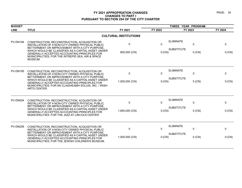| <b>BUDGET</b>   |                                                                                                                                                                                                                  |                              |              | THREE YEAR PROGRAM                    |              |              |
|-----------------|------------------------------------------------------------------------------------------------------------------------------------------------------------------------------------------------------------------|------------------------------|--------------|---------------------------------------|--------------|--------------|
| <b>LINE</b>     | <b>TITLE</b>                                                                                                                                                                                                     | FY 2021                      | FY 2022      | FY 2023                               |              | FY 2024      |
|                 |                                                                                                                                                                                                                  | <b>CULTURAL INSTITUTIONS</b> |              |                                       |              |              |
| PV-DN194        | CONSTRUCTION, RECONSTRUCTION, ACQUISITION OR<br>INSTALLATION OF A NON-CITY OWNED PHYSICAL PUBLIC<br>BETTERMENT OR IMPROVEMENT WITH A CITY PURPOSE,                                                               | $\mathbf{0}$                 | $\mathbf{0}$ | <b>ELIMINATE</b><br><b>SUBSTITUTE</b> | $\mathbf{0}$ | $\mathbf{0}$ |
|                 | WHICH WOULD BE CLASSIFIED AS A CAPITAL ASSET UNDER<br>GENERALLY ACCEPTED ACCOUNTING PRINCIPLES FOR<br>MUNICIPALITIES; FOR THE INTREPID SEA, AIR & SPACE<br>MUSEUM.                                               | 850,000 (CN)                 | 0 (CN)       |                                       | $0$ (CN)     | 0 (CN)       |
| <b>PV-DN195</b> | CONSTRUCTION, RECONSTRUCTION, ACQUISITION OR<br>INSTALLATION OF A NON-CITY OWNED PHYSICAL PUBLIC<br>BETTERMENT OR IMPROVEMENT WITH A CITY PURPOSE.                                                               | $\Omega$                     | $\mathbf{0}$ | <b>ELIMINATE</b>                      | $\mathbf{0}$ | $\Omega$     |
|                 | WHICH WOULD BE CLASSIFIED AS A CAPITAL ASSET UNDER<br><b>GENERALLY ACCEPTED ACCOUNTING PRINCIPLES FOR</b><br>MUNICIPALITIES; FOR AN CLAIDHEAMH SOLUIS, INC. / IRISH<br>ARTS CENTER.                              | 1,000,000 (CN)               | 0 (CN)       | <b>SUBSTITUTE</b>                     | $0$ (CN)     | 0 (CN)       |
| <b>PV-DN204</b> | CONSTRUCTION, RECONSTRUCTION, ACQUISITION OR<br>INSTALLATION OF A NON-CITY OWNED PHYSICAL PUBLIC<br>BETTERMENT OR IMPROVEMENT WITH A CITY PURPOSE.                                                               | $\mathbf 0$                  | 0            | <b>ELIMINATE</b>                      | $\mathbf{0}$ | 0            |
|                 | WHICH WOULD BE CLASSIFIED AS A CAPITAL ASSET UNDER<br>GENERALLY ACCEPTED ACCOUNTING PRINCIPLES FOR<br>MUNICIPALITIES; FOR THE JAZZ AT LINCOLN CENTER.                                                            | 1,650,000 (CN)               | 0 (CN)       | <b>SUBSTITUTE</b>                     | $0$ (CN)     | 0 (CN)       |
| <b>PV-DN209</b> | CONSTRUCTION, RECONSTRUCTION, ACQUISITION OR<br>INSTALLATION OF A NON-CITY OWNED PHYSICAL PUBLIC                                                                                                                 | $\mathbf{0}$                 | $\mathbf{0}$ | <b>ELIMINATE</b>                      | $\mathbf{0}$ | $\Omega$     |
|                 | BETTERMENT OR IMPROVEMENT WITH A CITY PURPOSE,<br>WHICH WOULD BE CLASSIFIED AS A CAPITAL ASSET UNDER<br><b>GENERALLY ACCEPTED ACCOUNTING PRINCIPLES FOR</b><br>MUNICIPALITIES; FOR THE JEWISH CHILDREN'S MUSEUM. | 1,000,000 (CN)               | $0$ (CN)     | <b>SUBSTITUTE</b>                     | $0$ (CN)     | 0 (CN)       |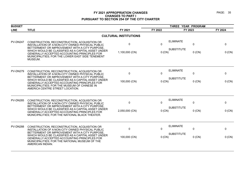| <b>BUDGET</b>   |                                                                                                                                                                                                                                                                                                                                                    |                               |                          | THREE YEAR PROGRAM                                   |                           |
|-----------------|----------------------------------------------------------------------------------------------------------------------------------------------------------------------------------------------------------------------------------------------------------------------------------------------------------------------------------------------------|-------------------------------|--------------------------|------------------------------------------------------|---------------------------|
| <b>LINE</b>     | <b>TITLE</b>                                                                                                                                                                                                                                                                                                                                       | FY 2021                       | FY 2022                  | FY 2023                                              | FY 2024                   |
|                 |                                                                                                                                                                                                                                                                                                                                                    | <b>CULTURAL INSTITUTIONS</b>  |                          |                                                      |                           |
| <b>PV-DN247</b> | CONSTRUCTION, RECONSTRUCTION, ACQUISITION OR<br>INSTALLATION OF A NON-CITY OWNED PHYSICAL PUBLIC<br>BETTERMENT OR IMPROVEMENT WITH A CITY PURPOSE,<br>WHICH WOULD BE CLASSIFIED AS A CAPITAL ASSET UNDER<br><b>GENERALLY ACCEPTED ACCOUNTING PRINCIPLES FOR</b><br>MUNICIPALITIES; FOR THE LOWER EAST SIDE TENEMENT<br>MUSEUM.                     | 0<br>1,100,000 (CN)           | $\mathbf{0}$<br>0 (CN)   | <b>ELIMINATE</b><br>0<br><b>SUBSTITUTE</b>           | 0<br>$0$ (CN)<br>$0$ (CN) |
| <b>PV-DN279</b> | CONSTRUCTION, RECONSTRUCTION, ACQUISITION OR<br>INSTALLATION OF A NON-CITY OWNED PHYSICAL PUBLIC<br>BETTERMENT OR IMPROVEMENT WITH A CITY PURPOSE.<br>WHICH WOULD BE CLASSIFIED AS A CAPITAL ASSET UNDER<br><b>GENERALLY ACCEPTED ACCOUNTING PRINCIPLES FOR</b><br>MUNICIPALITIES; FOR THE MUSEUM OF CHINESE IN<br>AMERICA CENTRE STREET LOCATION. | 0<br>100,000 (CN)             | $\mathbf{0}$<br>$0$ (CN) | <b>ELIMINATE</b><br>0<br><b>SUBSTITUTE</b>           | 0<br>$0$ (CN)<br>0 (CN)   |
| <b>PV-DN285</b> | CONSTRUCTION, RECONSTRUCTION, ACQUISITION OR<br>INSTALLATION OF A NON-CITY OWNED PHYSICAL PUBLIC<br>BETTERMENT OR IMPROVEMENT WITH A CITY PURPOSE,<br>WHICH WOULD BE CLASSIFIED AS A CAPITAL ASSET UNDER<br>GENERALLY ACCEPTED ACCOUNTING PRINCIPLES FOR<br>MUNICIPALITIES; FOR THE NATIONAL BLACK THEATER.                                        | $\mathbf 0$<br>2,050,000 (CN) | $\Omega$<br>$0$ (CN)     | <b>ELIMINATE</b><br>$\Omega$<br><b>SUBSTITUTE</b>    | 0<br>$0$ (CN)<br>0 (CN)   |
| <b>PV-DN288</b> | CONSTRUCTION, RECONSTRUCTION, ACQUISITION OR<br>INSTALLATION OF A NON-CITY OWNED PHYSICAL PUBLIC<br>BETTERMENT OR IMPROVEMENT WITH A CITY PURPOSE.<br>WHICH WOULD BE CLASSIFIED AS A CAPITAL ASSET UNDER<br>GENERALLY ACCEPTED ACCOUNTING PRINCIPLES FOR<br>MUNICIPALITIES; FOR THE NATIONAL MUSEUM OF THE<br>AMERICAN INDIAN.                     | $\mathbf 0$<br>100,000 (CN)   | $\Omega$<br>$0$ (CN)     | <b>ELIMINATE</b><br>$\mathbf 0$<br><b>SUBSTITUTE</b> | 0<br>$0$ (CN)<br>0 (CN)   |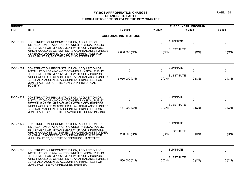| <b>BUDGET</b>   |                                                                                                                                                                                                                                                                                                               |                              |          | THREE YEAR PROGRAM            |         |  |
|-----------------|---------------------------------------------------------------------------------------------------------------------------------------------------------------------------------------------------------------------------------------------------------------------------------------------------------------|------------------------------|----------|-------------------------------|---------|--|
| <b>LINE</b>     | <b>TITLE</b>                                                                                                                                                                                                                                                                                                  | FY 2021                      | FY 2022  | FY 2023                       | FY 2024 |  |
|                 |                                                                                                                                                                                                                                                                                                               | <b>CULTURAL INSTITUTIONS</b> |          |                               |         |  |
| <b>PV-DN290</b> | CONSTRUCTION, RECONSTRUCTION, ACQUISITION OR<br>INSTALLATION OF A NON-CITY OWNED PHYSICAL PUBLIC<br>BETTERMENT OR IMPROVEMENT WITH A CITY PURPOSE,                                                                                                                                                            | $\mathbf 0$                  | $\Omega$ | <b>ELIMINATE</b><br>$\Omega$  | 0       |  |
|                 | WHICH WOULD BE CLASSIFIED AS A CAPITAL ASSET UNDER<br>GENERALLY ACCEPTED ACCOUNTING PRINCIPLES FOR<br>MUNICIPALITIES; FOR THE NEW 42ND STREET INC.                                                                                                                                                            | 2,600,000 (CN)               | $0$ (CN) | <b>SUBSTITUTE</b><br>$0$ (CN) | 0 (CN)  |  |
| <b>PV-DN304</b> | CONSTRUCTION, RECONSTRUCTION, ACQUISITION OR<br>INSTALLATION OF A NON-CITY OWNED PHYSICAL PUBLIC<br>BETTERMENT OR IMPROVEMENT WITH A CITY PURPOSE                                                                                                                                                             | 0                            | 0        | <b>ELIMINATE</b><br>0         | 0       |  |
|                 | WHICH WOULD BE CLASSIFIED AS A CAPITAL ASSET UNDER<br>GENERALLY ACCEPTED ACCOUNTING PRINCIPLES FOR<br>MUNICIPALITIES; FOR THE NEW YORK HISTORICAL<br>SOCIETY.                                                                                                                                                 | 5,050,000 (CN)               | $0$ (CN) | <b>SUBSTITUTE</b><br>$0$ (CN) | 0 (CN)  |  |
| <b>PV-DN329</b> | CONSTRUCTION, RECONSTRUCTION, ACQUISITION OR<br>INSTALLATION OF A NON-CITY OWNED PHYSICAL PUBLIC<br>BETTERMENT OR IMPROVEMENT WITH A CITY PURPOSE<br>WHICH WOULD BE CLASSIFIED AS A CAPITAL ASSET UNDER<br>GENERALLY ACCEPTED ACCOUNTING PRINCIPLES FOR<br>MUNICIPALITIES; FOR THE PLAYWRIGHTS HORIZONS, INC. | 0                            | $\Omega$ | <b>ELIMINATE</b><br>0         | 0       |  |
|                 |                                                                                                                                                                                                                                                                                                               | 177,000 (CN)                 | 0 (CN)   | <b>SUBSTITUTE</b><br>$0$ (CN) | 0 (CN)  |  |
| <b>PV-DN332</b> | CONSTRUCTION, RECONSTRUCTION, ACQUISITION OR<br>INSTALLATION OF A NON-CITY OWNED PHYSICAL PUBLIC                                                                                                                                                                                                              | $\mathbf 0$                  | $\Omega$ | <b>ELIMINATE</b><br>0         | 0       |  |
|                 | BETTERMENT OR IMPROVEMENT WITH A CITY PURPOSE.<br>WHICH WOULD BE CLASSIFIED AS A CAPITAL ASSET UNDER<br>GENERALLY ACCEPTED ACCOUNTING PRINCIPLES FOR<br>MUNICIPALITIES; FOR THE POPPENHUSEN INSTITUTE.                                                                                                        | 250,000 (CN)                 | 0(CN)    | <b>SUBSTITUTE</b><br>$0$ (CN) | 0 (CN)  |  |
| <b>PV-DN333</b> | CONSTRUCTION, RECONSTRUCTION, ACQUISITION OR<br>INSTALLATION OF A NON-CITY OWNED PHYSICAL PUBLIC                                                                                                                                                                                                              | $\mathbf 0$                  | 0        | <b>ELIMINATE</b><br>0         | 0       |  |
|                 | BETTERMENT OR IMPROVEMENT WITH A CITY PURPOSE<br>WHICH WOULD BE CLASSIFIED AS A CAPITAL ASSET UNDER<br>GENERALLY ACCEPTED ACCOUNTING PRINCIPLES FOR<br>MUNICIPALITIES; FOR PREGONES THEATER.                                                                                                                  | 560,000 (CN)                 | 0 (CN)   | <b>SUBSTITUTE</b><br>$0$ (CN) | 0 (CN)  |  |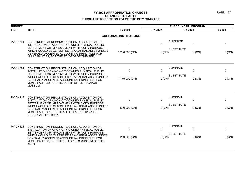| <b>BUDGET</b>   |                                                                                                                                                                                                                                                                                                                                    |                               |                        | THREE YEAR PROGRAM                    |                         |               |
|-----------------|------------------------------------------------------------------------------------------------------------------------------------------------------------------------------------------------------------------------------------------------------------------------------------------------------------------------------------|-------------------------------|------------------------|---------------------------------------|-------------------------|---------------|
| <b>LINE</b>     | <b>TITLE</b>                                                                                                                                                                                                                                                                                                                       | FY 2021                       | FY 2022                | FY 2023                               |                         | FY 2024       |
|                 |                                                                                                                                                                                                                                                                                                                                    | <b>CULTURAL INSTITUTIONS</b>  |                        |                                       |                         |               |
| <b>PV-DN364</b> | CONSTRUCTION, RECONSTRUCTION, ACQUISITION OR<br>INSTALLATION OF A NON-CITY OWNED PHYSICAL PUBLIC<br>BETTERMENT OR IMPROVEMENT WITH A CITY PURPOSE,<br>WHICH WOULD BE CLASSIFIED AS A CAPITAL ASSET UNDER<br>GENERALLY ACCEPTED ACCOUNTING PRINCIPLES FOR<br>MUNICIPALITIES; FOR THE ST. GEORGE THEATER.                            | 0<br>1,200,000 (CN)           | $\Omega$<br>0 (CN)     | <b>ELIMINATE</b><br><b>SUBSTITUTE</b> | 0<br>$0$ (CN)           | 0<br>$0$ (CN) |
| <b>PV-DN394</b> | CONSTRUCTION, RECONSTRUCTION, ACQUISITION OR<br>INSTALLATION OF A NON-CITY OWNED PHYSICAL PUBLIC<br>BETTERMENT OR IMPROVEMENT WITH A CITY PURPOSE.<br>WHICH WOULD BE CLASSIFIED AS A CAPITAL ASSET UNDER<br>GENERALLY ACCEPTED ACCOUNTING PRINCIPLES FOR<br>MUNICIPALITIES; FOR THE SOUTH STREET SEAPORT<br>MUSEUM.                | $\mathbf 0$<br>1,175,000 (CN) | $\mathbf{0}$<br>0 (CN) | <b>ELIMINATE</b><br><b>SUBSTITUTE</b> | 0<br>$0$ (CN)           | 0<br>0 (CN)   |
| <b>PV-DN413</b> | CONSTRUCTION, RECONSTRUCTION, ACQUISITION OR<br>INSTALLATION OF A NON-CITY OWNED PHYSICAL PUBLIC<br>BETTERMENT OR IMPROVEMENT WITH A CITY PURPOSE.<br>WHICH WOULD BE CLASSIFIED AS A CAPITAL ASSET UNDER<br>GENERALLY ACCEPTED ACCOUNTING PRINCIPLES FOR<br>MUNICIPALITIES; FOR THEATER ET AL INC. D/B/A THE<br>CHOCOLATE FACTORY. | 0<br>500,000 (CN)             | $\Omega$<br>$0$ (CN)   | <b>ELIMINATE</b><br><b>SUBSTITUTE</b> | 0<br>$0$ (CN)           | 0<br>$0$ (CN) |
| <b>PV-DN421</b> | CONSTRUCTION, RECONSTRUCTION, ACQUISITION OR<br>INSTALLATION OF A NON-CITY OWNED PHYSICAL PUBLIC<br>BETTERMENT OR IMPROVEMENT WITH A CITY PURPOSE,<br>WHICH WOULD BE CLASSIFIED AS A CAPITAL ASSET UNDER<br>GENERALLY ACCEPTED ACCOUNTING PRINCIPLES FOR<br>MUNICIPALITIES; FOR THE CHILDREN'S MUSEUM OF THE<br><b>ARTS</b>        | $\mathbf 0$<br>200,000 (CN)   | $\Omega$<br>$0$ (CN)   | <b>ELIMINATE</b><br><b>SUBSTITUTE</b> | $\mathbf 0$<br>$0$ (CN) | 0<br>0 (CN)   |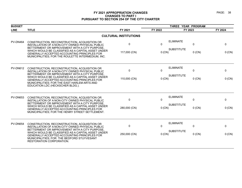| <b>BUDGET</b>   |                                                                                                                                                                                               |                              |          | THREE YEAR PROGRAM               |             |
|-----------------|-----------------------------------------------------------------------------------------------------------------------------------------------------------------------------------------------|------------------------------|----------|----------------------------------|-------------|
| <b>LINE</b>     | <b>TITLE</b>                                                                                                                                                                                  | FY 2021                      | FY 2022  | FY 2023                          | FY 2024     |
|                 |                                                                                                                                                                                               | <b>CULTURAL INSTITUTIONS</b> |          |                                  |             |
| PV-DN464        | CONSTRUCTION, RECONSTRUCTION, ACQUISITION OR<br>INSTALLATION OF A NON-CITY OWNED PHYSICAL PUBLIC<br>BETTERMENT OR IMPROVEMENT WITH A CITY PURPOSE,                                            | $\mathbf{0}$                 | $\Omega$ | <b>ELIMINATE</b><br>$\Omega$     | $\mathbf 0$ |
|                 | WHICH WOULD BE CLASSIFIED AS A CAPITAL ASSET UNDER<br><b>GENERALLY ACCEPTED ACCOUNTING PRINCIPLES FOR</b><br>MUNICIPALITIES; FOR THE ROULETTE INTERMEDIUM, INC.                               | 117,000 (CN)                 | 0 (CN)   | <b>SUBSTITUTE</b><br>$0$ (CN)    | 0 (CN)      |
| <b>PV-DN612</b> | CONSTRUCTION, RECONSTRUCTION, ACQUISITION OR<br>INSTALLATION OF A NON-CITY OWNED PHYSICAL PUBLIC<br>BETTERMENT OR IMPROVEMENT WITH A CITY PURPOSE.                                            | $\Omega$                     | $\Omega$ | <b>ELIMINATE</b><br>$\Omega$     | 0           |
|                 | WHICH WOULD BE CLASSIFIED AS A CAPITAL ASSET UNDER<br><b>GENERALLY ACCEPTED ACCOUNTING PRINCIPLES FOR</b><br>MUNICIPALITIES; FOR THE EAST HARLEM ARTS AND<br>EDUCATION LDC (HECKSCHER BLDG.). | 110,000 (CN)                 | 0 (CN)   | <b>SUBSTITUTE</b><br>$0$ (CN)    | 0 (CN)      |
| <b>PV-DN653</b> | CONSTRUCTION, RECONSTRUCTION, ACQUISITION OR<br>INSTALLATION OF A NON-CITY OWNED PHYSICAL PUBLIC<br>BETTERMENT OR IMPROVEMENT WITH A CITY PURPOSE,                                            | $\Omega$                     | $\Omega$ | <b>ELIMINATE</b><br>$\Omega$     | 0           |
|                 | WHICH WOULD BE CLASSIFIED AS A CAPITAL ASSET UNDER<br>GENERALLY ACCEPTED ACCOUNTING PRINCIPLES FOR<br>MUNICIPALITIES; FOR THE HENRY STREET SETTLEMENT.                                        | 280,000 (CN)                 | $0$ (CN) | <b>SUBSTITUTE</b><br>$0$ (CN)    | 0 (CN)      |
| <b>PV-DN654</b> | CONSTRUCTION, RECONSTRUCTION, ACQUISITION OR<br>INSTALLATION OF A NON-CITY OWNED PHYSICAL PUBLIC<br>BETTERMENT OR IMPROVEMENT WITH A CITY PURPOSE.                                            | $\mathbf 0$                  | $\Omega$ | <b>ELIMINATE</b><br>$\mathbf{0}$ | 0           |
|                 | WHICH WOULD BE CLASSIFIED AS A CAPITAL ASSET UNDER<br><b>GENERALLY ACCEPTED ACCOUNTING PRINCIPLES FOR</b><br>MUNICIPALITIES; FOR THE BEDFORD STUYVESANT<br><b>RESTORATION CORPORATION.</b>    | 250,000 (CN)                 | $0$ (CN) | <b>SUBSTITUTE</b><br>$0$ (CN)    | 0 (CN)      |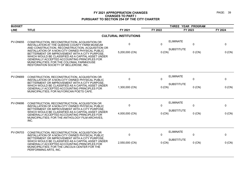| <b>BUDGET</b>   |                                                                                                                                                                                                                                                                                                                                                                                                                                                       |                               |                       | THREE YEAR PROGRAM                    |                          |             |  |
|-----------------|-------------------------------------------------------------------------------------------------------------------------------------------------------------------------------------------------------------------------------------------------------------------------------------------------------------------------------------------------------------------------------------------------------------------------------------------------------|-------------------------------|-----------------------|---------------------------------------|--------------------------|-------------|--|
| <b>LINE</b>     | <b>TITLE</b>                                                                                                                                                                                                                                                                                                                                                                                                                                          | FY 2021                       | FY 2022               | FY 2023                               |                          | FY 2024     |  |
|                 |                                                                                                                                                                                                                                                                                                                                                                                                                                                       | <b>CULTURAL INSTITUTIONS</b>  |                       |                                       |                          |             |  |
| <b>PV-DN655</b> | CONSTRUCTION, RECONSTRUCTION, ACQUISITION OR<br>INSTALLATION AT THE QUEENS COUNTY FARM MUSEUM<br>AND CONSTRUCTION, RECONSTRUCTION, ACQUISITION OR<br>INSTALLATION OF A NON-CITY OWNED PHYSICAL PUBLIC<br>BETTERMENT OR IMPROVEMENT WITH A CITY PURPOSE.<br>WHICH WOULD BE CLASSIFIED AS A CAPITAL ASSET UNDER<br>GENERALLY ACCEPTED ACCOUNTING PRINCIPLES FOR<br>MUNICIPALITIES; FOR THE COLONIAL FARMHOUSE<br>RESTORATION SOCIETY OF BELLEROSE, INC. | 0<br>5,200,000 (CN)           | $\mathbf 0$<br>0 (CN) | <b>ELIMINATE</b><br><b>SUBSTITUTE</b> | $\mathbf{0}$<br>$0$ (CN) | 0<br>0 (CN) |  |
| <b>PV-DN669</b> | CONSTRUCTION, RECONSTRUCTION, ACQUISITION OR<br>INSTALLATION OF A NON-CITY OWNED PHYSICAL PUBLIC<br>BETTERMENT OR IMPROVEMENT WITH A CITY PURPOSE.<br>WHICH WOULD BE CLASSIFIED AS A CAPITAL ASSET UNDER<br><b>GENERALLY ACCEPTED ACCOUNTING PRINCIPLES FOR</b><br>MUNICIPALITIES; FOR NUYORICAN POETS CAFE.                                                                                                                                          | $\mathbf 0$<br>1,300,000 (CN) | $\Omega$<br>0 (CN)    | <b>ELIMINATE</b><br><b>SUBSTITUTE</b> | $\mathbf{0}$<br>$0$ (CN) | 0<br>0 (CN) |  |
| PV-DN686        | CONSTRUCTION, RECONSTRUCTION, ACQUISITION OR<br>INSTALLATION OF A NON-CITY OWNED PHYSICAL PUBLIC<br>BETTERMENT OR IMPROVEMENT WITH A CITY PURPOSE,<br>WHICH WOULD BE CLASSIFIED AS A CAPITAL ASSET UNDER<br>GENERALLY ACCEPTED ACCOUNTING PRINCIPLES FOR<br>MUNICIPALITIES; FOR THE ANTHOLOGY FILM ARCHIVES,<br>INC.                                                                                                                                  | $\mathbf 0$<br>4,000,000 (CN) | $\mathbf 0$<br>0 (CN) | <b>ELIMINATE</b><br><b>SUBSTITUTE</b> | $\mathbf 0$<br>$0$ (CN)  | 0<br>0 (CN) |  |
| PV-DN703        | CONSTRUCTION, RECONSTRUCTION, ACQUISITION OR<br>INSTALLATION OF A NON-CITY OWNED PHYSICAL PUBLIC<br>BETTERMENT OR IMPROVEMENT WITH A CITY PURPOSE,<br>WHICH WOULD BE CLASSIFIED AS A CAPITAL ASSET UNDER<br>GENERALLY ACCEPTED ACCOUNTING PRINCIPLES FOR<br>MUNICIPALITIES; FOR THE LINCOLN CENTER FOR THE<br>PERFORMING ARTS, INC.                                                                                                                   | $\mathbf 0$<br>2,550,000 (CN) | 0<br>0 (CN)           | <b>ELIMINATE</b><br><b>SUBSTITUTE</b> | 0<br>$0$ (CN)            | 0<br>0 (CN) |  |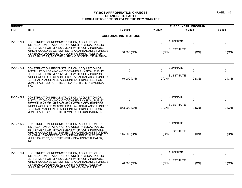| <b>BUDGET</b>   |                                                                                                                                                                                                                                                                                                                |                              | THREE YEAR PROGRAM |                               |         |  |
|-----------------|----------------------------------------------------------------------------------------------------------------------------------------------------------------------------------------------------------------------------------------------------------------------------------------------------------------|------------------------------|--------------------|-------------------------------|---------|--|
| <b>LINE</b>     | <b>TITLE</b>                                                                                                                                                                                                                                                                                                   | FY 2021                      | FY 2022            | FY 2023                       | FY 2024 |  |
|                 |                                                                                                                                                                                                                                                                                                                | <b>CULTURAL INSTITUTIONS</b> |                    |                               |         |  |
| PV-DN704        | CONSTRUCTION, RECONSTRUCTION, ACQUISITION OR<br>INSTALLATION OF A NON-CITY OWNED PHYSICAL PUBLIC<br>BETTERMENT OR IMPROVEMENT WITH A CITY PURPOSE                                                                                                                                                              | 0                            | $\Omega$           | <b>ELIMINATE</b><br>0         | 0       |  |
|                 | WHICH WOULD BE CLASSIFIED AS A CAPITAL ASSET UNDER<br>GENERALLY ACCEPTED ACCOUNTING PRINCIPLES FOR<br>MUNICIPALITIES; FOR THE HISPANIC SOCIETY OF AMERICA.                                                                                                                                                     | 50,000 (CN)                  | $0$ (CN)           | <b>SUBSTITUTE</b><br>$0$ (CN) | 0 (CN)  |  |
| <b>PV-DN741</b> | CONSTRUCTION, RECONSTRUCTION, ACQUISITION OR<br>INSTALLATION OF A NON-CITY OWNED PHYSICAL PUBLIC<br>BETTERMENT OR IMPROVEMENT WITH A CITY PURPOSE.                                                                                                                                                             | 0                            | $\Omega$           | <b>ELIMINATE</b><br>$\pmb{0}$ | 0       |  |
|                 | WHICH WOULD BE CLASSIFIED AS A CAPITAL ASSET UNDER<br>GENERALLY ACCEPTED ACCOUNTING PRINCIPLES FOR<br>MUNICIPALITIES; FOR THE CHINA INSTITUTE IN AMERICA,<br>INC.                                                                                                                                              | 75,000 (CN)                  | 0 (CN)             | <b>SUBSTITUTE</b><br>$0$ (CN) | 0 (CN)  |  |
| <b>PV-DN789</b> | CONSTRUCTION, RECONSTRUCTION, ACQUISITION OR<br>INSTALLATION OF A NON-CITY OWNED PHYSICAL PUBLIC<br>BETTERMENT OR IMPROVEMENT WITH A CITY PURPOSE.<br>WHICH WOULD BE CLASSIFIED AS A CAPITAL ASSET UNDER<br>GENERALLY ACCEPTED ACCOUNTING PRINCIPLES FOR<br>MUNICIPALITIES; FOR THE TOWN HALL FOUNDATION, INC. | 0                            | 0                  | <b>ELIMINATE</b><br>0         | 0       |  |
|                 |                                                                                                                                                                                                                                                                                                                | 863,000 (CN)                 | $0$ (CN)           | <b>SUBSTITUTE</b><br>$0$ (CN) | 0 (CN)  |  |
| <b>PV-DN820</b> | CONSTRUCTION, RECONSTRUCTION, ACQUISITION OR<br>INSTALLATION OF A NON-CITY OWNED PHYSICAL PUBLIC                                                                                                                                                                                                               | 0                            | 0                  | <b>ELIMINATE</b><br>0         | 0       |  |
|                 | BETTERMENT OR IMPROVEMENT WITH A CITY PURPOSE<br>WHICH WOULD BE CLASSIFIED AS A CAPITAL ASSET UNDER<br>GENERALLY ACCEPTED ACCOUNTING PRINCIPLES FOR<br>MUNICIPALITIES; FOR THE VIVIAN BEAUMONT THEATER,<br>INC.                                                                                                | 145,000 (CN)                 | $0$ (CN)           | <b>SUBSTITUTE</b><br>$0$ (CN) | 0 (CN)  |  |
| <b>PV-DN831</b> | CONSTRUCTION, RECONSTRUCTION, ACQUISITION OR<br>INSTALLATION OF A NON-CITY OWNED PHYSICAL PUBLIC                                                                                                                                                                                                               | 0                            | $\mathbf{0}$       | <b>ELIMINATE</b><br>0         | 0       |  |
|                 | BETTERMENT OR IMPROVEMENT WITH A CITY PURPOSE.<br>WHICH WOULD BE CLASSIFIED AS A CAPITAL ASSET UNDER<br>GENERALLY ACCEPTED ACCOUNTING PRINCIPLES FOR<br>MUNICIPALITIES; FOR THE GINA GIBNEY DANCE, INC.                                                                                                        | 120,000 (CN)                 | 0 (CN)             | <b>SUBSTITUTE</b><br>$0$ (CN) | 0 (CN)  |  |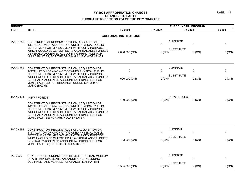| <b>BUDGET</b>   |                                                                                                                                                                                                                                                                                                   |                              | THREE YEAR PROGRAM |                   |          |         |
|-----------------|---------------------------------------------------------------------------------------------------------------------------------------------------------------------------------------------------------------------------------------------------------------------------------------------------|------------------------------|--------------------|-------------------|----------|---------|
| <b>LINE</b>     | <b>TITLE</b>                                                                                                                                                                                                                                                                                      | FY 2021                      | FY 2022            | FY 2023           |          | FY 2024 |
|                 |                                                                                                                                                                                                                                                                                                   | <b>CULTURAL INSTITUTIONS</b> |                    |                   |          |         |
| <b>PV-DN853</b> | CONSTRUCTION, RECONSTRUCTION, ACQUISITION OR<br>INSTALLATION OF A NON-CITY OWNED PHYSICAL PUBLIC<br>BETTERMENT OR IMPROVEMENT WITH A CITY PURPOSE.                                                                                                                                                | $\pmb{0}$                    | $\Omega$           | <b>ELIMINATE</b>  | 0        | 0       |
|                 | WHICH WOULD BE CLASSIFIED AS A CAPITAL ASSET UNDER<br>GENERALLY ACCEPTED ACCOUNTING PRINCIPLES FOR<br>MUNICIPALITIES; FOR THE ORIGINAL MUSIC WORKSHOP.                                                                                                                                            | 2,000,000 (CN)               | 0 (CN)             | <b>SUBSTITUTE</b> | $0$ (CN) | 0 (CN)  |
| <b>PV-DN922</b> | CONSTRUCTION, RECONSTRUCTION, ACQUISITION OR<br>INSTALLATION OF A NON-CITY OWNED PHYSICAL PUBLIC<br>BETTERMENT OR IMPROVEMENT WITH A CITY PURPOSE,                                                                                                                                                | $\mathbf 0$                  | $\Omega$           | <b>ELIMINATE</b>  | 0        | 0       |
|                 | WHICH WOULD BE CLASSIFIED AS A CAPITAL ASSET UNDER<br>GENERALLY ACCEPTED ACCOUNTING PRINCIPLES FOR<br>MUNICIPALITIES; FOR BROOKLYN CONSERVATORY OF<br>MUSIC (BKCM).                                                                                                                               | 500,000 (CN)                 | 0 (CN)             | <b>SUBSTITUTE</b> | $0$ (CN) | 0 (CN)  |
| <b>PV-DN949</b> | (NEW PROJECT)                                                                                                                                                                                                                                                                                     |                              |                    | (NEW PROJECT)     |          |         |
|                 | CONSTRUCTION, RECONSTRUCTION, ACQUISITION OR<br>INSTALLATION OF A NON-CITY OWNED PHYSICAL PUBLIC<br>BETTERMENT OR IMPROVEMENT WITH A CITY PURPOSE,<br>WHICH WOULD BE CLASSIFIED AS A CAPITAL ASSET UNDER<br>GENERALLY ACCEPTED ACCOUNTING PRINCIPLES FOR<br>MUNICIPALITIES; FOR ARS NOVA THEATER. | 100,000 (CN)                 | $0$ (CN)           |                   | $0$ (CN) | 0 (CN)  |
| PV-DN994        | CONSTRUCTION, RECONSTRUCTION, ACQUISITION OR<br>INSTALLATION OF A NON-CITY OWNED PHYSICAL PUBLIC                                                                                                                                                                                                  | $\mathbf 0$                  | $\Omega$           | <b>ELIMINATE</b>  | 0        | 0       |
|                 | BETTERMENT OR IMPROVEMENT WITH A CITY PURPOSE.<br>WHICH WOULD BE CLASSIFIED AS A CAPITAL ASSET UNDER<br>GENERALLY ACCEPTED ACCOUNTING PRINCIPLES FOR<br>MUNICIPALITIES; FOR THE FLUX FACTORY.                                                                                                     | 93,000 (CN)                  | $0$ (CN)           | <b>SUBSTITUTE</b> | $0$ (CN) | 0 (CN)  |
| <b>PV-D022</b>  | CITY COUNCIL FUNDING FOR THE METROPOLITAN MUSEUM<br>OF ART, IMPROVEMENTS AND ADDITIONS, INCLUDING                                                                                                                                                                                                 | $\mathbf 0$                  | $\Omega$           | <b>ELIMINATE</b>  | 0        | 0       |
|                 | EQUIPMENT AND VEHICLE PURCHASES, MANHATTAN                                                                                                                                                                                                                                                        | 3,585,000 (CN)               | 0 (CN)             | <b>SUBSTITUTE</b> | $0$ (CN) | 0 (CN)  |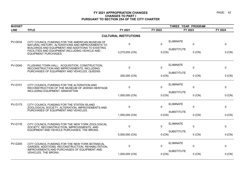| <b>BUDGET</b>  |                                                                                                                                                          |                              |          | THREE YEAR PROGRAM |              |          |
|----------------|----------------------------------------------------------------------------------------------------------------------------------------------------------|------------------------------|----------|--------------------|--------------|----------|
| <b>LINE</b>    | <b>TITLE</b>                                                                                                                                             | FY 2021                      | FY 2022  | FY 2023            |              | FY 2024  |
|                |                                                                                                                                                          | <b>CULTURAL INSTITUTIONS</b> |          |                    |              |          |
| <b>PV-D034</b> | CITY COUNCIL FUNDING FOR THE AMERICAN MUSEUM OF<br>NATURAL HISTORY, ALTERATIONS AND IMPROVEMENTS TO<br>BUILDINGS AND EQUIPMENT AND ADDITIONS TO EXISTING | 0                            | $\Omega$ | <b>ELIMINATE</b>   | $\mathbf{0}$ | 0        |
|                | FACILITIES AND EQUIPMENT, INCLUDING VEHICLE AND<br>EQUIPMENT PURCHASES.                                                                                  | 3,275,000 (CN)               | 0 (CN)   | <b>SUBSTITUTE</b>  | $0$ (CN)     | 0 (CN)   |
| <b>PV-D040</b> | FLUSHING TOWN HALL: ACQUISITION, CONSTRUCTION,<br>RECONSTRUCTION AND IMPROVEMENTS, INCLUDING<br>PURCHASES OF EQUIPMENT AND VEHICLES, QUEENS              | $\mathbf 0$                  | $\Omega$ | <b>ELIMINATE</b>   | $\mathbf 0$  | $\Omega$ |
|                |                                                                                                                                                          | 250,000 (CN)                 | 0 (CN)   | <b>SUBSTITUTE</b>  | $0$ (CN)     | 0 (CN)   |
| <b>PV-D101</b> | CITY COUNCIL FUNDING FOR THE ALTERATION AND<br>RECONSTRUCTION OF THE MUSEUM OF JEWISH HERITAGE<br>INCLUDING EQUIPMENT, MANHATTAN                         | 0                            | $\Omega$ | <b>ELIMINATE</b>   | $\mathbf 0$  | 0        |
|                |                                                                                                                                                          | 1,050,000 (CN)               | 0 (CN)   | <b>SUBSTITUTE</b>  | $0$ (CN)     | 0 (CN)   |
| <b>PV-D175</b> | CITY COUNCIL FUNDING FOR THE STATEN ISLAND<br>ZOOLOGICAL SOCIETY, ALTERATION, IMPROVEMENTS AND                                                           | 0                            | $\Omega$ | <b>ELIMINATE</b>   | $\mathbf 0$  | 0        |
|                | PURCHASES OF EQUIPMENT AND VEHICLES.                                                                                                                     | 1,550,000 (CN)               | $0$ (CN) | <b>SUBSTITUTE</b>  | $0$ (CN)     | 0 (CN)   |
| <b>PV-D176</b> | CITY COUNCIL FUNDING FOR THE NEW YORK ZOOLOGICAL<br>SOCIETY, RECONSTRUCTION, IMPROVEMENTS, AND                                                           | 0                            | $\Omega$ | <b>ELIMINATE</b>   | $\mathbf{0}$ | 0        |
|                | EQUIPMENT AND VEHICLE PURCHASES, THE BRONX.                                                                                                              | 5,500,000 (CN)               | 0 (CN)   | <b>SUBSTITUTE</b>  | $0$ (CN)     | $0$ (CN) |
| <b>PV-D205</b> | CITY COUNCIL FUNDING FOR THE NEW YORK BOTANICAL<br>GARDEN, ADDITIONS, RECONSTRUCTION, REHABILITATION,                                                    | 0                            | $\Omega$ | <b>ELIMINATE</b>   | $\mathbf 0$  | 0        |
|                | IMPROVEMENTS AND PURCHASES OF EQUIPMENT AND<br>VEHICLES, THE BRONX.                                                                                      | 1,000,000 (CN)               | $0$ (CN) | <b>SUBSTITUTE</b>  | $0$ (CN)     | 0 (CN)   |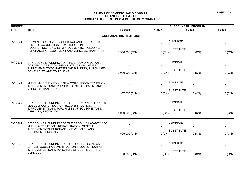| <b>BUDGET</b>  |                                                                                                                                   |                              |              | THREE YEAR PROGRAM |          |         |
|----------------|-----------------------------------------------------------------------------------------------------------------------------------|------------------------------|--------------|--------------------|----------|---------|
| <b>LINE</b>    | <b>TITLE</b>                                                                                                                      | FY 2021                      | FY 2022      | FY 2023            |          | FY 2024 |
|                |                                                                                                                                   | <b>CULTURAL INSTITUTIONS</b> |              |                    |          |         |
| <b>PV-D234</b> | CLEMENTE SOTO VELEZ CULTURAL AND EDUCATIONAL<br>CENTER : ACQUISITION, CONSTRUCTION,<br>RECONSTRUCTION AND IMPROVEMENTS, INCLUDING | $\mathbf 0$                  | $\Omega$     | <b>ELIMINATE</b>   | 0        | 0       |
|                | PURCHASES OF EQUIPMENT AND VEHICLES, MANHATTAN.                                                                                   | 1,350,000 (CN)               | 0 (CN)       | <b>SUBSTITUTE</b>  | $0$ (CN) | 0 (CN)  |
| <b>PV-D236</b> | CITY COUNCIL FUNDING FOR THE BROOKLYN BOTANIC<br>GARDEN, ALTERATION, RECONSTRUCTION, GENERAL                                      | $\Omega$                     | $\mathbf{0}$ | <b>ELIMINATE</b>   | 0        | 0       |
|                | IMPROVEMENTS TO GARDEN AND BUILDING, PURCHASES<br>OF VEHICLES AND EQUIPMENT.                                                      | 2,000,000 (CN)               | 0 (CN)       | <b>SUBSTITUTE</b>  | $0$ (CN) | 0 (CN)  |
| <b>PV-D241</b> | MUSEUM OF THE CITY OF NEW YORK, RECONSTRUCTION,<br>IMPROVEMENTS AND PURCHASES OF EQUIPMENT AND                                    | $\mathbf{0}$                 | $\Omega$     | <b>ELIMINATE</b>   | 0        | 0       |
|                | VEHICLES, MANHATTAN.                                                                                                              | 337,000 (CN)                 | 0 (CN)       | <b>SUBSTITUTE</b>  | $0$ (CN) | 0 (CN)  |
| <b>PV-D262</b> | CITY COUNCIL FUNDING FOR THE BROOKLYN CHILDREN'S<br>MUSEUM: CONSTRUCTION, RECONSTRUCTION,                                         | $\mathbf{0}$                 | $\Omega$     | <b>ELIMINATE</b>   | 0        | 0       |
|                | IMPROVEMENTS AND PURCHASES OF EQUIPMENT AND<br>VEHICLES, BROOKLYN.                                                                | 1,000,000 (CN)               | 0 (CN)       | <b>SUBSTITUTE</b>  | $0$ (CN) | 0 (CN)  |
| <b>PV-D264</b> | CITY COUNCIL FUNDING FOR THE BROOKLYN ACADEMY OF<br>MUSIC, ALTERATIONS, REHABILITATION, GENERAL                                   | $\Omega$                     | $\mathbf{0}$ | <b>ELIMINATE</b>   | 0        | 0       |
|                | IMPROVEMENTS, PURCHASES OF VEHICLES AND<br>EQUIPMENT, BROOKLYN                                                                    | 525,000 (CN)                 | 0 (CN)       | <b>SUBSTITUTE</b>  | $0$ (CN) | 0 (CN)  |
| <b>PV-D272</b> | CITY COUNCIL FUNDING FOR THE QUEENS BOTANICAL<br>GARDEN SOCIETY, CONSTRUCTION, RECONSTRUCTION,                                    | 0                            | $\Omega$     | <b>ELIMINATE</b>   | 0        | 0       |
|                | IMPROVEMENTS AND PURCHASE OF EQUIPMENT AND<br><b>VEHICLES</b>                                                                     | 100,000 (CN)                 | 0 (CN)       | <b>SUBSTITUTE</b>  | $0$ (CN) | 0 (CN)  |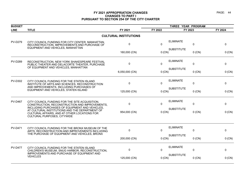| <b>BUDGET</b>  |                                                                                                                                                                                 |                              | THREE YEAR PROGRAM |                   |              |          |  |
|----------------|---------------------------------------------------------------------------------------------------------------------------------------------------------------------------------|------------------------------|--------------------|-------------------|--------------|----------|--|
| <b>LINE</b>    | <b>TITLE</b>                                                                                                                                                                    | FY 2021                      | FY 2022            | FY 2023           |              | FY 2024  |  |
|                |                                                                                                                                                                                 | <b>CULTURAL INSTITUTIONS</b> |                    |                   |              |          |  |
| <b>PV-D279</b> | CITY COUNCIL FUNDING FOR CITY CENTER, MANHATTAN,<br>RECONSTRUCTION, IMPROVEMENTS AND PURCHASE OF                                                                                | $\mathbf 0$                  | $\Omega$           | <b>ELIMINATE</b>  | $\Omega$     | $\Omega$ |  |
|                | EQUIPMENT AND VEHICLES, MANHATTAN                                                                                                                                               | 160,000 (CN)                 | 0 (CN)             | <b>SUBSTITUTE</b> | $0$ (CN)     | 0 (CN)   |  |
| <b>PV-D289</b> | RECONSTRUCTION, NEW YORK SHAKESPEARE FESTIVAL<br>PUBLIC THEATER AND DELACORTE THEATER, PURCHASE<br>OF EQUIPMENT AND VEHICLES, MANHATTAN                                         | $\mathbf{0}$                 | 0                  | <b>ELIMINATE</b>  | $\mathbf{0}$ | 0        |  |
|                |                                                                                                                                                                                 | 6,050,000 (CN)               | 0 (CN)             | <b>SUBSTITUTE</b> | $0$ (CN)     | 0 (CN)   |  |
| <b>PV-D302</b> | CITY COUNCIL FUNDING FOR THE STATEN ISLAND<br>INSTITUTE OF ARTS AND SCIENCES, RECONSTRUCTION<br>AND IMPROVEMENTS, INCLUDING PURCHASES OF                                        | 0                            | $\Omega$           | <b>ELIMINATE</b>  | $\mathbf 0$  | 0        |  |
|                | EQUIPMENT AND VEHICLES, STATEN ISLAND                                                                                                                                           | 125,000 (CN)                 | 0 (CN)             | <b>SUBSTITUTE</b> | $0$ (CN)     | 0 (CN)   |  |
| <b>PV-D467</b> | CITY COUNCIL FUNDING FOR THE SITE ACQUISITION,<br>CONSTRUCTION, RECONSTRUCTION AND IMPROVEMENTS,                                                                                | 0                            | 0                  | <b>ELIMINATE</b>  | $\mathbf 0$  | 0        |  |
|                | INCLUDING PURCHASES OF EQUIPMENT AND VEHICLES,<br>AT CULTURAL INSTITUTIONS AND THE DEPARTMENT OF<br>CULTURAL AFFAIRS, AND AT OTHER LOCATIONS FOR<br>CULTURAL PURPOSES, CITYWIDE | 954,000 (CN)                 | 0 (CN)             | <b>SUBSTITUTE</b> | $0$ (CN)     | 0 (CN)   |  |
| <b>PV-D471</b> | CITY COUNCIL FUNDING FOR THE BRONX MUSEUM OF THE<br>ARTS, RECONSTRUCTION AND IMPROVEMENTS INCLUDING<br>THE PURCHASE OF EQUIPMENT AND VEHICLES, BRONX                            | 0                            | 0                  | <b>ELIMINATE</b>  | $\mathbf{0}$ | 0        |  |
|                |                                                                                                                                                                                 | 200,000 (CN)                 | 0 (CN)             | <b>SUBSTITUTE</b> | $0$ (CN)     | 0 (CN)   |  |
| <b>PV-D477</b> | CITY COUNCIL FUNDING FOR THE STATEN ISLAND<br>CHILDREN'S MUSEUM, SNUG HARBOR, RECONSTRUCTION,                                                                                   | 0                            | 0                  | <b>ELIMINATE</b>  | $\mathbf 0$  | 0        |  |
|                | IMPROVEMENTS AND PURCHASE OF EQUIPMENT AND<br><b>VEHICLES</b>                                                                                                                   | 125,000 (CN)                 | 0 (CN)             | <b>SUBSTITUTE</b> | $0$ (CN)     | 0 (CN)   |  |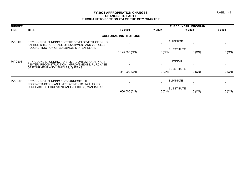| <b>BUDGET</b>  |                                                                                                                                                     |                              | <b>THREE</b> |                               |          |
|----------------|-----------------------------------------------------------------------------------------------------------------------------------------------------|------------------------------|--------------|-------------------------------|----------|
| <b>LINE</b>    | <b>TITLE</b>                                                                                                                                        | FY 2021                      | FY 2022      | FY 2023                       | FY 2024  |
|                |                                                                                                                                                     | <b>CULTURAL INSTITUTIONS</b> |              |                               |          |
| <b>PV-D490</b> | CITY COUNCIL FUNDING FOR THE DEVELOPMENT OF SNUG<br>HARBOR SITE, PURCHASE OF EQUIPMENT AND VEHICLES,<br>RECONSTRUCTION OF BUILDINGS, STATEN ISLAND. | 0                            | 0            | <b>ELIMINATE</b><br>0         |          |
|                |                                                                                                                                                     | 3,125,000 (CN)               | $0$ (CN)     | <b>SUBSTITUTE</b><br>$0$ (CN) | 0 (CN)   |
| <b>PV-D501</b> | CITY COUNCIL FUNDING FOR P.S. 1 CONTEMPORARY ART<br>CENTER, RECONSTRUCTION, IMPROVEMENTS, PURCHASE                                                  | $\mathbf{0}$                 | 0            | <b>ELIMINATE</b><br>0         | 0        |
|                | OF EQUIPMENT AND VEHICLES, QUEENS                                                                                                                   | 811,000 (CN)                 | $0$ (CN)     | <b>SUBSTITUTE</b><br>$0$ (CN) | 0 (CN)   |
| <b>PV-D503</b> | CITY COUNCIL FUNDING FOR CARNEGIE HALL,<br>RECONSTRUCTION AND IMPROVEMENTS, INCLUDING                                                               | $\Omega$                     | 0            | <b>ELIMINATE</b><br>0         | 0        |
|                | PURCHASE OF EQUIPMENT AND VEHICLES, MANHATTAN                                                                                                       | 1,650,000 (CN)               | 0(CN)        | <b>SUBSTITUTE</b><br>$0$ (CN) | $0$ (CN) |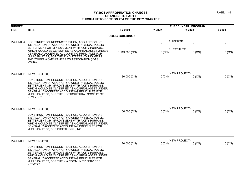| <b>BUDGET</b> |                                                                                                                                                                                                                                                                                                                                            |                         | THREE YEAR PROGRAM |                               |          |
|---------------|--------------------------------------------------------------------------------------------------------------------------------------------------------------------------------------------------------------------------------------------------------------------------------------------------------------------------------------------|-------------------------|--------------------|-------------------------------|----------|
| <b>LINE</b>   | <b>TITLE</b>                                                                                                                                                                                                                                                                                                                               | FY 2021                 | FY 2022            | FY 2023                       | FY 2024  |
|               |                                                                                                                                                                                                                                                                                                                                            | <b>PUBLIC BUILDINGS</b> |                    |                               |          |
| PW-DN004      | CONSTRUCTION, RECONSTRUCTION, ACQUISITION OR<br>INSTALLATION OF A NON-CITY OWNED PHYSICAL PUBLIC<br>BETTERMENT OR IMPROVEMENT WITH A CITY PURPOSE,                                                                                                                                                                                         | 0                       | $\mathbf{0}$       | <b>ELIMINATE</b><br>0         | 0        |
|               | WHICH WOULD BE CLASSIFIED AS A CAPITAL ASSET UNDER<br>GENERALLY ACCEPTED ACCOUNTING PRINCIPLES FOR<br>MUNICIPALITIES; FOR THE 92ND STREET YOUNG MEN'S<br>AND YOUNG WOMEN'S HEBREW ASSOCIATION (YM &<br>YWHA).                                                                                                                              | 1,113,000 (CN)          | 0 (CN)             | <b>SUBSTITUTE</b><br>$0$ (CN) | 0 (CN)   |
| PW-DN03B      | (NEW PROJECT)<br>CONSTRUCTION, RECONSTRUCTION, ACQUISITION OR<br>INSTALLATION OF A NON-CITY OWNED PHYSICAL PUBLIC<br>BETTERMENT OR IMPROVEMENT WITH A CITY PURPOSE,<br>WHICH WOULD BE CLASSIFIED AS A CAPITAL ASSET UNDER<br>GENERALLY ACCEPTED ACCOUNTING PRINCIPLES FOR<br>MUNICIPALITIES; FOR THE HORTICULTURAL SOCIETY OF<br>NEW YORK. | 80,000 (CN)             | 0(CN)              | (NEW PROJECT)<br>$0$ (CN)     | 0 (CN)   |
|               | PW-DN03C (NEW PROJECT)<br>CONSTRUCTION, RECONSTRUCTION, ACQUISITION OR<br>INSTALLATION OF A NON-CITY OWNED PHYSICAL PUBLIC<br>BETTERMENT OR IMPROVEMENT WITH A CITY PURPOSE,<br>WHICH WOULD BE CLASSIFIED AS A CAPITAL ASSET UNDER<br><b>GENERALLY ACCEPTED ACCOUNTING PRINCIPLES FOR</b><br>MUNICIPALITIES; FOR DIGITAL GIRL, INC.        | 100,000 (CN)            | $0$ (CN)           | (NEW PROJECT)<br>$0$ (CN)     | 0 (CN)   |
| PW-DN03D      | (NEW PROJECT)<br>CONSTRUCTION, RECONSTRUCTION, ACQUISITION OR<br>INSTALLATION OF A NON-CITY OWNED PHYSICAL PUBLIC<br>BETTERMENT OR IMPROVEMENT WITH A CITY PURPOSE<br>WHICH WOULD BE CLASSIFIED AS A CAPITAL ASSET UNDER<br>GENERALLY ACCEPTED ACCOUNTING PRINCIPLES FOR<br>MUNICIPALITIES; FOR THE NIA COMMUNITY SERVICES<br>NETWORK.     | 1,120,000 (CN)          | 0(CN)              | (NEW PROJECT)<br>$0$ (CN)     | $0$ (CN) |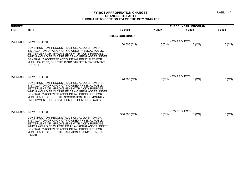| <b>BUDGET</b> |                                                                                                                                                                                                                                                                                                                                                                                     |                         | THREE YEAR PROGRAM |                           |         |
|---------------|-------------------------------------------------------------------------------------------------------------------------------------------------------------------------------------------------------------------------------------------------------------------------------------------------------------------------------------------------------------------------------------|-------------------------|--------------------|---------------------------|---------|
| <b>LINE</b>   | <b>TITLE</b>                                                                                                                                                                                                                                                                                                                                                                        | FY 2021                 | FY 2022            | FY 2023                   | FY 2024 |
|               |                                                                                                                                                                                                                                                                                                                                                                                     | <b>PUBLIC BUILDINGS</b> |                    |                           |         |
| PW-DN03E      | (NEW PROJECT)<br>CONSTRUCTION, RECONSTRUCTION, ACQUISITION OR<br>INSTALLATION OF A NON-CITY OWNED PHYSICAL PUBLIC<br>BETTERMENT OR IMPROVEMENT WITH A CITY PURPOSE<br>WHICH WOULD BE CLASSIFIED AS A CAPITAL ASSET UNDER<br><b>GENERALLY ACCEPTED ACCOUNTING PRINCIPLES FOR</b><br>MUNICIPALITIES; FOR THE 163RD STREET IMPROVEMENT<br>COUNCIL.                                     | 50,000 (CN)             | $0$ (CN)           | (NEW PROJECT)<br>$0$ (CN) | 0 (CN)  |
| PW-DN03F      | (NEW PROJECT)<br>CONSTRUCTION, RECONSTRUCTION, ACQUISITION OR<br>INSTALLATION OF A NON-CITY OWNED PHYSICAL PUBLIC<br>BETTERMENT OR IMPROVEMENT WITH A CITY PURPOSE,<br>WHICH WOULD BE CLASSIFIED AS A CAPITAL ASSET UNDER<br><b>GENERALLY ACCEPTED ACCOUNTING PRINCIPLES FOR</b><br>MUNICIPALITIES; FOR THE ASSOCIATION OF COMMUNITY<br>EMPLOYMENT PROGRAMS FOR THE HOMELESS (ACE). | 96,000 (CN)             | 0 (CN)             | (NEW PROJECT)<br>$0$ (CN) | 0 (CN)  |
| PW-DN03G      | (NEW PROJECT)<br>CONSTRUCTION, RECONSTRUCTION, ACQUISITION OR<br>INSTALLATION OF A NON-CITY OWNED PHYSICAL PUBLIC<br>BETTERMENT OR IMPROVEMENT WITH A CITY PURPOSE<br>WHICH WOULD BE CLASSIFIED AS A CAPITAL ASSET UNDER<br>GENERALLY ACCEPTED ACCOUNTING PRINCIPLES FOR<br>MUNICIPALITIES; FOR THE CAMPAIGN AGAINST HUNGER<br>(TCAH).                                              | 300,000 (CN)            | $0$ (CN)           | (NEW PROJECT)<br>$0$ (CN) | 0 (CN)  |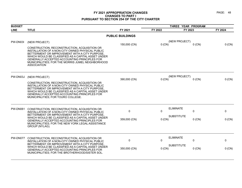| <b>BUDGET</b>   |                                                                                                                                                                                                                                                                                                                                            |                         | THREE YEAR PROGRAM |                               |         |
|-----------------|--------------------------------------------------------------------------------------------------------------------------------------------------------------------------------------------------------------------------------------------------------------------------------------------------------------------------------------------|-------------------------|--------------------|-------------------------------|---------|
| <b>LINE</b>     | <b>TITLE</b>                                                                                                                                                                                                                                                                                                                               | FY 2021                 | FY 2022            | FY 2023                       | FY 2024 |
|                 |                                                                                                                                                                                                                                                                                                                                            | <b>PUBLIC BUILDINGS</b> |                    |                               |         |
| PW-DN03I        | (NEW PROJECT)                                                                                                                                                                                                                                                                                                                              | 150,000 (CN)            | $0$ (CN)           | (NEW PROJECT)<br>$0$ (CN)     | 0 (CN)  |
|                 | CONSTRUCTION, RECONSTRUCTION, ACQUISITION OR<br>INSTALLATION OF A NON-CITY OWNED PHYSICAL PUBLIC<br>BETTERMENT OR IMPROVEMENT WITH A CITY PURPOSE,<br>WHICH WOULD BE CLASSIFIED AS A CAPITAL ASSET UNDER<br><b>GENERALLY ACCEPTED ACCOUNTING PRINCIPLES FOR</b><br>MUNICIPALITIES; FOR THE MORRIS JUMEL NEIGHBORHOOD<br><b>ASSOCIATION</b> |                         |                    |                               |         |
| PW-DN03J        | (NEW PROJECT)                                                                                                                                                                                                                                                                                                                              | 390,000 (CN)            | 0 (CN)             | (NEW PROJECT)<br>$0$ (CN)     | 0 (CN)  |
|                 | CONSTRUCTION, RECONSTRUCTION, ACQUISITION OR<br>INSTALLATION OF A NON-CITY OWNED PHYSICAL PUBLIC<br>BETTERMENT OR IMPROVEMENT WITH A CITY PURPOSE<br>WHICH WOULD BE CLASSIFIED AS A CAPITAL ASSET UNDER<br>GENERALLY ACCEPTED ACCOUNTING PRINCIPLES FOR<br>MUNICIPALITIES; FOR TOURO COLLEGE.                                              |                         |                    |                               |         |
| <b>PW-DN061</b> | CONSTRUCTION, RECONSTRUCTION, ACQUISITION OR<br>INSTALLATION OF A NON-CITY OWNED PHYSICAL PUBLIC                                                                                                                                                                                                                                           | 0                       | 0                  | <b>ELIMINATE</b><br>0         | 0       |
|                 | BETTERMENT OR IMPROVEMENT WITH A CITY PURPOSE<br>WHICH WOULD BE CLASSIFIED AS A CAPITAL ASSET UNDER<br><b>GENERALLY ACCEPTED ACCOUNTING PRINCIPLES FOR</b><br>MUNICIPALITIES; FOR THE NEW YORK LEGAL ASSISTANCE<br>GROUP (NYLAG).                                                                                                          | 359,000 (CN)            | 0 (CN)             | <b>SUBSTITUTE</b><br>$0$ (CN) | 0 (CN)  |
| PW-DN077        | CONSTRUCTION, RECONSTRUCTION, ACQUISITION OR<br>INSTALLATION OF A NON-CITY OWNED PHYSICAL PUBLIC                                                                                                                                                                                                                                           | 0                       | $\Omega$           | <b>ELIMINATE</b><br>0         | 0       |
|                 | BETTERMENT OR IMPROVEMENT WITH A CITY PURPOSE,<br>WHICH WOULD BE CLASSIFIED AS A CAPITAL ASSET UNDER<br>GENERALLY ACCEPTED ACCOUNTING PRINCIPLES FOR<br>MUNICIPALITIES; FOR THE BROTHERHOOD/SISTER SOL.                                                                                                                                    | 350,000 (CN)            | $0$ (CN)           | <b>SUBSTITUTE</b><br>$0$ (CN) | 0 (CN)  |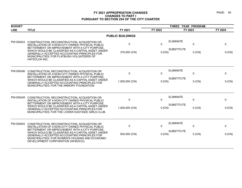| <b>BUDGET</b>   |                                                                                                                                                                                                                                                                                                               |                         | THREE YEAR PROGRAM |                                                      |              |  |
|-----------------|---------------------------------------------------------------------------------------------------------------------------------------------------------------------------------------------------------------------------------------------------------------------------------------------------------------|-------------------------|--------------------|------------------------------------------------------|--------------|--|
| <b>LINE</b>     | <b>TITLE</b>                                                                                                                                                                                                                                                                                                  | FY 2021                 | FY 2022            | FY 2023                                              | FY 2024      |  |
|                 |                                                                                                                                                                                                                                                                                                               | <b>PUBLIC BUILDINGS</b> |                    |                                                      |              |  |
| <b>PW-DN243</b> | CONSTRUCTION, RECONSTRUCTION, ACQUISITION OR<br>INSTALLATION OF A NON-CITY OWNED PHYSICAL PUBLIC<br>BETTERMENT OR IMPROVEMENT WITH A CITY PURPOSE.                                                                                                                                                            | $\mathbf 0$             | $\mathbf{0}$       | <b>ELIMINATE</b><br>$\mathbf 0$<br><b>SUBSTITUTE</b> | $\mathbf 0$  |  |
|                 | WHICH WOULD BE CLASSIFIED AS A CAPITAL ASSET UNDER<br>GENERALLY ACCEPTED ACCOUNTING PRINCIPLES FOR<br>MUNICIPALITIES; FOR FLATBUSH VOLUNTEERS OF<br>HATZOLOH INC.                                                                                                                                             | 370,000 (CN)            | $0$ (CN)           | $0$ (CN)                                             | $0$ (CN)     |  |
| <b>PW-DN246</b> | CONSTRUCTION, RECONSTRUCTION, ACQUISITION OR<br>INSTALLATION OF A NON-CITY OWNED PHYSICAL PUBLIC                                                                                                                                                                                                              | $\Omega$                | $\mathbf{0}$       | <b>ELIMINATE</b><br>$\mathbf 0$                      | $\mathbf{0}$ |  |
|                 | BETTERMENT OR IMPROVEMENT WITH A CITY PURPOSE,<br>WHICH WOULD BE CLASSIFIED AS A CAPITAL ASSET UNDER<br><b>GENERALLY ACCEPTED ACCOUNTING PRINCIPLES FOR</b><br>MUNICIPALITIES; FOR THE ARMORY FOUNDATION.                                                                                                     | 1,000,000 (CN)          | $0$ (CN)           | <b>SUBSTITUTE</b><br>$0$ (CN)                        | $0$ (CN)     |  |
| <b>PW-DN249</b> | CONSTRUCTION, RECONSTRUCTION, ACQUISITION OR<br>INSTALLATION OF A NON-CITY OWNED PHYSICAL PUBLIC<br>BETTERMENT OR IMPROVEMENT WITH A CITY PURPOSE<br>WHICH WOULD BE CLASSIFIED AS A CAPITAL ASSET UNDER<br>GENERALLY ACCEPTED ACCOUNTING PRINCIPLES FOR<br>MUNICIPALITIES; FOR THE LOWER EASTSIDE GIRLS CLUB. | $\mathbf{0}$            | 0                  | <b>ELIMINATE</b><br>$\mathbf 0$                      | 0            |  |
|                 |                                                                                                                                                                                                                                                                                                               | 1,000,000 (CN)          | $0$ (CN)           | <b>SUBSTITUTE</b><br>$0$ (CN)                        | 0 (CN)       |  |
| PW-DN454        | CONSTRUCTION, RECONSTRUCTION, ACQUISITION OR<br>INSTALLATION OF A NON-CITY OWNED PHYSICAL PUBLIC                                                                                                                                                                                                              | $\mathbf{0}$            | $\mathbf{0}$       | <b>ELIMINATE</b><br>0                                | $\mathbf 0$  |  |
|                 | BETTERMENT OR IMPROVEMENT WITH A CITY PURPOSE<br>WHICH WOULD BE CLASSIFIED AS A CAPITAL ASSET UNDER<br><b>GENERALLY ACCEPTED ACCOUNTING PRINCIPLES FOR</b><br>MUNICIPALITIES; FOR WOMEN'S HOUSING AND ECONOMIC<br>DEVELOPMENT CORPORATION (WHEDCO).                                                           | 504,000 (CN)            | $0$ (CN)           | <b>SUBSTITUTE</b><br>$0$ (CN)                        | 0 (CN)       |  |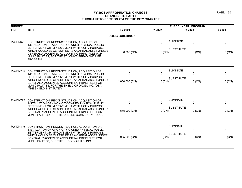| <b>BUDGET</b>   |                                                                                                                                                                                                           |                         |              |                                                      |              |
|-----------------|-----------------------------------------------------------------------------------------------------------------------------------------------------------------------------------------------------------|-------------------------|--------------|------------------------------------------------------|--------------|
| <b>LINE</b>     | <b>TITLE</b>                                                                                                                                                                                              | FY 2021                 | FY 2022      | FY 2023                                              | FY 2024      |
|                 |                                                                                                                                                                                                           | <b>PUBLIC BUILDINGS</b> |              |                                                      |              |
| <b>PW-DN671</b> | CONSTRUCTION, RECONSTRUCTION, ACQUISITION OR<br>INSTALLATION OF A NON-CITY OWNED PHYSICAL PUBLIC<br>BETTERMENT OR IMPROVEMENT WITH A CITY PURPOSE,                                                        | $\Omega$                | $\mathbf{0}$ | <b>ELIMINATE</b><br>$\mathbf 0$<br><b>SUBSTITUTE</b> | $\mathbf{0}$ |
|                 | WHICH WOULD BE CLASSIFIED AS A CAPITAL ASSET UNDER<br>GENERALLY ACCEPTED ACCOUNTING PRINCIPLES FOR<br>MUNICIPALITIES; FOR THE ST JOHN'S BREAD AND LIFE<br><b>PROGRAM</b>                                  | 80,000 (CN)             | $0$ (CN)     | $0$ (CN)                                             | 0 (CN)       |
| <b>PW-DN705</b> | CONSTRUCTION, RECONSTRUCTION, ACQUISITION OR<br>INSTALLATION OF A NON-CITY OWNED PHYSICAL PUBLIC<br>BETTERMENT OR IMPROVEMENT WITH A CITY PURPOSE.                                                        | $\mathbf 0$             | $\Omega$     | <b>ELIMINATE</b><br>$\Omega$                         | $\Omega$     |
|                 | WHICH WOULD BE CLASSIFIED AS A CAPITAL ASSET UNDER<br><b>GENERALLY ACCEPTED ACCOUNTING PRINCIPLES FOR</b><br>MUNICIPALITIES; FOR THE SHIELD OF DAVID, INC. (DBA<br>"THE SHIELD INSTITUTE").               | 1,000,000 (CN)          | $0$ (CN)     | <b>SUBSTITUTE</b><br>$0$ (CN)                        | 0 (CN)       |
| <b>PW-DN722</b> | CONSTRUCTION, RECONSTRUCTION, ACQUISITION OR<br>INSTALLATION OF A NON-CITY OWNED PHYSICAL PUBLIC<br>BETTERMENT OR IMPROVEMENT WITH A CITY PURPOSE.                                                        | $\mathbf 0$             | $\Omega$     | <b>ELIMINATE</b><br>0                                | $\mathbf{0}$ |
|                 | WHICH WOULD BE CLASSIFIED AS A CAPITAL ASSET UNDER<br>GENERALLY ACCEPTED ACCOUNTING PRINCIPLES FOR<br>MUNICIPALITIES; FOR THE QUEENS COMMUNITY HOUSE.                                                     | 1,575,000 (CN)          | 0 (CN)       | <b>SUBSTITUTE</b><br>$0$ (CN)                        | 0 (CN)       |
| <b>PW-DN815</b> | CONSTRUCTION, RECONSTRUCTION, ACQUISITION OR<br>INSTALLATION OF A NON-CITY OWNED PHYSICAL PUBLIC                                                                                                          | $\mathbf 0$             | $\Omega$     | <b>ELIMINATE</b><br>$\Omega$                         | $\Omega$     |
|                 | BETTERMENT OR IMPROVEMENT WITH A CITY PURPOSE,<br>WHICH WOULD BE CLASSIFIED AS A CAPITAL ASSET UNDER<br><b>GENERALLY ACCEPTED ACCOUNTING PRINCIPLES FOR</b><br>MUNICIPALITIES; FOR THE HUDSON GUILD, INC. | 985,000 (CN)            | 0 (CN)       | <b>SUBSTITUTE</b><br>$0$ (CN)                        | 0 (CN)       |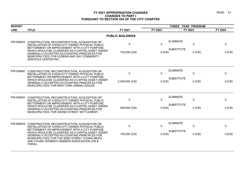| <b>BUDGET</b>   |                                                                                                                                                                                                                                                                                                          |                             |                    |                                       |                          |             |
|-----------------|----------------------------------------------------------------------------------------------------------------------------------------------------------------------------------------------------------------------------------------------------------------------------------------------------------|-----------------------------|--------------------|---------------------------------------|--------------------------|-------------|
| <b>LINE</b>     | <b>TITLE</b>                                                                                                                                                                                                                                                                                             | FY 2021                     | FY 2022            | FY 2023                               |                          | FY 2024     |
|                 |                                                                                                                                                                                                                                                                                                          | <b>PUBLIC BUILDINGS</b>     |                    |                                       |                          |             |
| <b>PW-DN816</b> | CONSTRUCTION, RECONSTRUCTION, ACQUISITION OR<br>INSTALLATION OF A NON-CITY OWNED PHYSICAL PUBLIC<br>BETTERMENT OR IMPROVEMENT WITH A CITY PURPOSE.<br>WHICH WOULD BE CLASSIFIED AS A CAPITAL ASSET UNDER                                                                                                 | $\mathbf 0$<br>732,000 (CN) | $\Omega$<br>0 (CN) | <b>ELIMINATE</b><br><b>SUBSTITUTE</b> | $\mathbf{0}$<br>$0$ (CN) | 0<br>0 (CN) |
|                 | GENERALLY ACCEPTED ACCOUNTING PRINCIPLES FOR<br>MUNICIPALITIES; FOR LESBIAN AND GAY COMMUNITY<br>SERVICES CENTER INC.                                                                                                                                                                                    |                             |                    |                                       |                          |             |
| <b>PW-DN940</b> | CONSTRUCTION, RECONSTRUCTION, ACQUISITION OR<br>INSTALLATION OF A NON-CITY OWNED PHYSICAL PUBLIC<br>BETTERMENT OR IMPROVEMENT WITH A CITY PURPOSE.                                                                                                                                                       | $\mathbf 0$                 | $\mathbf 0$        | <b>ELIMINATE</b>                      | $\mathbf 0$              | 0           |
|                 | WHICH WOULD BE CLASSIFIED AS A CAPITAL ASSET UNDER<br><b>GENERALLY ACCEPTED ACCOUNTING PRINCIPLES FOR</b><br>MUNICIPALITIES; FOR NEW YORK URBAN LEAGUE.                                                                                                                                                  | 2,000,000 (CN)              | 0 (CN)             | <b>SUBSTITUTE</b>                     | $0$ (CN)                 | 0 (CN)      |
| PW-DN945        | CONSTRUCTION, RECONSTRUCTION, ACQUISITION OR<br>INSTALLATION OF A NON-CITY OWNED PHYSICAL PUBLIC<br>BETTERMENT OR IMPROVEMENT WITH A CITY PURPOSE.<br>WHICH WOULD BE CLASSIFIED AS A CAPITAL ASSET UNDER<br>GENERALLY ACCEPTED ACCOUNTING PRINCIPLES FOR<br>MUNICIPALITIES; FOR GRAND STREET SETTLEMENT. | 0                           | 0                  | <b>ELIMINATE</b><br><b>SUBSTITUTE</b> | $\mathbf 0$              | 0           |
|                 |                                                                                                                                                                                                                                                                                                          | 500,000 (CN)                | 0 (CN)             |                                       | $0$ (CN)                 | 0 (CN)      |
| <b>PW-MN004</b> | CONSTRUCTION, RECONSTRUCTION, ACQUISITION OR<br>INSTALLATION OF A NON-CITY OWNED PHYSICAL PUBLIC<br>BETTERMENT OR IMPROVEMENT WITH A CITY PURPOSE.                                                                                                                                                       | $\mathbf 0$                 | $\Omega$           | <b>ELIMINATE</b>                      | $\mathbf{0}$             | 0           |
|                 | WHICH WOULD BE CLASSIFIED AS A CAPITAL ASSET UNDER<br>GENERALLY ACCEPTED ACCOUNTING PRINCIPLES FOR<br>MUNICIPALITIES; FOR THE 92ND STREET YOUNG MEN'S<br>AND YOUNG WOMEN'S HEBREW ASSOCIATION (YM &<br>YWHA).                                                                                            | 100,000 (CN)                | 0 (CN)             | <b>SUBSTITUTE</b>                     | $0$ (CN)                 | $0$ (CN)    |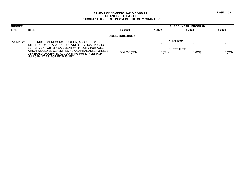|          | <b>THREE YEAR PROGRAM</b> |                                |  |  |
|----------|---------------------------|--------------------------------|--|--|
| FY 2022  | FY 2023                   | FY 2024                        |  |  |
|          |                           |                                |  |  |
| U        |                           |                                |  |  |
| $0$ (CN) | $0$ (CN)                  | 0(CN)                          |  |  |
|          |                           | ELIMINATE<br><b>SUBSTITUTE</b> |  |  |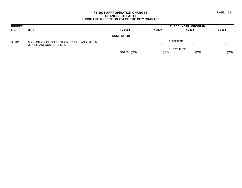| <b>BUDGET</b> |                                                                       |                   | THREE YEAR PROGRAM |                               |         |  |  |
|---------------|-----------------------------------------------------------------------|-------------------|--------------------|-------------------------------|---------|--|--|
| <b>LINE</b>   | <b>TITLE</b>                                                          | FY 2021           | FY 2022            | FY 2023                       | FY 2024 |  |  |
|               |                                                                       | <b>SANITATION</b> |                    |                               |         |  |  |
| S-D129        | ACQUISITION OF COLLECTION TRUCKS AND OTHER<br>MISCELLANEOUS EQUIPMENT |                   | 0                  | ELIMINATE                     |         |  |  |
|               |                                                                       | 310,000 (CN)      | $0$ (CN)           | <b>SUBSTITUTE</b><br>$0$ (CN) | 0(CN)   |  |  |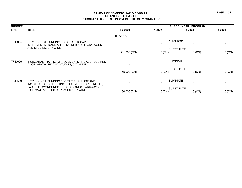| <b>BUDGET</b>  |                                                                                                               |                | THREE YEAR PROGRAM |                                  |         |  |
|----------------|---------------------------------------------------------------------------------------------------------------|----------------|--------------------|----------------------------------|---------|--|
| <b>LINE</b>    | <b>TITLE</b>                                                                                                  | FY 2021        | FY 2022            | FY 2023                          | FY 2024 |  |
|                |                                                                                                               | <b>TRAFFIC</b> |                    |                                  |         |  |
| <b>TF-D004</b> | CITY COUNCIL FUNDING FOR STREETSCAPE<br>IMPROVEMENTS AND ALL REQUIRED ANCILLARY WORK<br>AND STUDIES, CITYWIDE |                | 0                  | <b>ELIMINATE</b><br>0            | 0       |  |
|                |                                                                                                               | 581,000 (CN)   | 0 (CN)             | <b>SUBSTITUTE</b><br>$0$ (CN)    | 0 (CN)  |  |
| <b>TF-D005</b> | INCIDENTAL TRAFFIC IMPROVEMENTS AND ALL REQUIRED<br>ANCILLARY WORK AND STUDIES, CITYWIDE                      | 0              | 0                  | <b>ELIMINATE</b><br>0            | 0       |  |
|                |                                                                                                               | 755,000 (CN)   | 0 (CN)             | <b>SUBSTITUTE</b><br>$0$ (CN)    | 0 (CN)  |  |
| <b>TF-D503</b> | CITY COUNCIL FUNDING FOR THE PURCHASE AND<br>INSTALLATION OF LIGHTING EQUIPMENT FOR STREETS.                  | $\mathbf{0}$   | 0                  | <b>ELIMINATE</b><br>$\mathbf{0}$ | 0       |  |
|                | PARKS, PLAYGROUNDS, SCHOOL YARDS, PARKWAYS,<br>HIGHWAYS AND PUBLIC PLACES, CITYWIDE                           | 80,000 (CN)    | 0(CN)              | <b>SUBSTITUTE</b><br>$0$ (CN)    | 0 (CN)  |  |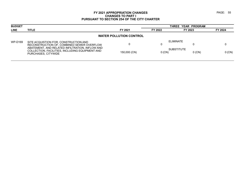| FY 2024<br>FY 2023             |  |  |  |  |  |  |  |
|--------------------------------|--|--|--|--|--|--|--|
| <b>WATER POLLUTION CONTROL</b> |  |  |  |  |  |  |  |
|                                |  |  |  |  |  |  |  |
| $0$ (CN)<br>$0$ (CN)           |  |  |  |  |  |  |  |
|                                |  |  |  |  |  |  |  |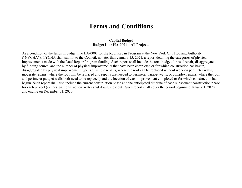# **Terms and Conditions**

#### **Capital Budget Budget Line HA-0001 – All Projects**

As a condition of the funds in budget line HA-0001 for the Roof Repair Program at the New York City Housing Authority ("NYCHA"), NYCHA shall submit to the Council, no later than January 15, 2021, a report detailing the categories of physical improvements made with the Roof Repair Program funding. Such report shall include the total budget for roof repair, disaggregated by funding source, and the number of physical improvements that have been completed or for which construction has begun, disaggregated by physical improvement type (i.e. simple repairs, where the roof can be replaced without work on perimeter walls; moderate repairs, where the roof will be replaced and repairs are needed to perimeter parapet walls; or complex repairs, where the roof and perimeter parapet walls both need to be replaced) and the location of each improvement completed or for which construction has begun. Such report shall also include the current construction phase and the anticipated timeline of each subsequent construction phase for each project (i.e. design, construction, water shut down, closeout). Such report shall cover the period beginning January 1, 2020 and ending on December 31, 2020.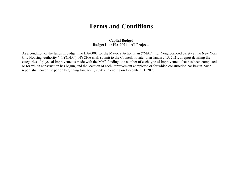# **Terms and Conditions**

#### **Capital Budget Budget Line HA-0001 – All Projects**

As a condition of the funds in budget line HA-0001 for the Mayor's Action Plan ("MAP") for Neighborhood Safety at the New York City Housing Authority ("NYCHA"), NYCHA shall submit to the Council, no later than January 15, 2021, a report detailing the categories of physical improvements made with the MAP funding, the number of each type of improvement that has been completed or for which construction has begun, and the location of each improvement completed or for which construction has begun. Such report shall cover the period beginning January 1, 2020 and ending on December 31, 2020.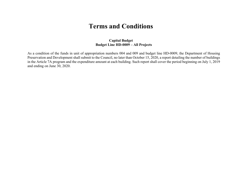# **Terms and Conditions**

#### **Capital Budget Budget Line HD-0009 – All Projects**

As a condition of the funds in unit of appropriation numbers 004 and 009 and budget line HD-0009, the Department of Housing Preservation and Development shall submit to the Council, no later than October 15, 2020, a report detailing the number of buildings in the Article 7A program and the expenditure amount at each building. Such report shall cover the period beginning on July 1, 2019 and ending on June 30, 2020.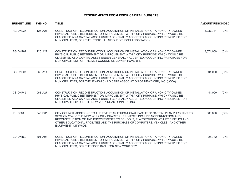| <b>BUDGET LINE</b> | <b>FMS NO.</b> | <b>TITLE</b>                                                                                                                                                                                                                                                                                                                                                          | <b>AMOUNT RESCINDED</b> |      |
|--------------------|----------------|-----------------------------------------------------------------------------------------------------------------------------------------------------------------------------------------------------------------------------------------------------------------------------------------------------------------------------------------------------------------------|-------------------------|------|
| <b>AG DN235</b>    | 125 A21        | CONSTRUCTION, RECONSTRUCTION, ACQUISITION OR INSTALLATION OF A NON-CITY OWNED<br>PHYSICAL PUBLIC BETTERMENT OR IMPROVEMENT WITH A CITY PURPOSE, WHICH WOULD BE<br>CLASSIFIED AS A CAPITAL ASSET UNDER GENERALLY ACCEPTED ACCOUNTING PRINCIPLES FOR<br>MUNICIPALITIES; FOR THE LENOX HILL NEIGHBORHOOD ASSOCIATION.                                                    | 3,237,741               | (CN) |
| AG DN262           | 125 A22        | CONSTRUCTION, RECONSTRUCTION, ACQUISITION OR INSTALLATION OF A NON-CITY OWNED<br>PHYSICAL PUBLIC BETTERMENT OR IMPROVEMENT WITH A CITY PURPOSE, WHICH WOULD BE<br>CLASSIFIED AS A CAPITAL ASSET UNDER GENERALLY ACCEPTED ACCOUNTING PRINCIPLES FOR<br>MUNICIPALITIES; FOR THE MET COUNCIL ON JEWISH POVERTY.                                                          | 3,071,000               | (CN) |
| CS DN207           | 068 A11        | CONSTRUCTION, RECONSTRUCTION, ACQUISITION OR INSTALLATION OF A NON-CITY OWNED<br>PHYSICAL PUBLIC BETTERMENT OR IMPROVEMENT WITH A CITY PURPOSE, WHICH WOULD BE<br>CLASSIFIED AS A CAPITAL ASSET UNDER GENERALLY ACCEPTED ACCOUNTING PRINCIPLES FOR<br>MUNICIPALITIES; FOR THE JEWISH CHILD CARE ASSOCIATION OF NEW YORK, INC. (JCCA).                                 | 504,000                 | (CN) |
| CS DN745           | 068 A27        | CONSTRUCTION, RECONSTRUCTION, ACQUISITION OR INSTALLATION OF A NON-CITY OWNED<br>PHYSICAL PUBLIC BETTERMENT OR IMPROVEMENT WITH A CITY PURPOSE, WHICH WOULD BE<br>CLASSIFIED AS A CAPITAL ASSET UNDER GENERALLY ACCEPTED ACCOUNTING PRINCIPLES FOR<br>MUNICIPALITIES; FOR THE NEW YORK ROAD RUNNERS INC.                                                              | 41,000                  | (CN) |
| E D001             | 040 D01        | CITY COUNCIL ADDITIONS TO THE FIVE YEAR EDUCATIONAL FACILITIES CAPITAL PLAN PURSUANT TO<br>SECTION 254 OF THE NEW YORK CITY CHARTER. PROJECTS INCLUDE MODERNIZATION AND<br>RECONSTRUCTION OF AND IMPROVEMENTS TO SCHOOLS, PLAYGROUNDS, ATHLETIC FIELDS AND<br>OTHER EDUCATIONAL FACILITIES AND THE PURCHASE OF COMPUTERS, VEHICLES, AND OTHER<br>EQUIPMENT, CITYWIDE. | 800,000                 | (CN) |
| <b>ED DN160</b>    | 801 A08        | CONSTRUCTION, RECONSTRUCTION, ACQUISITION OR INSTALLATION OF A NON-CITY OWNED<br>PHYSICAL PUBLIC BETTERMENT OR IMPROVEMENT WITH A CITY PURPOSE, WHICH WOULD BE<br>CLASSIFIED AS A CAPITAL ASSET UNDER GENERALLY ACCEPTED ACCOUNTING PRINCIPLES FOR<br>MUNICIPALITIES; FOR THE FOOD BANK FOR NEW YORK CITY.                                                            | 25,732                  | (CN) |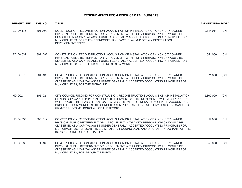| <b>BUDGET LINE</b> | <b>FMS NO.</b> | <b>TITLE</b>                                                                                                                                                                                                                                                                                                                                                                                | <b>AMOUNT RESCINDED</b> |      |
|--------------------|----------------|---------------------------------------------------------------------------------------------------------------------------------------------------------------------------------------------------------------------------------------------------------------------------------------------------------------------------------------------------------------------------------------------|-------------------------|------|
| ED DN175           | 801 A09        | CONSTRUCTION, RECONSTRUCTION, ACQUISITION OR INSTALLATION OF A NON-CITY OWNED<br>PHYSICAL PUBLIC BETTERMENT OR IMPROVEMENT WITH A CITY PURPOSE, WHICH WOULD BE<br>CLASSIFIED AS A CAPITAL ASSET UNDER GENERALLY ACCEPTED ACCOUNTING PRINCIPLES FOR<br>MUNICIPALITIES; FOR THE GREENPOINT MANUFACTURING AND DESIGN CENTER LOCAL<br>DEVELOPMENT CORP.                                         | 2,144,914               | (CN) |
| ED DN631           | 801 D02        | CONSTRUCTION, RECONSTRUCTION, ACQUISITION OR INSTALLATION OF A NON-CITY OWNED<br>PHYSICAL PUBLIC BETTERMENT OR IMPROVEMENT WITH A CITY PURPOSE, WHICH WOULD BE<br>CLASSIFIED AS A CAPITAL ASSET UNDER GENERALLY ACCEPTED ACCOUNTING PRINCIPLES FOR<br>MUNICIPALITIES; FOR THE MAKE THE ROAD NEW YORK                                                                                        | 554,000                 | (CN) |
| ED DN676           | 801 AB9        | CONSTRUCTION, RECONSTRUCTION, ACQUISITION OR INSTALLATION OF A NON-CITY OWNED<br>PHYSICAL PUBLIC BETTERMENT OR IMPROVEMENT WITH A CITY PURPOSE, WHICH WOULD BE<br>CLASSIFIED AS A CAPITAL ASSET UNDER GENERALLY ACCEPTED ACCOUNTING PRINCIPLES FOR<br>MUNICIPALITIES; FOR THE BIOBAT, INC.                                                                                                  | 71,830                  | (CN) |
| <b>HD D024</b>     | 806 D24        | CITY COUNCIL FUNDING FOR CONSTRUCTION, RECONSTRUCTION, ACQUISITION OR INSTALLATION<br>OF NON-CITY OWNED PHYSICAL PUBLIC BETTERMENTS OR IMPROVEMENTS WITH A CITY PURPOSE.<br>WHICH WOULD BE CLASSIFIED AS CAPITAL ASSETS UNDER GENERALLY ACCEPTED ACCOUNTING<br>PRINCIPLES FOR MUNICIPALITIES, UNDERTAKEN PURSUANT TO STATUTORY HOUSING LOAN AND/OR<br>GRANT PROGRAMS; BOROUGH OF THE BRONX. | 2,800,000               | (CN) |
| HD DN056           | 806 B12        | CONSTRUCTION, RECONSTRUCTION, ACQUISITION OR INSTALLATION OF A NON-CITY OWNED<br>PHYSICAL PUBLIC BETTERMENT OR IMPROVEMENT WITH A CITY PURPOSE, WHICH WOULD BE<br>CLASSIFIED AS A CAPITAL ASSET UNDER GENERALLY ACCEPTED ACCOUNTING PRINCIPLES FOR<br>MUNICIPALITIES, PURSUANT TO A STATUTORY HOUSING LOAN AND/OR GRANT PROGRAM; FOR THE<br>BOYS AND GIRLS CLUB OF HARLEM.                  | 52,000                  | (CN) |
| HH DN336           | 071 A03        | CONSTRUCTION, RECONSTRUCTION, ACQUISITION OR INSTALLATION OF A NON-CITY OWNED<br>PHYSICAL PUBLIC BETTERMENT OR IMPROVEMENT WITH A CITY PURPOSE, WHICH WOULD BE<br>CLASSIFIED AS A CAPITAL ASSET UNDER GENERALLY ACCEPTED ACCOUNTING PRINCIPLES FOR<br>MUNICIPALITIES; FOR PROJECT RENEWAL.                                                                                                  | 59,000                  | (CN) |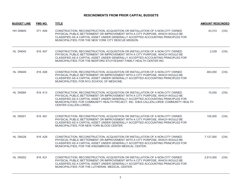| <b>BUDGET LINE</b> | FMS NO. | <b>TITLE</b>                                                                                                                                                                                                                                                                                                                                                           | <b>AMOUNT RESCINDED</b> |      |
|--------------------|---------|------------------------------------------------------------------------------------------------------------------------------------------------------------------------------------------------------------------------------------------------------------------------------------------------------------------------------------------------------------------------|-------------------------|------|
| HH DN845           | 071 A06 | CONSTRUCTION, RECONSTRUCTION, ACQUISITION OR INSTALLATION OF A NON-CITY OWNED<br>PHYSICAL PUBLIC BETTERMENT OR IMPROVEMENT WITH A CITY PURPOSE, WHICH WOULD BE<br>CLASSIFIED AS A CAPITAL ASSET UNDER GENERALLY ACCEPTED ACCOUNTING PRINCIPLES FOR<br>MUNICIPALITIES; FOR THE NEW YORK CITY RESCUE MISSION.                                                            | 43,310                  | (CN) |
| HL DN045           | 816 A07 | CONSTRUCTION, RECONSTRUCTION, ACQUISITION OR INSTALLATION OF A NON-CITY OWNED<br>PHYSICAL PUBLIC BETTERMENT OR IMPROVEMENT WITH A CITY PURPOSE, WHICH WOULD BE<br>CLASSIFIED AS A CAPITAL ASSET UNDER GENERALLY ACCEPTED ACCOUNTING PRINCIPLES FOR<br>MUNICIPALITIES; FOR THE BEDFORD STUYVESANT FAMILY HEALTH CENTER INC.                                             | 2,539                   | (CN) |
| HL DN049           | 816 A08 | CONSTRUCTION, RECONSTRUCTION, ACQUISITION OR INSTALLATION OF A NON-CITY OWNED<br>PHYSICAL PUBLIC BETTERMENT OR IMPROVEMENT WITH A CITY PURPOSE, WHICH WOULD BE<br>CLASSIFIED AS A CAPITAL ASSET UNDER GENERALLY ACCEPTED ACCOUNTING PRINCIPLES FOR<br>MUNICIPALITIES: FOR NYU SCHOOL OF MEDICINE.                                                                      | 483,000                 | (CN) |
| HL DN084           | 816 A13 | CONSTRUCTION, RECONSTRUCTION, ACQUISITION OR INSTALLATION OF A NON-CITY OWNED<br>PHYSICAL PUBLIC BETTERMENT OR IMPROVEMENT WITH A CITY PURPOSE, WHICH WOULD BE<br>CLASSIFIED AS A CAPITAL ASSET UNDER GENERALLY ACCEPTED ACCOUNTING PRINCIPLES FOR<br>MUNICIPALITIES; FOR COMMUNITY HEALTH PROJECT, INC. D/B/A CALLEN-LORDE COMMUNITY HEALTH<br>CENTER (CALLEN-LORDE). | 15,000                  | (CN) |
| HL DN201           | 816 A91 | CONSTRUCTION, RECONSTRUCTION, ACQUISITION OR INSTALLATION OF A NON-CITY OWNED<br>PHYSICAL PUBLIC BETTERMENT OR IMPROVEMENT WITH A CITY PURPOSE, WHICH WOULD BE<br>CLASSIFIED AS A CAPITAL ASSET UNDER GENERALLY ACCEPTED ACCOUNTING PRINCIPLES FOR<br>MUNICIPALITIES; FOR NEW YORK BLOOD CENTER.                                                                       | 155,000                 | (CN) |
| HL DN228           | 816 A28 | CONSTRUCTION, RECONSTRUCTION, ACQUISITION OR INSTALLATION OF A NON-CITY OWNED<br>PHYSICAL PUBLIC BETTERMENT OR IMPROVEMENT WITH A CITY PURPOSE, WHICH WOULD BE<br>CLASSIFIED AS A CAPITAL ASSET UNDER GENERALLY ACCEPTED ACCOUNTING PRINCIPLES FOR<br>MUNICIPALITIES; FOR THE KINGSBROOK JEWISH MEDICAL CENTER.                                                        | 7,127,000               | (CN) |
| <b>HL DN252</b>    | 816 A31 | CONSTRUCTION, RECONSTRUCTION, ACQUISITION OR INSTALLATION OF A NON-CITY OWNED<br>PHYSICAL PUBLIC BETTERMENT OR IMPROVEMENT WITH A CITY PURPOSE, WHICH WOULD BE<br>CLASSIFIED AS A CAPITAL ASSET UNDER GENERALLY ACCEPTED ACCOUNTING PRINCIPLES FOR<br>MUNICIPALITIES; FOR THE LUTHERAN MEDICAL CENTER.                                                                 | 2,913,000               | (CN) |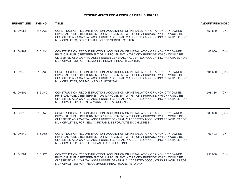| <b>BUDGET LINE</b> | <b>FMS NO.</b> | <b>TITLE</b>                                                                                                                                                                                                                                                                                                       | <b>AMOUNT RESCINDED</b> |      |
|--------------------|----------------|--------------------------------------------------------------------------------------------------------------------------------------------------------------------------------------------------------------------------------------------------------------------------------------------------------------------|-------------------------|------|
| <b>HL DN254</b>    | 816 A32        | CONSTRUCTION, RECONSTRUCTION, ACQUISITION OR INSTALLATION OF A NON-CITY OWNED<br>PHYSICAL PUBLIC BETTERMENT OR IMPROVEMENT WITH A CITY PURPOSE, WHICH WOULD BE<br>CLASSIFIED AS A CAPITAL ASSET UNDER GENERALLY ACCEPTED ACCOUNTING PRINCIPLES FOR<br>MUNICIPALITIES; FOR THE MAIMONIDES MEDICAL CENTER            | 653,800                 | (CN) |
| <b>HL DN269</b>    | 816 A34        | CONSTRUCTION, RECONSTRUCTION, ACQUISITION OR INSTALLATION OF A NON-CITY OWNED<br>PHYSICAL PUBLIC BETTERMENT OR IMPROVEMENT WITH A CITY PURPOSE, WHICH WOULD BE<br>CLASSIFIED AS A CAPITAL ASSET UNDER GENERALLY ACCEPTED ACCOUNTING PRINCIPLES FOR<br>MUNICIPALITIES; FOR THE MORRIS HEIGHTS HEALTH CENTER.        | 42,000                  | (CN) |
| HL DN273           | 816 A36        | CONSTRUCTION, RECONSTRUCTION, ACQUISITION OR INSTALLATION OF A NON-CITY OWNED<br>PHYSICAL PUBLIC BETTERMENT OR IMPROVEMENT WITH A CITY PURPOSE, WHICH WOULD BE<br>CLASSIFIED AS A CAPITAL ASSET UNDER GENERALLY ACCEPTED ACCOUNTING PRINCIPLES FOR<br>MUNICIPALITIES; FOR MOUNT SINAI HOSPITAL.                    | 101,600                 | (CN) |
| <b>HL DN305</b>    | 816 A42        | CONSTRUCTION, RECONSTRUCTION, ACQUISITION OR INSTALLATION OF A NON-CITY OWNED<br>PHYSICAL PUBLIC BETTERMENT OR IMPROVEMENT WITH A CITY PURPOSE, WHICH WOULD BE<br>CLASSIFIED AS A CAPITAL ASSET UNDER GENERALLY ACCEPTED ACCOUNTING PRINCIPLES FOR<br>MUNICIPALITIES; FOR NEW YORK HOSPITAL QUEENS.                | 598,386                 | (CN) |
| HL DN316           | 816 A45        | CONSTRUCTION, RECONSTRUCTION, ACQUISITION OR INSTALLATION OF A NON-CITY OWNED<br>PHYSICAL PUBLIC BETTERMENT OR IMPROVEMENT WITH A CITY PURPOSE, WHICH WOULD BE<br>CLASSIFIED AS A CAPITAL ASSET UNDER GENERALLY ACCEPTED ACCOUNTING PRINCIPLES FOR<br>MUNICIPALITIES; FOR NEW YORK FAMILIES FOR AUTISTIC CHILDREN. | 500,000                 | (CN) |
| HL DN440           | 816 A65        | CONSTRUCTION, RECONSTRUCTION, ACQUISITION OR INSTALLATION OF A NON-CITY OWNED<br>PHYSICAL PUBLIC BETTERMENT OR IMPROVEMENT WITH A CITY PURPOSE, WHICH WOULD BE<br>CLASSIFIED AS A CAPITAL ASSET UNDER GENERALLY ACCEPTED ACCOUNTING PRINCIPLES FOR<br>MUNICIPALITIES; FOR THE URBAN HEALTH PLAN, INC.              | 97,403                  | (CN) |
| HL DN561           | 816 A75        | CONSTRUCTION, RECONSTRUCTION, ACQUISITION OR INSTALLATION OF A NON-CITY OWNED<br>PHYSICAL PUBLIC BETTERMENT OR IMPROVEMENT WITH A CITY PURPOSE, WHICH WOULD BE<br>CLASSIFIED AS A CAPITAL ASSET UNDER GENERALLY ACCEPTED ACCOUNTING PRINCIPLES FOR<br>MUNICIPALITIES; FOR THE COMMUNITY HEALTHCARE NETWORK.        | 250,000                 | (CN) |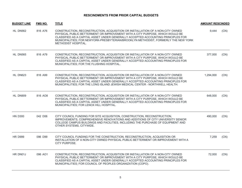| <b>BUDGET LINE</b> | <b>FMS NO.</b> | <b>TITLE</b>                                                                                                                                                                                                                                                                                                                                                    | <b>AMOUNT RESCINDED</b> |      |
|--------------------|----------------|-----------------------------------------------------------------------------------------------------------------------------------------------------------------------------------------------------------------------------------------------------------------------------------------------------------------------------------------------------------------|-------------------------|------|
| HL DN562           | 816 A76        | CONSTRUCTION, RECONSTRUCTION, ACQUISITION OR INSTALLATION OF A NON-CITY OWNED<br>PHYSICAL PUBLIC BETTERMENT OR IMPROVEMENT WITH A CITY PURPOSE, WHICH WOULD BE<br>CLASSIFIED AS A CAPITAL ASSET UNDER GENERALLY ACCEPTED ACCOUNTING PRINCIPLES FOR<br>MUNICIPALITIES; FOR NEWYORK-PRESBYTERIAN/BROOKLYN METHODIST, FORMERLY THE NEW YORK<br>METHODIST HOSPITAL. | 9,444                   | (CN) |
| <b>HL DN565</b>    | 816 A79        | CONSTRUCTION, RECONSTRUCTION, ACQUISITION OR INSTALLATION OF A NON-CITY OWNED<br>PHYSICAL PUBLIC BETTERMENT OR IMPROVEMENT WITH A CITY PURPOSE, WHICH WOULD BE<br>CLASSIFIED AS A CAPITAL ASSET UNDER GENERALLY ACCEPTED ACCOUNTING PRINCIPLES FOR<br>MUNICIPALITIES; FOR THE FLUSHING HOSPITAL.                                                                | 377,000                 | (CN) |
| HL DN623           | 816 A99        | CONSTRUCTION, RECONSTRUCTION, ACQUISITION OR INSTALLATION OF A NON-CITY OWNED<br>PHYSICAL PUBLIC BETTERMENT OR IMPROVEMENT WITH A CITY PURPOSE, WHICH WOULD BE<br>CLASSIFIED AS A CAPITAL ASSET UNDER GENERALLY ACCEPTED ACCOUNTING PRINCIPLES FOR<br>MUNICIPALITIES; FOR THE LONG ISLAND JEWISH MEDICAL CENTER - NORTHWELL HEALTH.                             | 1,294,000               | (CN) |
| HL DN909           | 816 AO8        | CONSTRUCTION, RECONSTRUCTION, ACQUISITION OR INSTALLATION OF A NON-CITY OWNED<br>PHYSICAL PUBLIC BETTERMENT OR IMPROVEMENT WITH A CITY PURPOSE, WHICH WOULD BE<br>CLASSIFIED AS A CAPITAL ASSET UNDER GENERALLY ACCEPTED ACCOUNTING PRINCIPLES FOR<br>MUNICIPALITIES; FOR LENOX HILL HOSPITAL.                                                                  | 648,000                 | (CN) |
| <b>HN D300</b>     | 042 D06        | CITY COUNCIL FUNDING FOR SITE ACQUISITION, CONSTRUCTION, RECONSTRUCTION,<br>IMPROVEMENTS, COMPREHENSIVE RENOVATIONS AND ADDITIONS OF CITY UNIVERSITY SENIOR<br>COLLEGE CAMPUS BUILDINGS AND FACILITIES, INCLUDING THE PURCHASE OF EQUIPMENT AND<br>OTHER SYSTEMS, CITYWIDE.                                                                                     | 490,000                 | (CN) |
| <b>HR D999</b>     | 096 D99        | CITY COUNCIL FUNDING FOR THE CONSTRUCTION, RECONSTRUCTION, ACQUISITION OR<br>INSTALLATION OF A NON-CITY OWNED PHYSICAL PUBLIC BETTERMENT OR IMPROVEMENT WITH A<br>CITY PURPOSE.                                                                                                                                                                                 | 7,259                   | (CN) |
| HR DN01J           | 096 AO1        | CONSTRUCTION, RECONSTRUCTION, ACQUISITION OR INSTALLATION OF A NON-CITY OWNED<br>PHYSICAL PUBLIC BETTERMENT OR IMPROVEMENT WITH A CITY PURPOSE, WHICH WOULD BE<br>CLASSIFIED AS A CAPITAL ASSET UNDER GENERALLY ACCEPTED ACCOUNTING PRINCIPLES FOR<br>MUNICIPALITIES; FOR COUNCIL OF PEOPLES ORGANIZATION (COPO).                                               | 72,000                  | (CN) |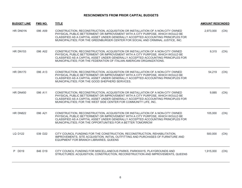| <b>BUDGET LINE</b> | <b>FMS NO.</b> | <b>TITLE</b>                                                                                                                                                                                                                                                                                                                           | <b>AMOUNT RESCINDED</b> |      |
|--------------------|----------------|----------------------------------------------------------------------------------------------------------------------------------------------------------------------------------------------------------------------------------------------------------------------------------------------------------------------------------------|-------------------------|------|
| HR DN01N           | 096 A59        | CONSTRUCTION, RECONSTRUCTION, ACQUISITION OR INSTALLATION OF A NON-CITY OWNED<br>PHYSICAL PUBLIC BETTERMENT OR IMPROVEMENT WITH A CITY PURPOSE, WHICH WOULD BE<br>CLASSIFIED AS A CAPITAL ASSET UNDER GENERALLY ACCEPTED ACCOUNTING PRINCIPLES FOR<br>MUNICIPALITIES; FOR THE GREENBURGER CENTER FOR SOCIAL AND CRIMINAL JUSTICE, INC. | 2,973,000               | (CN) |
| <b>HR DN153</b>    | 096 A02        | CONSTRUCTION, RECONSTRUCTION, ACQUISITION OR INSTALLATION OF A NON-CITY OWNED<br>PHYSICAL PUBLIC BETTERMENT OR IMPROVEMENT WITH A CITY PURPOSE, WHICH WOULD BE<br>CLASSIFIED AS A CAPITAL ASSET UNDER GENERALLY ACCEPTED ACCOUNTING PRINCIPLES FOR<br>MUNICIPALITIES; FOR THE FEDERATION OF ITALIAN AMERICAN ORGANIZATIONS.            | 9,315                   | (CN) |
| <b>HR DN170</b>    | 096 A13        | CONSTRUCTION, RECONSTRUCTION, ACQUISITION OR INSTALLATION OF A NON-CITY OWNED<br>PHYSICAL PUBLIC BETTERMENT OR IMPROVEMENT WITH A CITY PURPOSE, WHICH WOULD BE<br>CLASSIFIED AS A CAPITAL ASSET UNDER GENERALLY ACCEPTED ACCOUNTING PRINCIPLES FOR<br>MUNICIPALITIES; FOR THE GOOD SHEPHERD SERVICES.                                  | 54,219                  | (CN) |
| <b>HR DN450</b>    | 096 A11        | CONSTRUCTION, RECONSTRUCTION, ACQUISITION OR INSTALLATION OF A NON-CITY OWNED<br>PHYSICAL PUBLIC BETTERMENT OR IMPROVEMENT WITH A CITY PURPOSE, WHICH WOULD BE<br>CLASSIFIED AS A CAPITAL ASSET UNDER GENERALLY ACCEPTED ACCOUNTING PRINCIPLES FOR<br>MUNICIPALITIES; FOR THE WEST SIDE CENTER FOR COMMUNITY LIFE, INC.                | 9,885                   | (CN) |
| <b>HR DN822</b>    | 096 A21        | CONSTRUCTION, RECONSTRUCTION, ACQUISITION OR INSTALLATION OF A NON-CITY OWNED<br>PHYSICAL PUBLIC BETTERMENT OR IMPROVEMENT WITH A CITY PURPOSE, WHICH WOULD BE<br>CLASSIFIED AS A CAPITAL ASSET UNDER GENERALLY ACCEPTED ACCOUNTING PRINCIPLES FOR<br>MUNICIPALITIES; FOR THE OPPORTUNITIES FOR A BETTER TOMORROW                      | 105,000                 | (CN) |
| LQ D122            | 039 D22        | CITY COUNCIL FUNDING FOR THE CONSTRUCTION, RECONSTRUCTION, REHABILITATION,<br>IMPROVEMENTS, SITE ACQUISITION, INITIAL OUTFITTING AND PURCHASES OF FURNITURE AND<br>EQUIPMENT FOR BRANCH LIBRARIES, QUEENS                                                                                                                              | 500,000                 | (CN) |
| P D019             | 846 D19        | CITY COUNCIL FUNDING FOR MISCELLANEOUS PARKS, PARKWAYS, PLAYGROUNDS AND<br>STRUCTURES: ACQUISITION, CONSTRUCTION, RECONSTRUCTION AND IMPROVEMENTS, QUEENS                                                                                                                                                                              | 1,915,000               | (CN) |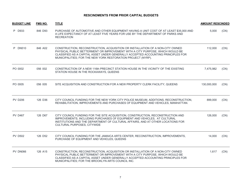| <b>BUDGET LINE</b> | <b>FMS NO.</b> | <b>TITLE</b>                                                                                                                                                                                                                                                                                                       | <b>AMOUNT RESCINDED</b> |      |
|--------------------|----------------|--------------------------------------------------------------------------------------------------------------------------------------------------------------------------------------------------------------------------------------------------------------------------------------------------------------------|-------------------------|------|
| P D933             | 846 D93        | PURCHASE OF AUTOMOTIVE AND OTHER EQUIPMENT HAVING A UNIT COST OF AT LEAST \$35,000 AND<br>A LIFE EXPECTANCY OF AT LEAST FIVE YEARS FOR USE BY THE DEPARTMENT OF PARKS AND<br><b>RECREATION</b>                                                                                                                     | 5,000                   | (CN) |
| P DN510            | 846 A02        | CONSTRUCTION, RECONSTRUCTION, ACQUISITION OR INSTALLATION OF A NON-CITY OWNED<br>PHYSICAL PUBLIC BETTERMENT OR IMPROVEMENT WITH A CITY PURPOSE, WHICH WOULD BE<br>CLASSIFIED AS A CAPITAL ASSET UNDER GENERALLY ACCEPTED ACCOUNTING PRINCIPLES FOR<br>MUNICIPALITIES; FOR THE NEW YORK RESTORATION PROJECT (NYRP). | 112,000                 | (CN) |
| PO 0002            | 056 002        | CONSTRUCTION OF A NEW 116th PRECINCT STATION HOUSE IN THE VICINITY OF THE EXISTING<br>STATION HOUSE IN THE ROCKAWAYS, QUEENS                                                                                                                                                                                       | 7,475,982               | (CN) |
| PO 0005            | 056 005        | SITE ACQUISITION AND CONSTRUCTION FOR A NEW PROPERTY CLERK FACILITY, QUEENS                                                                                                                                                                                                                                        | 130,000,000             | (CN) |
| <b>PV D206</b>     | 126 D36        | CITY COUNCIL FUNDING FOR THE NEW YORK CITY POLICE MUSEUM, ADDITIONS, RECONSTRUCTION,<br>REHABILITATION, IMPROVEMENTS AND PURCHASES OF EQUIPMENT AND VEHICLES, MANHATTAN.                                                                                                                                           | 899,000                 | (CN) |
| <b>PV D467</b>     | 126 D67        | CITY COUNCIL FUNDING FOR THE SITE ACQUISITION, CONSTRUCTION, RECONSTRUCTION AND<br>IMPROVEMENTS, INCLUDING PURCHASES OF EQUIPMENT AND VEHICLES, AT CULTURAL<br>INSTITUTIONS AND THE DEPARTMENT OF CULTURAL AFFAIRS, AND AT OTHER LOCATIONS FOR<br>CULTURAL PURPOSES, CITYWIDE                                      | 126,000                 | (CN) |
| <b>PV D502</b>     | 126 D52        | CITY COUNCIL FUNDING FOR THE JAMAICA ARTS CENTER, RECONSTRUCTION, IMPROVEMENTS,<br>PURCHASE OF EQUIPMENT AND VEHICLES, QUEENS                                                                                                                                                                                      | 14,000                  | (CN) |
| PV DN066           | 126 A15        | CONSTRUCTION, RECONSTRUCTION, ACQUISITION OR INSTALLATION OF A NON-CITY OWNED<br>PHYSICAL PUBLIC BETTERMENT OR IMPROVEMENT WITH A CITY PURPOSE, WHICH WOULD BE<br>CLASSIFIED AS A CAPITAL ASSET UNDER GENERALLY ACCEPTED ACCOUNTING PRINCIPLES FOR<br>MUNICIPALITIES; FOR THE BROOKLYN ARTS COUNCIL INC.           | 1,617                   | (CN) |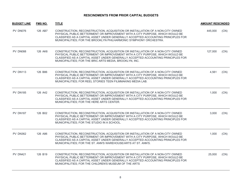| <b>BUDGET LINE</b> | <b>FMS NO.</b> | <b>TITLE</b>                                                                                                                                                                                                                                                                                                            | <b>AMOUNT RESCINDED</b> |      |
|--------------------|----------------|-------------------------------------------------------------------------------------------------------------------------------------------------------------------------------------------------------------------------------------------------------------------------------------------------------------------------|-------------------------|------|
| PV DN076           | 126 AB7        | CONSTRUCTION, RECONSTRUCTION, ACQUISITION OR INSTALLATION OF A NON-CITY OWNED<br>PHYSICAL PUBLIC BETTERMENT OR IMPROVEMENT WITH A CITY PURPOSE, WHICH WOULD BE<br>CLASSIFIED AS A CAPITAL ASSET UNDER GENERALLY ACCEPTED ACCOUNTING PRINCIPLES FOR<br>MUNICIPALITIES; FOR THE BROOKLYN PHILHARMONIC SYMPHONY ORCHESTRA. | 445,000                 | (CN) |
| PV DN088           | 126 AK6        | CONSTRUCTION, RECONSTRUCTION, ACQUISITION OR INSTALLATION OF A NON-CITY OWNED<br>PHYSICAL PUBLIC BETTERMENT OR IMPROVEMENT WITH A CITY PURPOSE, WHICH WOULD BE<br>CLASSIFIED AS A CAPITAL ASSET UNDER GENERALLY ACCEPTED ACCOUNTING PRINCIPLES FOR<br>MUNICIPALITIES; FOR THE BRIC ARTS MEDIA, BROOKLYN, INC.           | 127,000                 | (CN) |
| <b>PV DN113</b>    | 126 B86        | CONSTRUCTION, RECONSTRUCTION, ACQUISITION OR INSTALLATION OF A NON-CITY OWNED<br>PHYSICAL PUBLIC BETTERMENT OR IMPROVEMENT WITH A CITY PURPOSE, WHICH WOULD BE<br>CLASSIFIED AS A CAPITAL ASSET UNDER GENERALLY ACCEPTED ACCOUNTING PRINCIPLES FOR<br>MUNICIPALITIES; FOR REEL STORIES TEEN FILMMAKING MEDIA LAB.       | 4,561                   | (CN) |
| <b>PV DN185</b>    | 126 A42        | CONSTRUCTION, RECONSTRUCTION, ACQUISITION OR INSTALLATION OF A NON-CITY OWNED<br>PHYSICAL PUBLIC BETTERMENT OR IMPROVEMENT WITH A CITY PURPOSE, WHICH WOULD BE<br>CLASSIFIED AS A CAPITAL ASSET UNDER GENERALLY ACCEPTED ACCOUNTING PRINCIPLES FOR<br>MUNICIPALITIES; FOR THE HERE ARTS CENTER.                         | 1,000                   | (CN) |
| <b>PV DN187</b>    | 126 B02        | CONSTRUCTION, RECONSTRUCTION, ACQUISITION OR INSTALLATION OF A NON-CITY OWNED<br>PHYSICAL PUBLIC BETTERMENT OR IMPROVEMENT WITH A CITY PURPOSE, WHICH WOULD BE<br>CLASSIFIED AS A CAPITAL ASSET UNDER GENERALLY ACCEPTED ACCOUNTING PRINCIPLES FOR<br>MUNICIPALITIES; FOR THE STUDIO IN A SCHOOL.                       | 3,000                   | (CN) |
| <b>PV DN362</b>    | 126 A86        | CONSTRUCTION, RECONSTRUCTION, ACQUISITION OR INSTALLATION OF A NON-CITY OWNED<br>PHYSICAL PUBLIC BETTERMENT OR IMPROVEMENT WITH A CITY PURPOSE, WHICH WOULD BE<br>CLASSIFIED AS A CAPITAL ASSET UNDER GENERALLY ACCEPTED ACCOUNTING PRINCIPLES FOR<br>MUNICIPALITIES; FOR THE ST. ANN'S WAREHOUSE/ARTS AT ST. ANN'S.    | 1,000                   | (CN) |
| <b>PV DN421</b>    | 126 B19        | CONSTRUCTION, RECONSTRUCTION, ACQUISITION OR INSTALLATION OF A NON-CITY OWNED<br>PHYSICAL PUBLIC BETTERMENT OR IMPROVEMENT WITH A CITY PURPOSE, WHICH WOULD BE<br>CLASSIFIED AS A CAPITAL ASSET UNDER GENERALLY ACCEPTED ACCOUNTING PRINCIPLES FOR<br>MUNICIPALITIES; FOR THE CHILDREN'S MUSEUM OF THE ARTS             | 25,000                  | (CN) |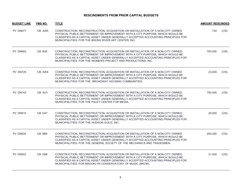| <b>BUDGET LINE</b> | <b>FMS NO.</b> | <b>TITLE</b>                                                                                                                                                                                                                                                                                                                  | <b>AMOUNT RESCINDED</b> |      |
|--------------------|----------------|-------------------------------------------------------------------------------------------------------------------------------------------------------------------------------------------------------------------------------------------------------------------------------------------------------------------------------|-------------------------|------|
| PV DN677           | 126 AW5        | CONSTRUCTION, RECONSTRUCTION, ACQUISITION OR INSTALLATION OF A NON-CITY OWNED<br>PHYSICAL PUBLIC BETTERMENT OR IMPROVEMENT WITH A CITY PURPOSE, WHICH WOULD BE<br>CLASSIFIED AS A CAPITAL ASSET UNDER GENERALLY ACCEPTED ACCOUNTING PRINCIPLES FOR<br>MUNICIPALITIES; FOR THE BRONX RIVER ART CENTER, INC.                    | 732                     | (CN) |
| <b>PV DN683</b>    | 126 B35        | CONSTRUCTION, RECONSTRUCTION, ACQUISITION OR INSTALLATION OF A NON-CITY OWNED<br>PHYSICAL PUBLIC BETTERMENT OR IMPROVEMENT WITH A CITY PURPOSE, WHICH WOULD BE<br>CLASSIFIED AS A CAPITAL ASSET UNDER GENERALLY ACCEPTED ACCOUNTING PRINCIPLES FOR<br>MUNICIPALITIES; FOR THE WOMEN'S PROJECT AND PRODUCTIONS, INC.           | 700,000                 | (CN) |
| <b>PV DN729</b>    | 126 AW4        | CONSTRUCTION, RECONSTRUCTION, ACQUISITION OR INSTALLATION OF A NON-CITY OWNED<br>PHYSICAL PUBLIC BETTERMENT OR IMPROVEMENT WITH A CITY PURPOSE, WHICH WOULD BE<br>CLASSIFIED AS A CAPITAL ASSET UNDER GENERALLY ACCEPTED ACCOUNTING PRINCIPLES FOR<br>MUNICIPALITIES; FOR THE BROADWAY HOUSING COMMUNITIES.                   | 23,000                  | (CN) |
| PV DN743           | 126 AV3        | CONSTRUCTION, RECONSTRUCTION, ACQUISITION OR INSTALLATION OF A NON-CITY OWNED<br>PHYSICAL PUBLIC BETTERMENT OR IMPROVEMENT WITH A CITY PURPOSE, WHICH WOULD BE<br>CLASSIFIED AS A CAPITAL ASSET UNDER GENERALLY ACCEPTED ACCOUNTING PRINCIPLES FOR<br>MUNICIPALITIES; FOR THE PALEY CENTER FOR MEDIA.                         | 750,000                 | (CN) |
| <b>PV DN815</b>    | 126 D47        | CONSTRUCTION, RECONSTRUCTION, ACQUISITION OR INSTALLATION OF A NON-CITY OWNED<br>PHYSICAL PUBLIC BETTERMENT OR IMPROVEMENT WITH A CITY PURPOSE, WHICH WOULD BE<br>CLASSIFIED AS A CAPITAL ASSET UNDER GENERALLY ACCEPTED ACCOUNTING PRINCIPLES FOR<br>MUNICIPALITIES; FOR THE HUDSON GUILD, INC.                              | 29,000                  | (CN) |
| PV DN834           | 126 B88        | CONSTRUCTION, RECONSTRUCTION, ACQUISITION OR INSTALLATION OF A NON-CITY OWNED<br>PHYSICAL PUBLIC BETTERMENT OR IMPROVEMENT WITH A CITY PURPOSE, WHICH WOULD BE<br>CLASSIFIED AS A CAPITAL ASSET UNDER GENERALLY ACCEPTED ACCOUNTING PRINCIPLES FOR<br>MUNICIPALITIES; FOR THE GENERAL SOCIETY OF THE MECHANICS AND TRADESMEN. | 250,000                 | (CN) |
| <b>PV DN922</b>    | 126 D88        | CONSTRUCTION, RECONSTRUCTION, ACQUISITION OR INSTALLATION OF A NON-CITY OWNED<br>PHYSICAL PUBLIC BETTERMENT OR IMPROVEMENT WITH A CITY PURPOSE, WHICH WOULD BE<br>CLASSIFIED AS A CAPITAL ASSET UNDER GENERALLY ACCEPTED ACCOUNTING PRINCIPLES FOR<br>MUNICIPALITIES; FOR BROOKLYN CONSERVATORY OF MUSIC (BKCM).              | 31,000                  | (CN) |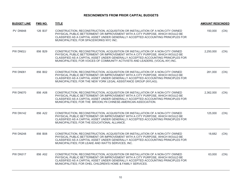| <b>BUDGET LINE</b> | <b>FMS NO.</b> | <b>TITLE</b>                                                                                                                                                                                                                                                                                                                         | <b>AMOUNT RESCINDED</b> |      |
|--------------------|----------------|--------------------------------------------------------------------------------------------------------------------------------------------------------------------------------------------------------------------------------------------------------------------------------------------------------------------------------------|-------------------------|------|
| PV DN948           | 126 B37        | CONSTRUCTION, RECONSTRUCTION, ACQUISITION OR INSTALLATION OF A NON-CITY OWNED<br>PHYSICAL PUBLIC BETTERMENT OR IMPROVEMENT WITH A CITY PURPOSE, WHICH WOULD BE<br>CLASSIFIED AS A CAPITAL ASSET UNDER GENERALLY ACCEPTED ACCOUNTING PRINCIPLES FOR<br>MUNICIPALITIES; FOR SPACEWORKS NYC INC.                                        | 150,000                 | (CN) |
| PW DN02J           | 856 B29        | CONSTRUCTION, RECONSTRUCTION, ACQUISITION OR INSTALLATION OF A NON-CITY OWNED<br>PHYSICAL PUBLIC BETTERMENT OR IMPROVEMENT WITH A CITY PURPOSE, WHICH WOULD BE<br>CLASSIFIED AS A CAPITAL ASSET UNDER GENERALLY ACCEPTED ACCOUNTING PRINCIPLES FOR<br>MUNICIPALITIES; FOR VOICES OF COMMUNITY ACTIVISTS AND LEADERS, (VOCAL-NY) INC. | 2,250,000               | (CN) |
| <b>PW DN061</b>    | 856 B02        | CONSTRUCTION, RECONSTRUCTION, ACQUISITION OR INSTALLATION OF A NON-CITY OWNED<br>PHYSICAL PUBLIC BETTERMENT OR IMPROVEMENT WITH A CITY PURPOSE, WHICH WOULD BE<br>CLASSIFIED AS A CAPITAL ASSET UNDER GENERALLY ACCEPTED ACCOUNTING PRINCIPLES FOR<br>MUNICIPALITIES; FOR THE NEW YORK LEGAL ASSISTANCE GROUP (NYLAG).               | 281,000                 | (CN) |
| PW DN070           | 856 A08        | CONSTRUCTION, RECONSTRUCTION, ACQUISITION OR INSTALLATION OF A NON-CITY OWNED<br>PHYSICAL PUBLIC BETTERMENT OR IMPROVEMENT WITH A CITY PURPOSE, WHICH WOULD BE<br>CLASSIFIED AS A CAPITAL ASSET UNDER GENERALLY ACCEPTED ACCOUNTING PRINCIPLES FOR<br>MUNICIPALITIES; FOR THE BROOKLYN CHINESE-AMERICAN ASSOCIATION.                 | 2,362,000               | (CN) |
| <b>PW DN142</b>    | 856 A22        | CONSTRUCTION, RECONSTRUCTION, ACQUISITION OR INSTALLATION OF A NON-CITY OWNED<br>PHYSICAL PUBLIC BETTERMENT OR IMPROVEMENT WITH A CITY PURPOSE, WHICH WOULD BE<br>CLASSIFIED AS A CAPITAL ASSET UNDER GENERALLY ACCEPTED ACCOUNTING PRINCIPLES FOR<br>MUNICIPALITIES; FOR THE EDUCATIONAL ALLIANCE.                                  | 125,000                 | (CN) |
| <b>PW DN248</b>    | 856 B08        | CONSTRUCTION, RECONSTRUCTION, ACQUISITION OR INSTALLATION OF A NON-CITY OWNED<br>PHYSICAL PUBLIC BETTERMENT OR IMPROVEMENT WITH A CITY PURPOSE, WHICH WOULD BE<br>CLASSIFIED AS A CAPITAL ASSET UNDER GENERALLY ACCEPTED ACCOUNTING PRINCIPLES FOR<br>MUNICIPALITIES; FOR LEAKE AND WATTS SERVICES, INC.                             | 18,682                  | (CN) |
| <b>PW DN317</b>    | 856 A52        | CONSTRUCTION, RECONSTRUCTION, ACQUISITION OR INSTALLATION OF A NON-CITY OWNED<br>PHYSICAL PUBLIC BETTERMENT OR IMPROVEMENT WITH A CITY PURPOSE, WHICH WOULD BE<br>CLASSIFIED AS A CAPITAL ASSET UNDER GENERALLY ACCEPTED ACCOUNTING PRINCIPLES FOR<br>MUNICIPALITIES; FOR OHEL CHILDREN'S HOME & FAMILY SERVICES.                    | 63,000                  | (CN) |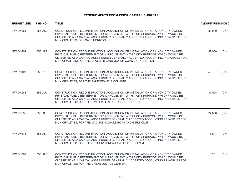| <b>BUDGET LINE</b> | FMS NO. | <b>TITLE</b>                                                                                                                                                                                                                                                                                                         | <b>AMOUNT RESCINDED</b> |      |
|--------------------|---------|----------------------------------------------------------------------------------------------------------------------------------------------------------------------------------------------------------------------------------------------------------------------------------------------------------------------|-------------------------|------|
| <b>PW DN361</b>    | 856 A62 | CONSTRUCTION, RECONSTRUCTION, ACQUISITION OR INSTALLATION OF A NON-CITY OWNED<br>PHYSICAL PUBLIC BETTERMENT OR IMPROVEMENT WITH A CITY PURPOSE. WHICH WOULD BE<br>CLASSIFIED AS A CAPITAL ASSET UNDER GENERALLY ACCEPTED ACCOUNTING PRINCIPLES FOR<br>MUNICIPALITIES; FOR SAFE HORIZON.                              | 83,000                  | (CN) |
| <b>PW DN402</b>    | 856 AL2 | CONSTRUCTION, RECONSTRUCTION, ACQUISITION OR INSTALLATION OF A NON-CITY OWNED<br>PHYSICAL PUBLIC BETTERMENT OR IMPROVEMENT WITH A CITY PURPOSE, WHICH WOULD BE<br>CLASSIFIED AS A CAPITAL ASSET UNDER GENERALLY ACCEPTED ACCOUNTING PRINCIPLES FOR<br>MUNICIPALITIES; FOR THE STATEN ISLAND JEWISH COMMUNITY CENTER. | 57,000                  | (CN) |
| <b>PW DN497</b>    | 856 B12 | CONSTRUCTION, RECONSTRUCTION, ACQUISITION OR INSTALLATION OF A NON-CITY OWNED<br>PHYSICAL PUBLIC BETTERMENT OR IMPROVEMENT WITH A CITY PURPOSE, WHICH WOULD BE<br>CLASSIFIED AS A CAPITAL ASSET UNDER GENERALLY ACCEPTED ACCOUNTING PRINCIPLES FOR<br>MUNICIPALITIES; FOR THE SAINT FRANCIS COLLEGE.                 | 50,767                  | (CN) |
| <b>PW DN583</b>    | 856 AA7 | CONSTRUCTION, RECONSTRUCTION, ACQUISITION OR INSTALLATION OF A NON-CITY OWNED<br>PHYSICAL PUBLIC BETTERMENT OR IMPROVEMENT WITH A CITY PURPOSE, WHICH WOULD BE<br>CLASSIFIED AS A CAPITAL ASSET UNDER GENERALLY ACCEPTED ACCOUNTING PRINCIPLES FOR<br>MUNICIPALITIES; FOR THE RIVERDALE NEIGHBORHOOD HOUSE.          | 37,098                  | (CN) |
| <b>PW DN630</b>    | 856 AL8 | CONSTRUCTION, RECONSTRUCTION, ACQUISITION OR INSTALLATION OF A NON-CITY OWNED<br>PHYSICAL PUBLIC BETTERMENT OR IMPROVEMENT WITH A CITY PURPOSE, WHICH WOULD BE<br>CLASSIFIED AS A CAPITAL ASSET UNDER GENERALLY ACCEPTED ACCOUNTING PRINCIPLES FOR<br>MUNICIPALITIES; FOR THE MADISON SQUARE BOYS AND GIRLS CLUB.    | 24,000                  | (CN) |
| <b>PW DN671</b>    | 856 AK1 | CONSTRUCTION, RECONSTRUCTION, ACQUISITION OR INSTALLATION OF A NON-CITY OWNED<br>PHYSICAL PUBLIC BETTERMENT OR IMPROVEMENT WITH A CITY PURPOSE, WHICH WOULD BE<br>CLASSIFIED AS A CAPITAL ASSET UNDER GENERALLY ACCEPTED ACCOUNTING PRINCIPLES FOR<br>MUNICIPALITIES; FOR THE ST JOHN'S BREAD AND LIFE PROGRAM       | 8,544                   | (CN) |
| <b>PW DN707</b>    | 856 AL6 | CONSTRUCTION, RECONSTRUCTION, ACQUISITION OR INSTALLATION OF A NON-CITY OWNED<br>PHYSICAL PUBLIC BETTERMENT OR IMPROVEMENT WITH A CITY PURPOSE, WHICH WOULD BE<br>CLASSIFIED AS A CAPITAL ASSET UNDER GENERALLY ACCEPTED ACCOUNTING PRINCIPLES FOR<br>MUNICIPALITIES; FOR THE URBAN JUSTICE CENTER.                  | 1,261                   | (CN) |